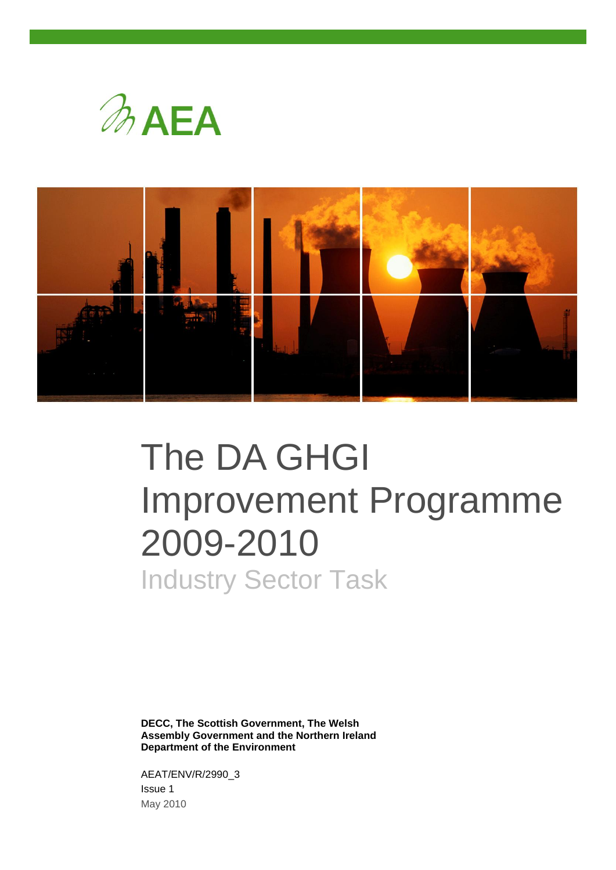



# The DA GHGI Improvement Programme 2009-2010 Industry Sector Task

**DECC, The Scottish Government, The Welsh Assembly Government and the Northern Ireland Department of the Environment**

AEAT/ENV/R/2990\_3 Issue 1 May 2010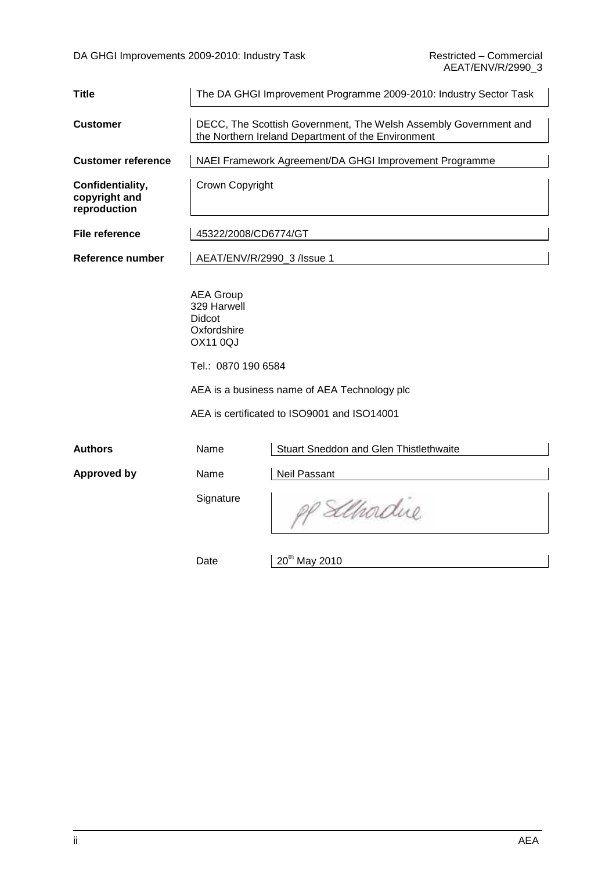| <b>Title</b>                                      | The DA GHGI Improvement Programme 2009-2010: Industry Sector Task                                                      |                                                                                             |  |  |  |
|---------------------------------------------------|------------------------------------------------------------------------------------------------------------------------|---------------------------------------------------------------------------------------------|--|--|--|
| <b>Customer</b>                                   | DECC, The Scottish Government, The Welsh Assembly Government and<br>the Northern Ireland Department of the Environment |                                                                                             |  |  |  |
| <b>Customer reference</b>                         |                                                                                                                        | NAEI Framework Agreement/DA GHGI Improvement Programme                                      |  |  |  |
| Confidentiality,<br>copyright and<br>reproduction | Crown Copyright                                                                                                        |                                                                                             |  |  |  |
| <b>File reference</b>                             | 45322/2008/CD6774/GT                                                                                                   |                                                                                             |  |  |  |
| Reference number                                  | AEAT/ENV/R/2990_3 /lssue 1                                                                                             |                                                                                             |  |  |  |
|                                                   | <b>AEA Group</b><br>329 Harwell<br>Didcot<br>Oxfordshire<br><b>OX11 0QJ</b><br>Tel.: 0870 190 6584                     | AEA is a business name of AEA Technology plc<br>AEA is certificated to ISO9001 and ISO14001 |  |  |  |
| <b>Authors</b>                                    | Name                                                                                                                   | Stuart Sneddon and Glen Thistlethwaite                                                      |  |  |  |
| <b>Approved by</b>                                | Name                                                                                                                   | Neil Passant                                                                                |  |  |  |
|                                                   | Signature                                                                                                              | Elhadue                                                                                     |  |  |  |
|                                                   | Date                                                                                                                   | 20 <sup>th</sup> May 2010                                                                   |  |  |  |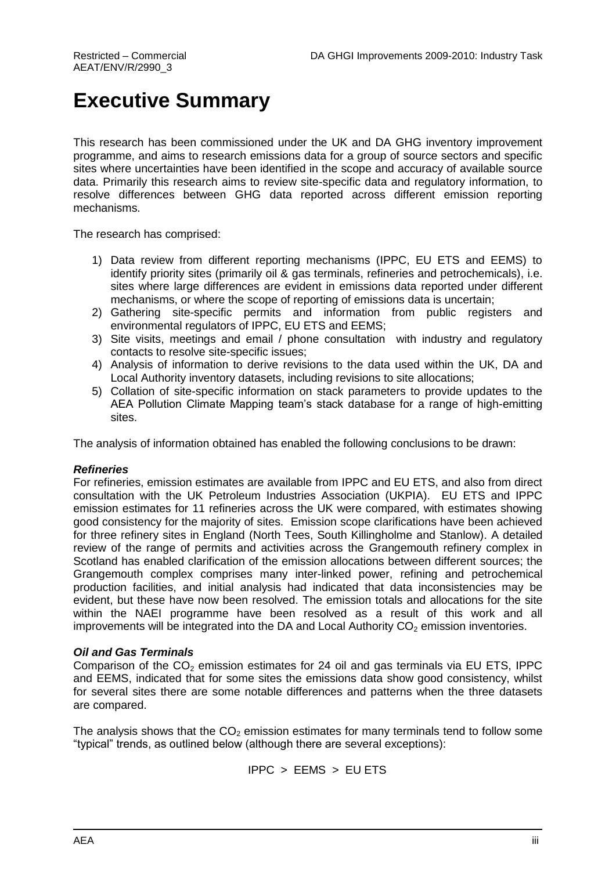## **Executive Summary**

This research has been commissioned under the UK and DA GHG inventory improvement programme, and aims to research emissions data for a group of source sectors and specific sites where uncertainties have been identified in the scope and accuracy of available source data. Primarily this research aims to review site-specific data and regulatory information, to resolve differences between GHG data reported across different emission reporting mechanisms.

The research has comprised:

- 1) Data review from different reporting mechanisms (IPPC, EU ETS and EEMS) to identify priority sites (primarily oil & gas terminals, refineries and petrochemicals), i.e. sites where large differences are evident in emissions data reported under different mechanisms, or where the scope of reporting of emissions data is uncertain;
- 2) Gathering site-specific permits and information from public registers and environmental regulators of IPPC, EU ETS and EEMS;
- 3) Site visits, meetings and email / phone consultation with industry and regulatory contacts to resolve site-specific issues;
- 4) Analysis of information to derive revisions to the data used within the UK, DA and Local Authority inventory datasets, including revisions to site allocations;
- 5) Collation of site-specific information on stack parameters to provide updates to the AEA Pollution Climate Mapping team"s stack database for a range of high-emitting sites.

The analysis of information obtained has enabled the following conclusions to be drawn:

#### *Refineries*

For refineries, emission estimates are available from IPPC and EU ETS, and also from direct consultation with the UK Petroleum Industries Association (UKPIA). EU ETS and IPPC emission estimates for 11 refineries across the UK were compared, with estimates showing good consistency for the majority of sites. Emission scope clarifications have been achieved for three refinery sites in England (North Tees, South Killingholme and Stanlow). A detailed review of the range of permits and activities across the Grangemouth refinery complex in Scotland has enabled clarification of the emission allocations between different sources; the Grangemouth complex comprises many inter-linked power, refining and petrochemical production facilities, and initial analysis had indicated that data inconsistencies may be evident, but these have now been resolved. The emission totals and allocations for the site within the NAEI programme have been resolved as a result of this work and all improvements will be integrated into the DA and Local Authority  $CO<sub>2</sub>$  emission inventories.

#### *Oil and Gas Terminals*

Comparison of the  $CO<sub>2</sub>$  emission estimates for 24 oil and gas terminals via EU ETS, IPPC and EEMS, indicated that for some sites the emissions data show good consistency, whilst for several sites there are some notable differences and patterns when the three datasets are compared.

The analysis shows that the  $CO<sub>2</sub>$  emission estimates for many terminals tend to follow some "typical" trends, as outlined below (although there are several exceptions):

$$
IPPC > EEMS > EUETS
$$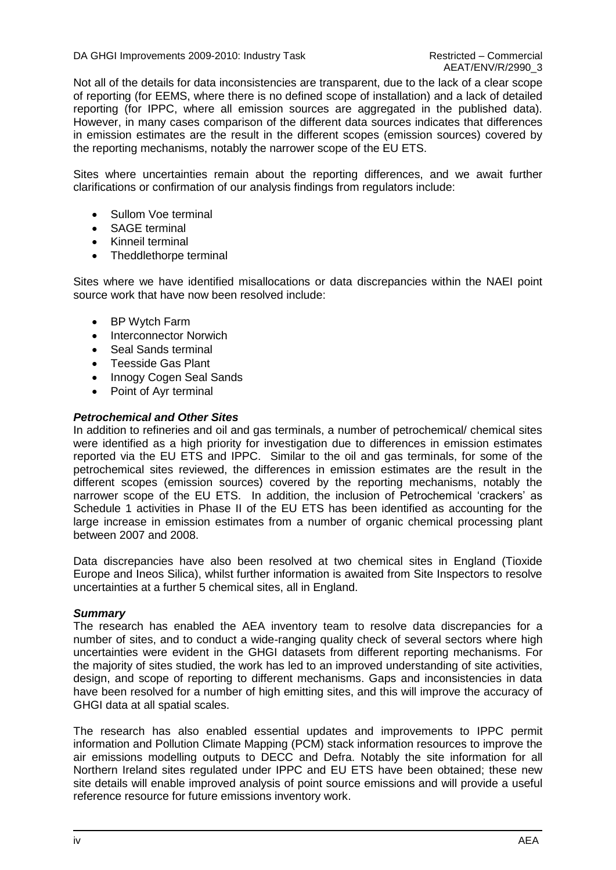DA GHGI Improvements 2009-2010: Industry Task Restricted – Commercial

Not all of the details for data inconsistencies are transparent, due to the lack of a clear scope of reporting (for EEMS, where there is no defined scope of installation) and a lack of detailed reporting (for IPPC, where all emission sources are aggregated in the published data). However, in many cases comparison of the different data sources indicates that differences in emission estimates are the result in the different scopes (emission sources) covered by the reporting mechanisms, notably the narrower scope of the EU ETS.

Sites where uncertainties remain about the reporting differences, and we await further clarifications or confirmation of our analysis findings from regulators include:

- Sullom Voe terminal
- SAGE terminal
- Kinneil terminal
- Theddlethorpe terminal

Sites where we have identified misallocations or data discrepancies within the NAEI point source work that have now been resolved include:

- BP Wytch Farm
- Interconnector Norwich
- Seal Sands terminal
- Teesside Gas Plant
- Innogy Cogen Seal Sands
- Point of Avr terminal

#### *Petrochemical and Other Sites*

In addition to refineries and oil and gas terminals, a number of petrochemical/ chemical sites were identified as a high priority for investigation due to differences in emission estimates reported via the EU ETS and IPPC. Similar to the oil and gas terminals, for some of the petrochemical sites reviewed, the differences in emission estimates are the result in the different scopes (emission sources) covered by the reporting mechanisms, notably the narrower scope of the EU ETS. In addition, the inclusion of Petrochemical "crackers" as Schedule 1 activities in Phase II of the EU ETS has been identified as accounting for the large increase in emission estimates from a number of organic chemical processing plant between 2007 and 2008.

Data discrepancies have also been resolved at two chemical sites in England (Tioxide Europe and Ineos Silica), whilst further information is awaited from Site Inspectors to resolve uncertainties at a further 5 chemical sites, all in England.

#### *Summary*

The research has enabled the AEA inventory team to resolve data discrepancies for a number of sites, and to conduct a wide-ranging quality check of several sectors where high uncertainties were evident in the GHGI datasets from different reporting mechanisms. For the majority of sites studied, the work has led to an improved understanding of site activities, design, and scope of reporting to different mechanisms. Gaps and inconsistencies in data have been resolved for a number of high emitting sites, and this will improve the accuracy of GHGI data at all spatial scales.

The research has also enabled essential updates and improvements to IPPC permit information and Pollution Climate Mapping (PCM) stack information resources to improve the air emissions modelling outputs to DECC and Defra. Notably the site information for all Northern Ireland sites regulated under IPPC and EU ETS have been obtained; these new site details will enable improved analysis of point source emissions and will provide a useful reference resource for future emissions inventory work.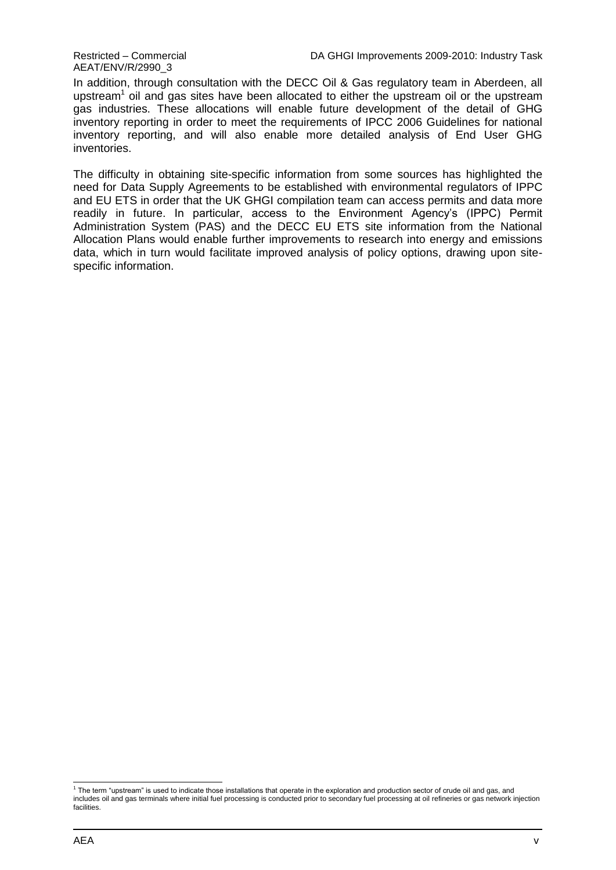AEAT/ENV/R/2990\_3

In addition, through consultation with the DECC Oil & Gas regulatory team in Aberdeen, all upstream<sup>1</sup> oil and gas sites have been allocated to either the upstream oil or the upstream gas industries. These allocations will enable future development of the detail of GHG inventory reporting in order to meet the requirements of IPCC 2006 Guidelines for national inventory reporting, and will also enable more detailed analysis of End User GHG inventories.

The difficulty in obtaining site-specific information from some sources has highlighted the need for Data Supply Agreements to be established with environmental regulators of IPPC and EU ETS in order that the UK GHGI compilation team can access permits and data more readily in future. In particular, access to the Environment Agency"s (IPPC) Permit Administration System (PAS) and the DECC EU ETS site information from the National Allocation Plans would enable further improvements to research into energy and emissions data, which in turn would facilitate improved analysis of policy options, drawing upon sitespecific information.

 1 The term "upstream" is used to indicate those installations that operate in the exploration and production sector of crude oil and gas, and includes oil and gas terminals where initial fuel processing is conducted prior to secondary fuel processing at oil refineries or gas network injection facilities.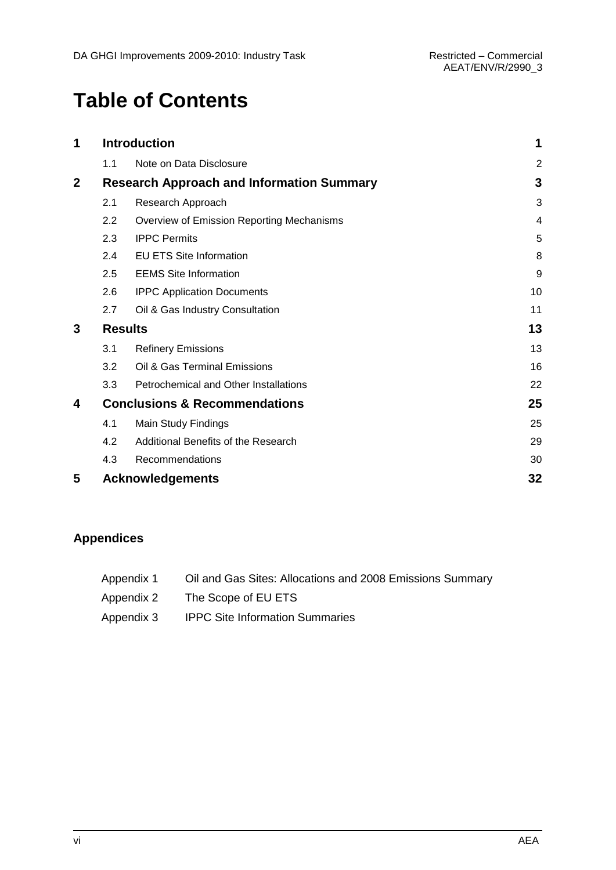## **Table of Contents**

| 1            | <b>Introduction</b> | 1                                                |                |
|--------------|---------------------|--------------------------------------------------|----------------|
|              | 1.1                 | Note on Data Disclosure                          | $\overline{2}$ |
| $\mathbf{2}$ |                     | <b>Research Approach and Information Summary</b> | 3              |
|              | 2.1                 | Research Approach                                | 3              |
|              | 2.2                 | Overview of Emission Reporting Mechanisms        | 4              |
|              | 2.3                 | <b>IPPC Permits</b>                              | 5              |
|              | 2.4                 | <b>EU ETS Site Information</b>                   | 8              |
|              | 2.5                 | <b>EEMS Site Information</b>                     | 9              |
|              | 2.6                 | <b>IPPC Application Documents</b>                | 10             |
|              | 2.7                 | Oil & Gas Industry Consultation                  | 11             |
| 3            |                     | <b>Results</b>                                   | 13             |
|              | 3.1                 | <b>Refinery Emissions</b>                        | 13             |
|              | 3.2                 | Oil & Gas Terminal Emissions                     | 16             |
|              | 3.3                 | Petrochemical and Other Installations            | 22             |
| 4            |                     | <b>Conclusions &amp; Recommendations</b>         | 25             |
|              | 4.1                 | Main Study Findings                              | 25             |
|              | 4.2                 | Additional Benefits of the Research              | 29             |
|              | 4.3                 | Recommendations                                  | 30             |
| 5            |                     | <b>Acknowledgements</b>                          | 32             |

### **Appendices**

| Appendix 1 | Oil and Gas Sites: Allocations and 2008 Emissions Summary |
|------------|-----------------------------------------------------------|
| Appendix 2 | The Scope of EU ETS                                       |
| Appendix 3 | <b>IPPC Site Information Summaries</b>                    |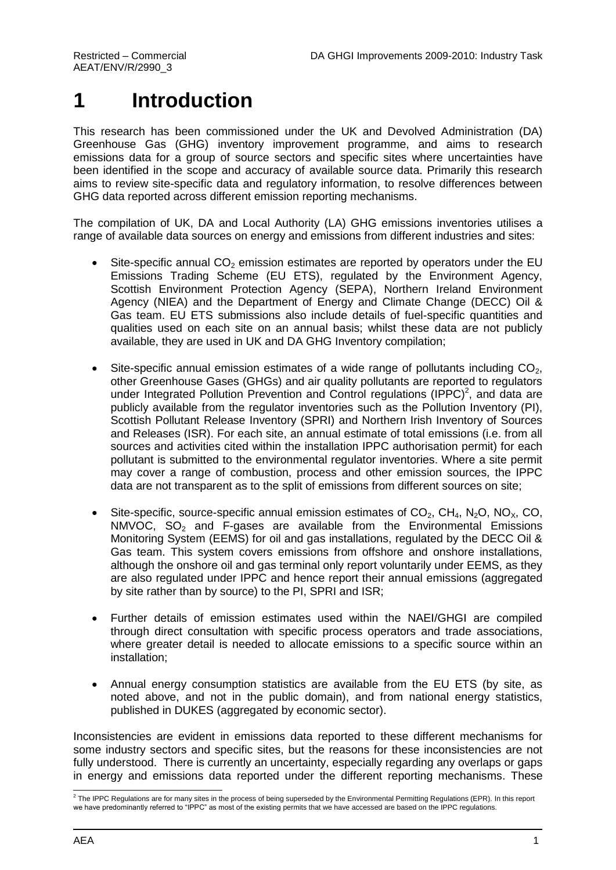## <span id="page-6-0"></span>**1 Introduction**

This research has been commissioned under the UK and Devolved Administration (DA) Greenhouse Gas (GHG) inventory improvement programme, and aims to research emissions data for a group of source sectors and specific sites where uncertainties have been identified in the scope and accuracy of available source data. Primarily this research aims to review site-specific data and regulatory information, to resolve differences between GHG data reported across different emission reporting mechanisms.

The compilation of UK, DA and Local Authority (LA) GHG emissions inventories utilises a range of available data sources on energy and emissions from different industries and sites:

- Site-specific annual  $CO<sub>2</sub>$  emission estimates are reported by operators under the EU Emissions Trading Scheme (EU ETS), regulated by the Environment Agency, Scottish Environment Protection Agency (SEPA), Northern Ireland Environment Agency (NIEA) and the Department of Energy and Climate Change (DECC) Oil & Gas team. EU ETS submissions also include details of fuel-specific quantities and qualities used on each site on an annual basis; whilst these data are not publicly available, they are used in UK and DA GHG Inventory compilation;
- Site-specific annual emission estimates of a wide range of pollutants including  $CO<sub>2</sub>$ . other Greenhouse Gases (GHGs) and air quality pollutants are reported to regulators under Integrated Pollution Prevention and Control regulations (IPPC)<sup>2</sup>, and data are publicly available from the regulator inventories such as the Pollution Inventory (PI), Scottish Pollutant Release Inventory (SPRI) and Northern Irish Inventory of Sources and Releases (ISR). For each site, an annual estimate of total emissions (i.e. from all sources and activities cited within the installation IPPC authorisation permit) for each pollutant is submitted to the environmental regulator inventories. Where a site permit may cover a range of combustion, process and other emission sources, the IPPC data are not transparent as to the split of emissions from different sources on site;
- Site-specific, source-specific annual emission estimates of  $CO<sub>2</sub>$ , CH<sub>4</sub>, N<sub>2</sub>O, NO<sub>x</sub>, CO,  $NMVOC$ ,  $SO<sub>2</sub>$  and F-gases are available from the Environmental Emissions Monitoring System (EEMS) for oil and gas installations, regulated by the DECC Oil & Gas team. This system covers emissions from offshore and onshore installations, although the onshore oil and gas terminal only report voluntarily under EEMS, as they are also regulated under IPPC and hence report their annual emissions (aggregated by site rather than by source) to the PI, SPRI and ISR;
- Further details of emission estimates used within the NAEI/GHGI are compiled through direct consultation with specific process operators and trade associations, where greater detail is needed to allocate emissions to a specific source within an installation;
- Annual energy consumption statistics are available from the EU ETS (by site, as noted above, and not in the public domain), and from national energy statistics, published in DUKES (aggregated by economic sector).

Inconsistencies are evident in emissions data reported to these different mechanisms for some industry sectors and specific sites, but the reasons for these inconsistencies are not fully understood. There is currently an uncertainty, especially regarding any overlaps or gaps in energy and emissions data reported under the different reporting mechanisms. These

 2 The IPPC Regulations are for many sites in the process of being superseded by the Environmental Permitting Regulations (EPR). In this report we have predominantly referred to "IPPC" as most of the existing permits that we have accessed are based on the IPPC regulations.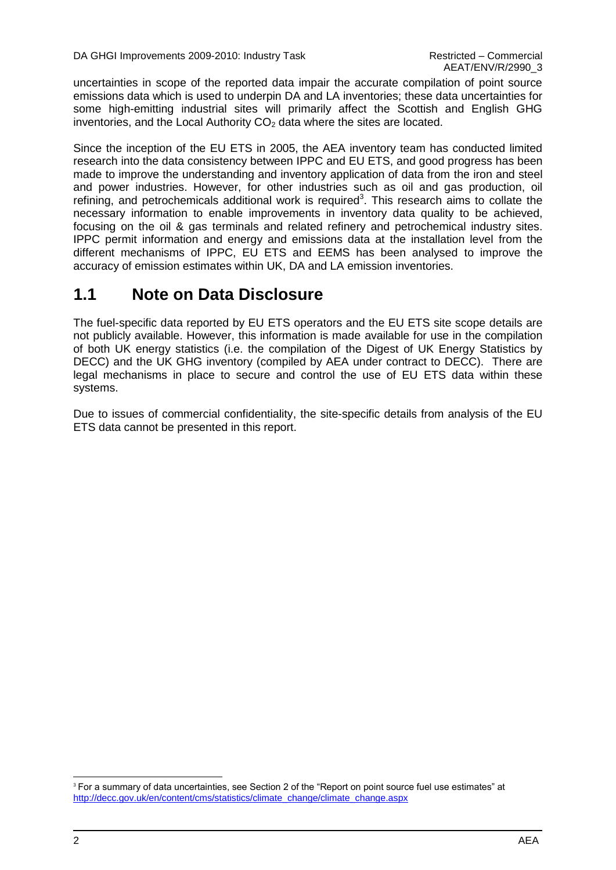uncertainties in scope of the reported data impair the accurate compilation of point source emissions data which is used to underpin DA and LA inventories; these data uncertainties for some high-emitting industrial sites will primarily affect the Scottish and English GHG inventories, and the Local Authority  $CO<sub>2</sub>$  data where the sites are located.

Since the inception of the EU ETS in 2005, the AEA inventory team has conducted limited research into the data consistency between IPPC and EU ETS, and good progress has been made to improve the understanding and inventory application of data from the iron and steel and power industries. However, for other industries such as oil and gas production, oil refining, and petrochemicals additional work is required<sup>3</sup>. This research aims to collate the necessary information to enable improvements in inventory data quality to be achieved, focusing on the oil & gas terminals and related refinery and petrochemical industry sites. IPPC permit information and energy and emissions data at the installation level from the different mechanisms of IPPC, EU ETS and EEMS has been analysed to improve the accuracy of emission estimates within UK, DA and LA emission inventories.

### <span id="page-7-0"></span>**1.1 Note on Data Disclosure**

The fuel-specific data reported by EU ETS operators and the EU ETS site scope details are not publicly available. However, this information is made available for use in the compilation of both UK energy statistics (i.e. the compilation of the Digest of UK Energy Statistics by DECC) and the UK GHG inventory (compiled by AEA under contract to DECC). There are legal mechanisms in place to secure and control the use of EU ETS data within these systems.

Due to issues of commercial confidentiality, the site-specific details from analysis of the EU ETS data cannot be presented in this report.

l

<sup>&</sup>lt;sup>3</sup> For a summary of data uncertainties, see Section 2 of the "Report on point source fuel use estimates" at [http://decc.gov.uk/en/content/cms/statistics/climate\\_change/climate\\_change.aspx](http://decc.gov.uk/en/content/cms/statistics/climate_change/climate_change.aspx)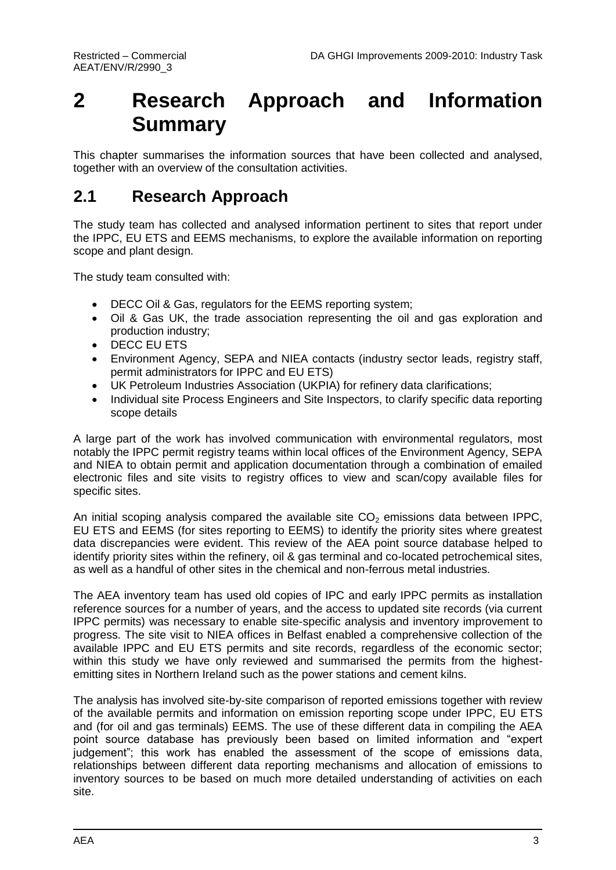## <span id="page-8-0"></span>**2 Research Approach and Information Summary**

This chapter summarises the information sources that have been collected and analysed, together with an overview of the consultation activities.

### <span id="page-8-1"></span>**2.1 Research Approach**

The study team has collected and analysed information pertinent to sites that report under the IPPC, EU ETS and EEMS mechanisms, to explore the available information on reporting scope and plant design.

The study team consulted with:

- DECC Oil & Gas, regulators for the EEMS reporting system;
- Oil & Gas UK, the trade association representing the oil and gas exploration and production industry;
- DECC EU ETS
- Environment Agency, SEPA and NIEA contacts (industry sector leads, registry staff, permit administrators for IPPC and EU ETS)
- UK Petroleum Industries Association (UKPIA) for refinery data clarifications;
- Individual site Process Engineers and Site Inspectors, to clarify specific data reporting scope details

A large part of the work has involved communication with environmental regulators, most notably the IPPC permit registry teams within local offices of the Environment Agency, SEPA and NIEA to obtain permit and application documentation through a combination of emailed electronic files and site visits to registry offices to view and scan/copy available files for specific sites.

An initial scoping analysis compared the available site  $CO<sub>2</sub>$  emissions data between IPPC, EU ETS and EEMS (for sites reporting to EEMS) to identify the priority sites where greatest data discrepancies were evident. This review of the AEA point source database helped to identify priority sites within the refinery, oil & gas terminal and co-located petrochemical sites, as well as a handful of other sites in the chemical and non-ferrous metal industries.

The AEA inventory team has used old copies of IPC and early IPPC permits as installation reference sources for a number of years, and the access to updated site records (via current IPPC permits) was necessary to enable site-specific analysis and inventory improvement to progress. The site visit to NIEA offices in Belfast enabled a comprehensive collection of the available IPPC and EU ETS permits and site records, regardless of the economic sector; within this study we have only reviewed and summarised the permits from the highestemitting sites in Northern Ireland such as the power stations and cement kilns.

The analysis has involved site-by-site comparison of reported emissions together with review of the available permits and information on emission reporting scope under IPPC, EU ETS and (for oil and gas terminals) EEMS. The use of these different data in compiling the AEA point source database has previously been based on limited information and "expert judgement"; this work has enabled the assessment of the scope of emissions data, relationships between different data reporting mechanisms and allocation of emissions to inventory sources to be based on much more detailed understanding of activities on each site.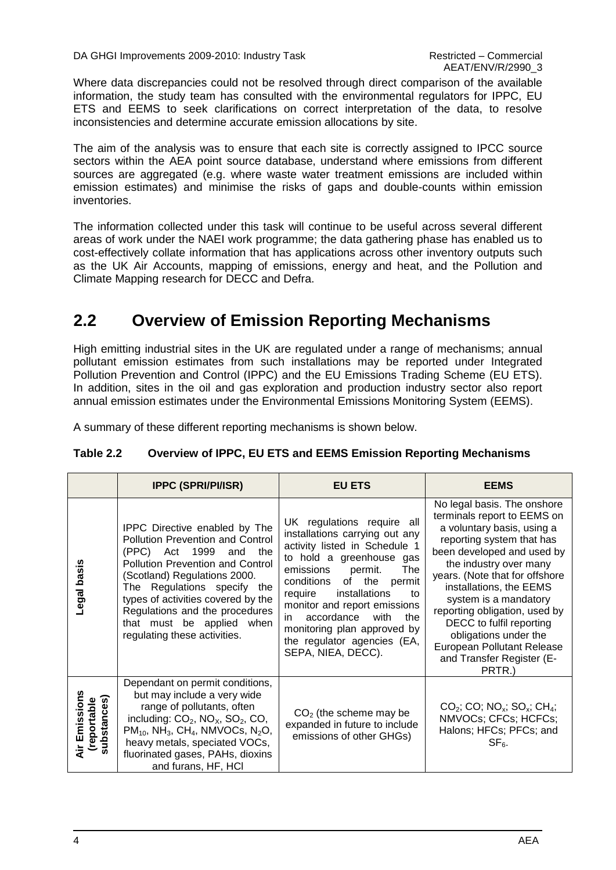DA GHGI Improvements 2009-2010: Industry Task Restricted – Commercial

Where data discrepancies could not be resolved through direct comparison of the available information, the study team has consulted with the environmental regulators for IPPC, EU ETS and EEMS to seek clarifications on correct interpretation of the data, to resolve inconsistencies and determine accurate emission allocations by site.

The aim of the analysis was to ensure that each site is correctly assigned to IPCC source sectors within the AEA point source database, understand where emissions from different sources are aggregated (e.g. where waste water treatment emissions are included within emission estimates) and minimise the risks of gaps and double-counts within emission inventories.

The information collected under this task will continue to be useful across several different areas of work under the NAEI work programme; the data gathering phase has enabled us to cost-effectively collate information that has applications across other inventory outputs such as the UK Air Accounts, mapping of emissions, energy and heat, and the Pollution and Climate Mapping research for DECC and Defra.

### <span id="page-9-0"></span>**2.2 Overview of Emission Reporting Mechanisms**

High emitting industrial sites in the UK are regulated under a range of mechanisms; annual pollutant emission estimates from such installations may be reported under Integrated Pollution Prevention and Control (IPPC) and the EU Emissions Trading Scheme (EU ETS). In addition, sites in the oil and gas exploration and production industry sector also report annual emission estimates under the Environmental Emissions Monitoring System (EEMS).

A summary of these different reporting mechanisms is shown below.

|                                               | <b>IPPC (SPRI/PI/ISR)</b>                                                                                                                                                                                                                                                                                                                        | <b>EU ETS</b>                                                                                                                                                                                                                                                                                                                                                                           | <b>EEMS</b>                                                                                                                                                                                                                                                                                                                                                                                                                           |
|-----------------------------------------------|--------------------------------------------------------------------------------------------------------------------------------------------------------------------------------------------------------------------------------------------------------------------------------------------------------------------------------------------------|-----------------------------------------------------------------------------------------------------------------------------------------------------------------------------------------------------------------------------------------------------------------------------------------------------------------------------------------------------------------------------------------|---------------------------------------------------------------------------------------------------------------------------------------------------------------------------------------------------------------------------------------------------------------------------------------------------------------------------------------------------------------------------------------------------------------------------------------|
| <b>egal</b> basis                             | IPPC Directive enabled by The<br><b>Pollution Prevention and Control</b><br>(PPC) Act 1999<br>the<br>and<br>Pollution Prevention and Control<br>(Scotland) Regulations 2000.<br>The Regulations specify the<br>types of activities covered by the<br>Regulations and the procedures<br>that must be applied when<br>regulating these activities. | UK regulations require all<br>installations carrying out any<br>activity listed in Schedule 1<br>to hold a greenhouse gas<br>emissions<br><b>The</b><br>permit.<br>conditions of the<br>permit<br>require<br>installations<br>to<br>monitor and report emissions<br>accordance<br>with<br>the<br>in<br>monitoring plan approved by<br>the regulator agencies (EA,<br>SEPA, NIEA, DECC). | No legal basis. The onshore<br>terminals report to EEMS on<br>a voluntary basis, using a<br>reporting system that has<br>been developed and used by<br>the industry over many<br>years. (Note that for offshore<br>installations, the EEMS<br>system is a mandatory<br>reporting obligation, used by<br>DECC to fulfil reporting<br>obligations under the<br><b>European Pollutant Release</b><br>and Transfer Register (E-<br>PRTR.) |
| Emissions<br>substances)<br>(reportable<br>خا | Dependant on permit conditions,<br>but may include a very wide<br>range of pollutants, often<br>including: $CO2$ , NO <sub>X</sub> , SO <sub>2</sub> , CO,<br>$PM_{10}$ , NH <sub>3</sub> , CH <sub>4</sub> , NMVOCs, N <sub>2</sub> O,<br>heavy metals, speciated VOCs,<br>fluorinated gases, PAHs, dioxins<br>and furans, HF, HCI              | $CO2$ (the scheme may be<br>expanded in future to include<br>emissions of other GHGs)                                                                                                                                                                                                                                                                                                   | $CO2$ ; CO; NO <sub>x</sub> ; SO <sub>x</sub> ; CH <sub>4</sub> ;<br>NMVOCs; CFCs; HCFCs;<br>Halons; HFCs; PFCs; and<br>$SF6$ .                                                                                                                                                                                                                                                                                                       |

#### **Table 2.2 Overview of IPPC, EU ETS and EEMS Emission Reporting Mechanisms**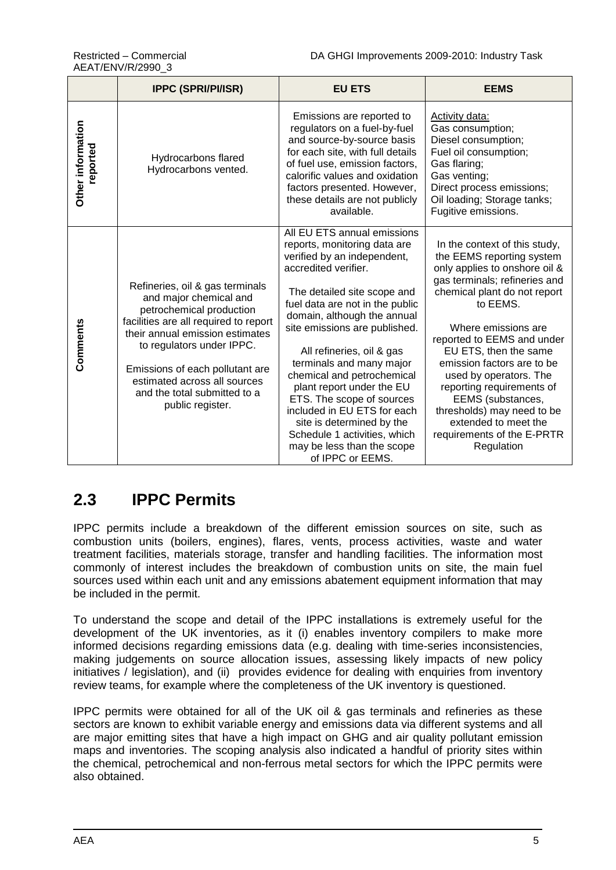|                               | <b>IPPC (SPRI/PI/ISR)</b>                                                                                                                                                                                                                                                                                             | <b>EU ETS</b>                                                                                                                                                                                                                                                                                                                                                                                                                                                                                                                                       | <b>EEMS</b>                                                                                                                                                                                                                                                                                                                                                                                                                                                        |
|-------------------------------|-----------------------------------------------------------------------------------------------------------------------------------------------------------------------------------------------------------------------------------------------------------------------------------------------------------------------|-----------------------------------------------------------------------------------------------------------------------------------------------------------------------------------------------------------------------------------------------------------------------------------------------------------------------------------------------------------------------------------------------------------------------------------------------------------------------------------------------------------------------------------------------------|--------------------------------------------------------------------------------------------------------------------------------------------------------------------------------------------------------------------------------------------------------------------------------------------------------------------------------------------------------------------------------------------------------------------------------------------------------------------|
| Other information<br>reported | Hydrocarbons flared<br>Hydrocarbons vented.                                                                                                                                                                                                                                                                           | Emissions are reported to<br>regulators on a fuel-by-fuel<br>and source-by-source basis<br>for each site, with full details<br>of fuel use, emission factors,<br>calorific values and oxidation<br>factors presented. However,<br>these details are not publicly<br>available.                                                                                                                                                                                                                                                                      | <b>Activity data:</b><br>Gas consumption;<br>Diesel consumption;<br>Fuel oil consumption;<br>Gas flaring;<br>Gas venting;<br>Direct process emissions;<br>Oil loading; Storage tanks;<br>Fugitive emissions.                                                                                                                                                                                                                                                       |
| Comments                      | Refineries, oil & gas terminals<br>and major chemical and<br>petrochemical production<br>facilities are all required to report<br>their annual emission estimates<br>to regulators under IPPC.<br>Emissions of each pollutant are<br>estimated across all sources<br>and the total submitted to a<br>public register. | All EU ETS annual emissions<br>reports, monitoring data are<br>verified by an independent,<br>accredited verifier.<br>The detailed site scope and<br>fuel data are not in the public<br>domain, although the annual<br>site emissions are published.<br>All refineries, oil & gas<br>terminals and many major<br>chemical and petrochemical<br>plant report under the EU<br>ETS. The scope of sources<br>included in EU ETS for each<br>site is determined by the<br>Schedule 1 activities, which<br>may be less than the scope<br>of IPPC or EEMS. | In the context of this study,<br>the EEMS reporting system<br>only applies to onshore oil &<br>gas terminals; refineries and<br>chemical plant do not report<br>to EEMS.<br>Where emissions are<br>reported to EEMS and under<br>EU ETS, then the same<br>emission factors are to be<br>used by operators. The<br>reporting requirements of<br>EEMS (substances,<br>thresholds) may need to be<br>extended to meet the<br>requirements of the E-PRTR<br>Regulation |

### <span id="page-10-0"></span>**2.3 IPPC Permits**

IPPC permits include a breakdown of the different emission sources on site, such as combustion units (boilers, engines), flares, vents, process activities, waste and water treatment facilities, materials storage, transfer and handling facilities. The information most commonly of interest includes the breakdown of combustion units on site, the main fuel sources used within each unit and any emissions abatement equipment information that may be included in the permit.

To understand the scope and detail of the IPPC installations is extremely useful for the development of the UK inventories, as it (i) enables inventory compilers to make more informed decisions regarding emissions data (e.g. dealing with time-series inconsistencies, making judgements on source allocation issues, assessing likely impacts of new policy initiatives / legislation), and (ii) provides evidence for dealing with enquiries from inventory review teams, for example where the completeness of the UK inventory is questioned.

IPPC permits were obtained for all of the UK oil & gas terminals and refineries as these sectors are known to exhibit variable energy and emissions data via different systems and all are major emitting sites that have a high impact on GHG and air quality pollutant emission maps and inventories. The scoping analysis also indicated a handful of priority sites within the chemical, petrochemical and non-ferrous metal sectors for which the IPPC permits were also obtained.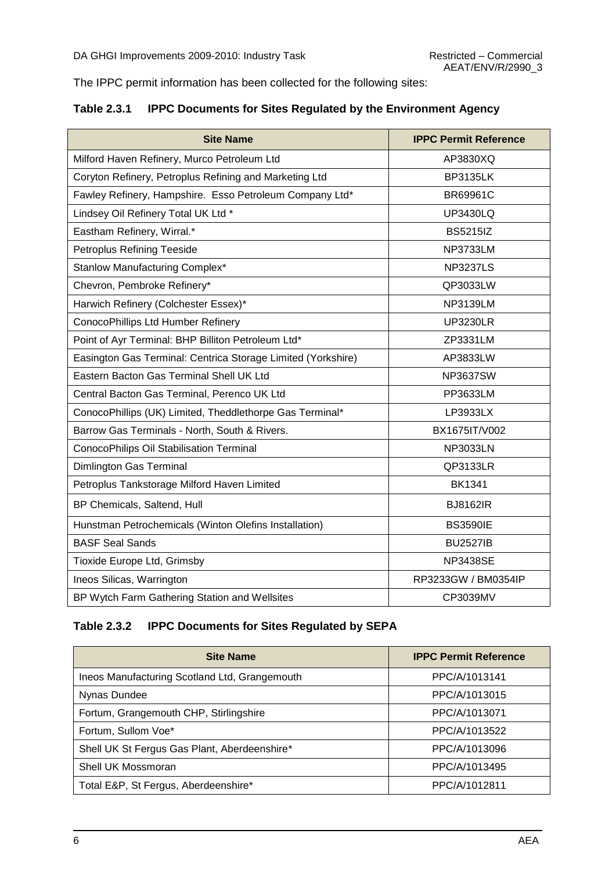The IPPC permit information has been collected for the following sites:

|  | Table 2.3.1 IPPC Documents for Sites Regulated by the Environment Agency |  |  |
|--|--------------------------------------------------------------------------|--|--|
|--|--------------------------------------------------------------------------|--|--|

| <b>Site Name</b>                                             | <b>IPPC Permit Reference</b> |
|--------------------------------------------------------------|------------------------------|
| Milford Haven Refinery, Murco Petroleum Ltd                  | AP3830XQ                     |
| Coryton Refinery, Petroplus Refining and Marketing Ltd       | <b>BP3135LK</b>              |
| Fawley Refinery, Hampshire. Esso Petroleum Company Ltd*      | <b>BR69961C</b>              |
| Lindsey Oil Refinery Total UK Ltd *                          | <b>UP3430LQ</b>              |
| Eastham Refinery, Wirral.*                                   | <b>BS5215IZ</b>              |
| Petroplus Refining Teeside                                   | <b>NP3733LM</b>              |
| Stanlow Manufacturing Complex*                               | <b>NP3237LS</b>              |
| Chevron, Pembroke Refinery*                                  | QP3033LW                     |
| Harwich Refinery (Colchester Essex)*                         | <b>NP3139LM</b>              |
| ConocoPhillips Ltd Humber Refinery                           | <b>UP3230LR</b>              |
| Point of Ayr Terminal: BHP Billiton Petroleum Ltd*           | ZP3331LM                     |
| Easington Gas Terminal: Centrica Storage Limited (Yorkshire) | AP3833LW                     |
| Eastern Bacton Gas Terminal Shell UK Ltd                     | <b>NP3637SW</b>              |
| Central Bacton Gas Terminal, Perenco UK Ltd                  | PP3633LM                     |
| ConocoPhillips (UK) Limited, Theddlethorpe Gas Terminal*     | LP3933LX                     |
| Barrow Gas Terminals - North, South & Rivers.                | BX1675IT/V002                |
| ConocoPhilips Oil Stabilisation Terminal                     | <b>NP3033LN</b>              |
| Dimlington Gas Terminal                                      | QP3133LR                     |
| Petroplus Tankstorage Milford Haven Limited                  | <b>BK1341</b>                |
| BP Chemicals, Saltend, Hull                                  | <b>BJ8162IR</b>              |
| Hunstman Petrochemicals (Winton Olefins Installation)        | <b>BS3590IE</b>              |
| <b>BASF Seal Sands</b>                                       | <b>BU2527IB</b>              |
| Tioxide Europe Ltd, Grimsby                                  | <b>NP3438SE</b>              |
| Ineos Silicas, Warrington                                    | RP3233GW / BM0354IP          |
| BP Wytch Farm Gathering Station and Wellsites                | CP3039MV                     |

#### **Table 2.3.2 IPPC Documents for Sites Regulated by SEPA**

| <b>Site Name</b>                              | <b>IPPC Permit Reference</b> |
|-----------------------------------------------|------------------------------|
| Ineos Manufacturing Scotland Ltd, Grangemouth | PPC/A/1013141                |
| Nynas Dundee                                  | PPC/A/1013015                |
| Fortum, Grangemouth CHP, Stirlingshire        | PPC/A/1013071                |
| Fortum, Sullom Voe*                           | PPC/A/1013522                |
| Shell UK St Fergus Gas Plant, Aberdeenshire*  | PPC/A/1013096                |
| Shell UK Mossmoran                            | PPC/A/1013495                |
| Total E&P, St Fergus, Aberdeenshire*          | PPC/A/1012811                |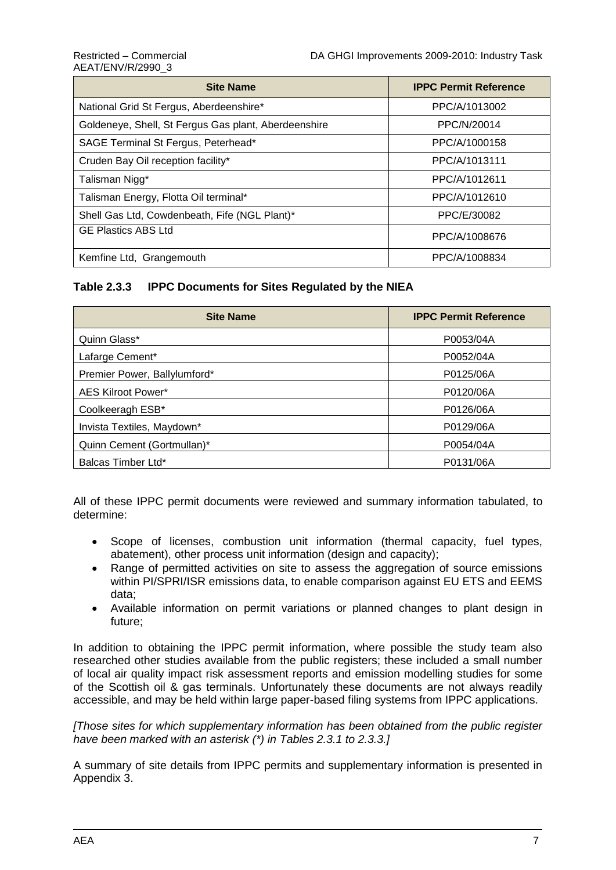## AEAT/ENV/R/2990\_3

| <b>Site Name</b>                                     | <b>IPPC Permit Reference</b> |  |  |
|------------------------------------------------------|------------------------------|--|--|
| National Grid St Fergus, Aberdeenshire*              | PPC/A/1013002                |  |  |
| Goldeneye, Shell, St Fergus Gas plant, Aberdeenshire | PPC/N/20014                  |  |  |
| SAGE Terminal St Fergus, Peterhead*                  | PPC/A/1000158                |  |  |
| Cruden Bay Oil reception facility*                   | PPC/A/1013111                |  |  |
| Talisman Nigg*                                       | PPC/A/1012611                |  |  |
| Talisman Energy, Flotta Oil terminal*                | PPC/A/1012610                |  |  |
| Shell Gas Ltd, Cowdenbeath, Fife (NGL Plant)*        | PPC/E/30082                  |  |  |
| <b>GE Plastics ABS Ltd</b>                           | PPC/A/1008676                |  |  |
| Kemfine Ltd, Grangemouth                             | PPC/A/1008834                |  |  |

#### **Table 2.3.3 IPPC Documents for Sites Regulated by the NIEA**

| <b>Site Name</b>             | <b>IPPC Permit Reference</b> |  |
|------------------------------|------------------------------|--|
| Quinn Glass*                 | P0053/04A                    |  |
| Lafarge Cement*              | P0052/04A                    |  |
| Premier Power, Ballylumford* | P0125/06A                    |  |
| AES Kilroot Power*           | P0120/06A                    |  |
| Coolkeeragh ESB*             | P0126/06A                    |  |
| Invista Textiles, Maydown*   | P0129/06A                    |  |
| Quinn Cement (Gortmullan)*   | P0054/04A                    |  |
| Balcas Timber Ltd*           | P0131/06A                    |  |

All of these IPPC permit documents were reviewed and summary information tabulated, to determine:

- Scope of licenses, combustion unit information (thermal capacity, fuel types, abatement), other process unit information (design and capacity);
- Range of permitted activities on site to assess the aggregation of source emissions within PI/SPRI/ISR emissions data, to enable comparison against EU ETS and EEMS data;
- Available information on permit variations or planned changes to plant design in future;

In addition to obtaining the IPPC permit information, where possible the study team also researched other studies available from the public registers; these included a small number of local air quality impact risk assessment reports and emission modelling studies for some of the Scottish oil & gas terminals. Unfortunately these documents are not always readily accessible, and may be held within large paper-based filing systems from IPPC applications.

*[Those sites for which supplementary information has been obtained from the public register have been marked with an asterisk (\*) in Tables 2.3.1 to 2.3.3.]*

A summary of site details from IPPC permits and supplementary information is presented in Appendix 3.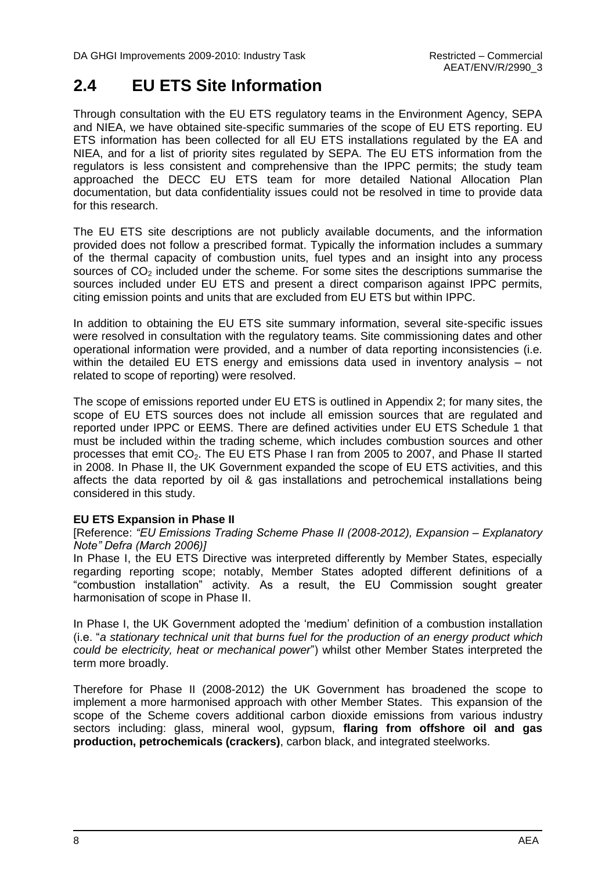### <span id="page-13-0"></span>**2.4 EU ETS Site Information**

Through consultation with the EU ETS regulatory teams in the Environment Agency, SEPA and NIEA, we have obtained site-specific summaries of the scope of EU ETS reporting. EU ETS information has been collected for all EU ETS installations regulated by the EA and NIEA, and for a list of priority sites regulated by SEPA. The EU ETS information from the regulators is less consistent and comprehensive than the IPPC permits; the study team approached the DECC EU ETS team for more detailed National Allocation Plan documentation, but data confidentiality issues could not be resolved in time to provide data for this research.

The EU ETS site descriptions are not publicly available documents, and the information provided does not follow a prescribed format. Typically the information includes a summary of the thermal capacity of combustion units, fuel types and an insight into any process sources of  $CO<sub>2</sub>$  included under the scheme. For some sites the descriptions summarise the sources included under EU ETS and present a direct comparison against IPPC permits, citing emission points and units that are excluded from EU ETS but within IPPC.

In addition to obtaining the EU ETS site summary information, several site-specific issues were resolved in consultation with the regulatory teams. Site commissioning dates and other operational information were provided, and a number of data reporting inconsistencies (i.e. within the detailed EU ETS energy and emissions data used in inventory analysis – not related to scope of reporting) were resolved.

The scope of emissions reported under EU ETS is outlined in Appendix 2; for many sites, the scope of EU ETS sources does not include all emission sources that are regulated and reported under IPPC or EEMS. There are defined activities under EU ETS Schedule 1 that must be included within the trading scheme, which includes combustion sources and other processes that emit CO<sub>2</sub>. The EU ETS Phase I ran from 2005 to 2007, and Phase II started in 2008. In Phase II, the UK Government expanded the scope of EU ETS activities, and this affects the data reported by oil & gas installations and petrochemical installations being considered in this study.

#### **EU ETS Expansion in Phase II**

[Reference: *"EU Emissions Trading Scheme Phase II (2008-2012), Expansion – Explanatory Note" Defra (March 2006)]*

In Phase I, the EU ETS Directive was interpreted differently by Member States, especially regarding reporting scope; notably, Member States adopted different definitions of a "combustion installation" activity. As a result, the EU Commission sought greater harmonisation of scope in Phase II.

In Phase I, the UK Government adopted the "medium" definition of a combustion installation (i.e. "*a stationary technical unit that burns fuel for the production of an energy product which could be electricity, heat or mechanical power*") whilst other Member States interpreted the term more broadly.

Therefore for Phase II (2008-2012) the UK Government has broadened the scope to implement a more harmonised approach with other Member States. This expansion of the scope of the Scheme covers additional carbon dioxide emissions from various industry sectors including: glass, mineral wool, gypsum, **flaring from offshore oil and gas production, petrochemicals (crackers)**, carbon black, and integrated steelworks.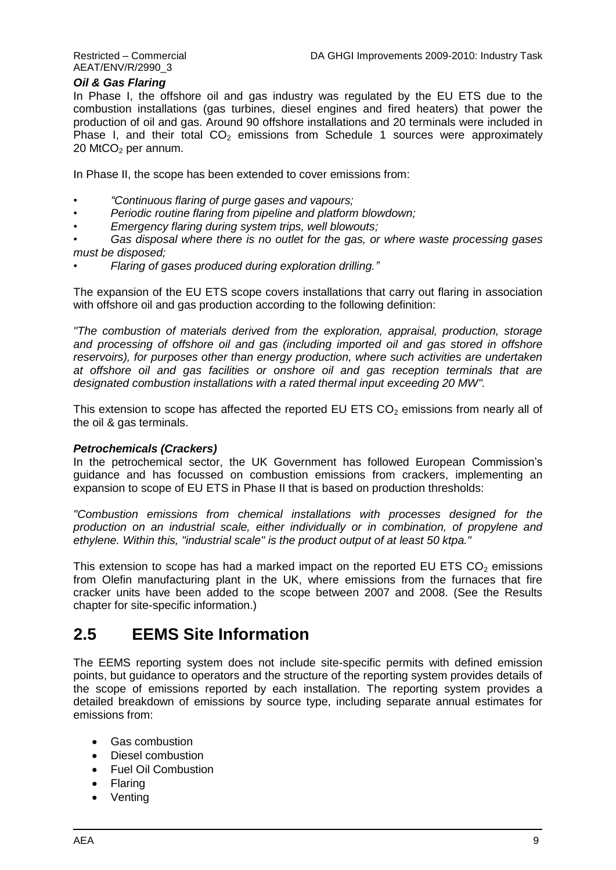AEAT/ENV/R/2990\_3

#### *Oil & Gas Flaring*

In Phase I, the offshore oil and gas industry was regulated by the EU ETS due to the combustion installations (gas turbines, diesel engines and fired heaters) that power the production of oil and gas. Around 90 offshore installations and 20 terminals were included in Phase I, and their total  $CO<sub>2</sub>$  emissions from Schedule 1 sources were approximately  $20$  MtCO<sub>2</sub> per annum.

In Phase II, the scope has been extended to cover emissions from:

- *• "Continuous flaring of purge gases and vapours;*
- *• Periodic routine flaring from pipeline and platform blowdown;*
- *• Emergency flaring during system trips, well blowouts;*
- *• Gas disposal where there is no outlet for the gas, or where waste processing gases must be disposed;*
- *• Flaring of gases produced during exploration drilling."*

The expansion of the EU ETS scope covers installations that carry out flaring in association with offshore oil and gas production according to the following definition:

*"The combustion of materials derived from the exploration, appraisal, production, storage and processing of offshore oil and gas (including imported oil and gas stored in offshore reservoirs), for purposes other than energy production, where such activities are undertaken at offshore oil and gas facilities or onshore oil and gas reception terminals that are designated combustion installations with a rated thermal input exceeding 20 MW".*

This extension to scope has affected the reported EU ETS  $CO<sub>2</sub>$  emissions from nearly all of the oil & gas terminals.

#### *Petrochemicals (Crackers)*

In the petrochemical sector, the UK Government has followed European Commission's guidance and has focussed on combustion emissions from crackers, implementing an expansion to scope of EU ETS in Phase II that is based on production thresholds:

*"Combustion emissions from chemical installations with processes designed for the production on an industrial scale, either individually or in combination, of propylene and ethylene. Within this, "industrial scale" is the product output of at least 50 ktpa."*

This extension to scope has had a marked impact on the reported EU ETS  $CO<sub>2</sub>$  emissions from Olefin manufacturing plant in the UK, where emissions from the furnaces that fire cracker units have been added to the scope between 2007 and 2008. (See the Results chapter for site-specific information.)

### <span id="page-14-0"></span>**2.5 EEMS Site Information**

The EEMS reporting system does not include site-specific permits with defined emission points, but guidance to operators and the structure of the reporting system provides details of the scope of emissions reported by each installation. The reporting system provides a detailed breakdown of emissions by source type, including separate annual estimates for emissions from:

- Gas combustion
- Diesel combustion
- Fuel Oil Combustion
- Flaring
- Venting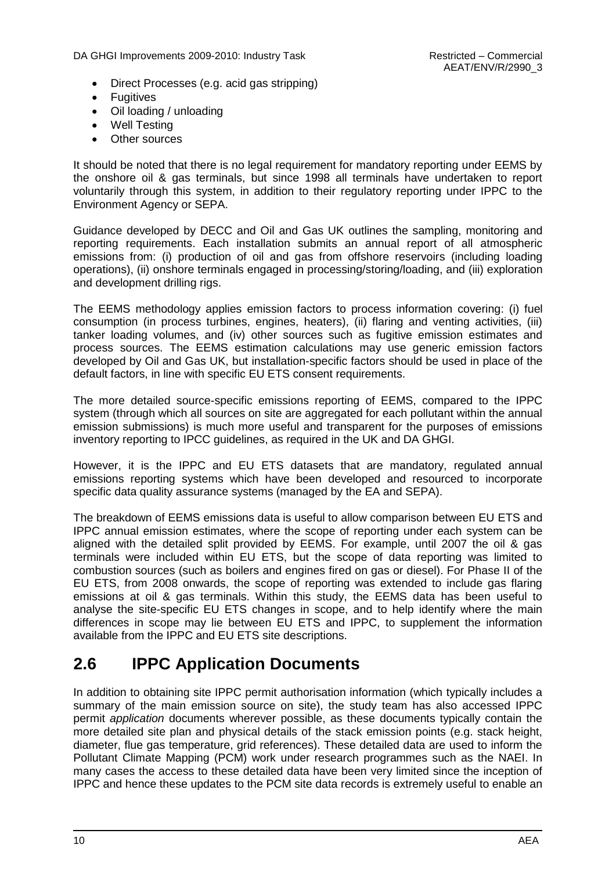- Direct Processes (e.g. acid gas stripping)
- **•** Fugitives
- Oil loading / unloading
- Well Testing
- Other sources

It should be noted that there is no legal requirement for mandatory reporting under EEMS by the onshore oil & gas terminals, but since 1998 all terminals have undertaken to report voluntarily through this system, in addition to their regulatory reporting under IPPC to the Environment Agency or SEPA.

Guidance developed by DECC and Oil and Gas UK outlines the sampling, monitoring and reporting requirements. Each installation submits an annual report of all atmospheric emissions from: (i) production of oil and gas from offshore reservoirs (including loading operations), (ii) onshore terminals engaged in processing/storing/loading, and (iii) exploration and development drilling rigs.

The EEMS methodology applies emission factors to process information covering: (i) fuel consumption (in process turbines, engines, heaters), (ii) flaring and venting activities, (iii) tanker loading volumes, and (iv) other sources such as fugitive emission estimates and process sources. The EEMS estimation calculations may use generic emission factors developed by Oil and Gas UK, but installation-specific factors should be used in place of the default factors, in line with specific EU ETS consent requirements.

The more detailed source-specific emissions reporting of EEMS, compared to the IPPC system (through which all sources on site are aggregated for each pollutant within the annual emission submissions) is much more useful and transparent for the purposes of emissions inventory reporting to IPCC guidelines, as required in the UK and DA GHGI.

However, it is the IPPC and EU ETS datasets that are mandatory, regulated annual emissions reporting systems which have been developed and resourced to incorporate specific data quality assurance systems (managed by the EA and SEPA).

The breakdown of EEMS emissions data is useful to allow comparison between EU ETS and IPPC annual emission estimates, where the scope of reporting under each system can be aligned with the detailed split provided by EEMS. For example, until 2007 the oil & gas terminals were included within EU ETS, but the scope of data reporting was limited to combustion sources (such as boilers and engines fired on gas or diesel). For Phase II of the EU ETS, from 2008 onwards, the scope of reporting was extended to include gas flaring emissions at oil & gas terminals. Within this study, the EEMS data has been useful to analyse the site-specific EU ETS changes in scope, and to help identify where the main differences in scope may lie between EU ETS and IPPC, to supplement the information available from the IPPC and EU ETS site descriptions.

### <span id="page-15-0"></span>**2.6 IPPC Application Documents**

In addition to obtaining site IPPC permit authorisation information (which typically includes a summary of the main emission source on site), the study team has also accessed IPPC permit *application* documents wherever possible, as these documents typically contain the more detailed site plan and physical details of the stack emission points (e.g. stack height, diameter, flue gas temperature, grid references). These detailed data are used to inform the Pollutant Climate Mapping (PCM) work under research programmes such as the NAEI. In many cases the access to these detailed data have been very limited since the inception of IPPC and hence these updates to the PCM site data records is extremely useful to enable an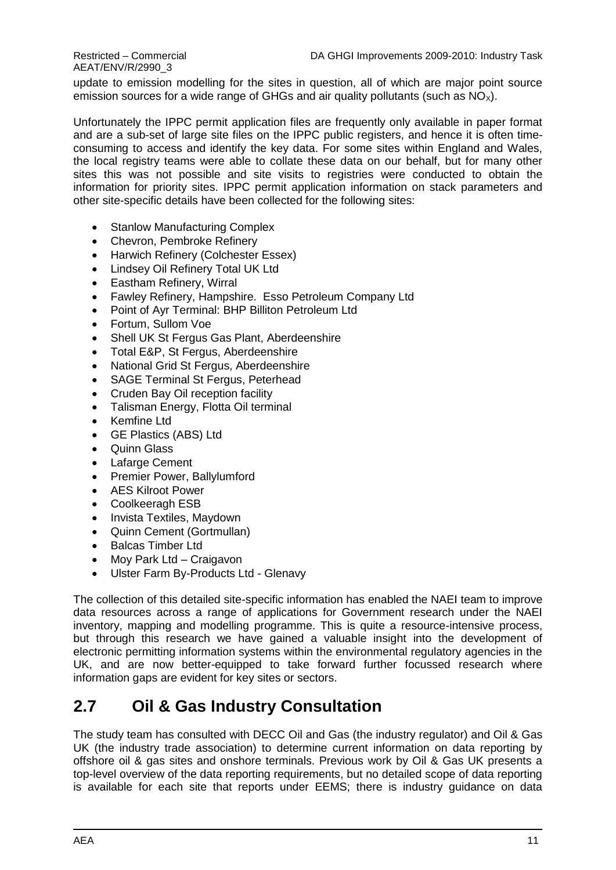update to emission modelling for the sites in question, all of which are major point source emission sources for a wide range of GHGs and air quality pollutants (such as  $NO<sub>x</sub>$ ).

Unfortunately the IPPC permit application files are frequently only available in paper format and are a sub-set of large site files on the IPPC public registers, and hence it is often timeconsuming to access and identify the key data. For some sites within England and Wales, the local registry teams were able to collate these data on our behalf, but for many other sites this was not possible and site visits to registries were conducted to obtain the information for priority sites. IPPC permit application information on stack parameters and other site-specific details have been collected for the following sites:

- Stanlow Manufacturing Complex
- Chevron, Pembroke Refinery
- Harwich Refinery (Colchester Essex)
- Lindsey Oil Refinery Total UK Ltd
- Eastham Refinery, Wirral
- Fawley Refinery, Hampshire. Esso Petroleum Company Ltd
- Point of Ayr Terminal: BHP Billiton Petroleum Ltd
- Fortum, Sullom Voe
- Shell UK St Fergus Gas Plant, Aberdeenshire
- Total E&P, St Fergus, Aberdeenshire
- National Grid St Fergus, Aberdeenshire
- SAGE Terminal St Fergus, Peterhead
- Cruden Bay Oil reception facility
- Talisman Energy, Flotta Oil terminal
- Kemfine Ltd
- GE Plastics (ABS) Ltd
- Quinn Glass
- Lafarge Cement
- Premier Power, Ballylumford
- AES Kilroot Power
- Coolkeeragh ESB
- Invista Textiles, Maydown
- Quinn Cement (Gortmullan)
- Balcas Timber Ltd
- Mov Park Ltd Craigavon
- Ulster Farm By-Products Ltd Glenavy

The collection of this detailed site-specific information has enabled the NAEI team to improve data resources across a range of applications for Government research under the NAEI inventory, mapping and modelling programme. This is quite a resource-intensive process, but through this research we have gained a valuable insight into the development of electronic permitting information systems within the environmental regulatory agencies in the UK, and are now better-equipped to take forward further focussed research where information gaps are evident for key sites or sectors.

### <span id="page-16-0"></span>**2.7 Oil & Gas Industry Consultation**

The study team has consulted with DECC Oil and Gas (the industry regulator) and Oil & Gas UK (the industry trade association) to determine current information on data reporting by offshore oil & gas sites and onshore terminals. Previous work by Oil & Gas UK presents a top-level overview of the data reporting requirements, but no detailed scope of data reporting is available for each site that reports under EEMS; there is industry guidance on data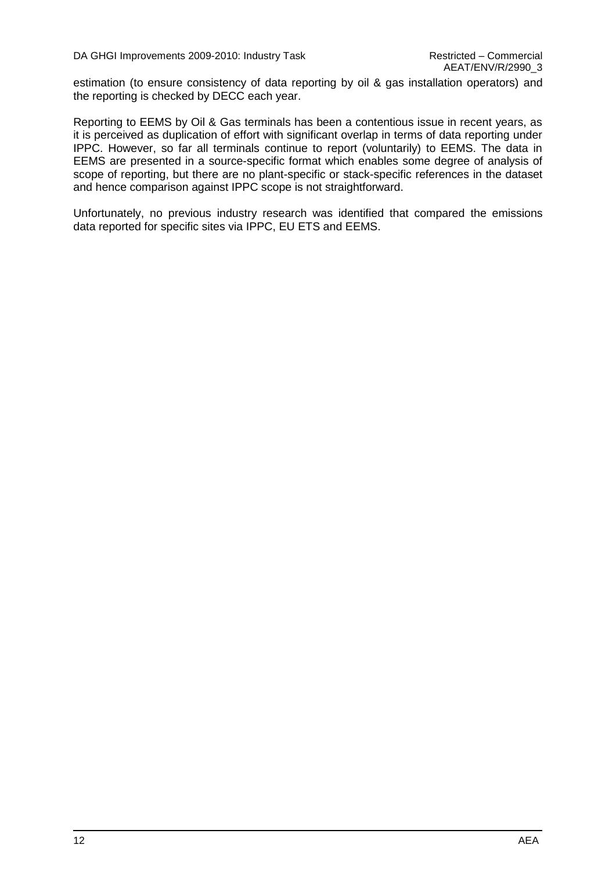estimation (to ensure consistency of data reporting by oil & gas installation operators) and the reporting is checked by DECC each year.

Reporting to EEMS by Oil & Gas terminals has been a contentious issue in recent years, as it is perceived as duplication of effort with significant overlap in terms of data reporting under IPPC. However, so far all terminals continue to report (voluntarily) to EEMS. The data in EEMS are presented in a source-specific format which enables some degree of analysis of scope of reporting, but there are no plant-specific or stack-specific references in the dataset and hence comparison against IPPC scope is not straightforward.

Unfortunately, no previous industry research was identified that compared the emissions data reported for specific sites via IPPC, EU ETS and EEMS.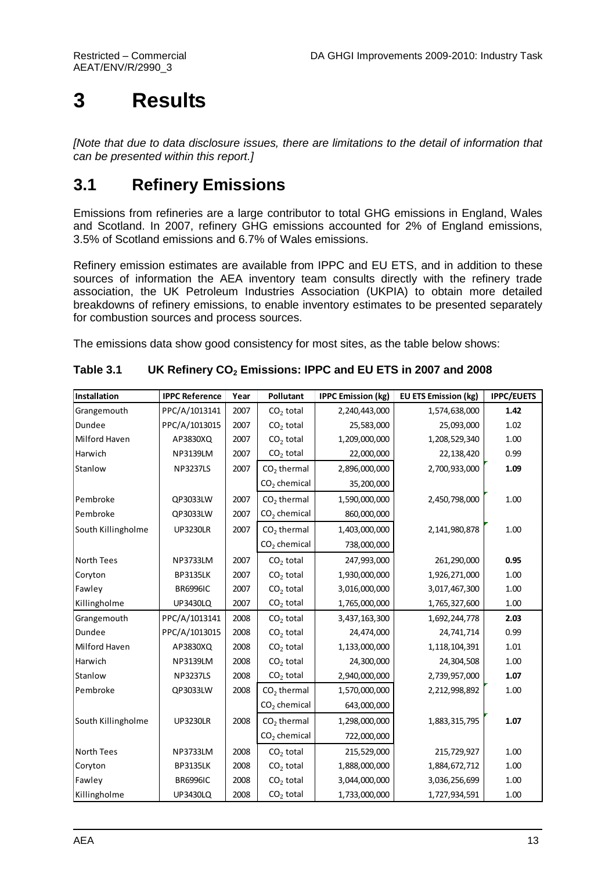## <span id="page-18-0"></span>**3 Results**

*[Note that due to data disclosure issues, there are limitations to the detail of information that can be presented within this report.]*

### <span id="page-18-1"></span>**3.1 Refinery Emissions**

Emissions from refineries are a large contributor to total GHG emissions in England, Wales and Scotland. In 2007, refinery GHG emissions accounted for 2% of England emissions, 3.5% of Scotland emissions and 6.7% of Wales emissions.

Refinery emission estimates are available from IPPC and EU ETS, and in addition to these sources of information the AEA inventory team consults directly with the refinery trade association, the UK Petroleum Industries Association (UKPIA) to obtain more detailed breakdowns of refinery emissions, to enable inventory estimates to be presented separately for combustion sources and process sources.

The emissions data show good consistency for most sites, as the table below shows:

| Installation       | <b>IPPC Reference</b> | Year | Pollutant               | <b>IPPC Emission (kg)</b> | <b>EU ETS Emission (kg)</b> | <b>IPPC/EUETS</b> |
|--------------------|-----------------------|------|-------------------------|---------------------------|-----------------------------|-------------------|
| Grangemouth        | PPC/A/1013141         | 2007 | $CO2$ total             | 2,240,443,000             | 1,574,638,000               | 1.42              |
| Dundee             | PPC/A/1013015         | 2007 | $CO2$ total             | 25,583,000                | 25,093,000                  | 1.02              |
| Milford Haven      | AP3830XQ              | 2007 | $CO2$ total             | 1,209,000,000             | 1,208,529,340               | 1.00              |
| Harwich            | <b>NP3139LM</b>       | 2007 | $CO2$ total             | 22,000,000                | 22,138,420                  | 0.99              |
| Stanlow            | <b>NP3237LS</b>       | 2007 | $CO2$ thermal           | 2,896,000,000             | 2,700,933,000               | 1.09              |
|                    |                       |      | $CO2$ chemical          | 35,200,000                |                             |                   |
| Pembroke           | QP3033LW              | 2007 | $CO2$ thermal           | 1,590,000,000             | 2,450,798,000               | 1.00              |
| Pembroke           | QP3033LW              | 2007 | $CO2$ chemical          | 860,000,000               |                             |                   |
| South Killingholme | <b>UP3230LR</b>       | 2007 | $CO2$ thermal           | 1,403,000,000             | 2,141,980,878               | 1.00              |
|                    |                       |      | $CO2$ chemical          | 738,000,000               |                             |                   |
| <b>North Tees</b>  | <b>NP3733LM</b>       | 2007 | $CO2$ total             | 247,993,000               | 261,290,000                 | 0.95              |
| Coryton            | <b>BP3135LK</b>       | 2007 | $CO2$ total             | 1,930,000,000             | 1,926,271,000               | 1.00              |
| Fawley             | <b>BR6996IC</b>       | 2007 | $CO2$ total             | 3,016,000,000             | 3,017,467,300               | 1.00              |
| Killingholme       | <b>UP3430LQ</b>       | 2007 | $CO2$ total             | 1,765,000,000             | 1,765,327,600               | 1.00              |
| Grangemouth        | PPC/A/1013141         | 2008 | $CO2$ total             | 3,437,163,300             | 1,692,244,778               | 2.03              |
| Dundee             | PPC/A/1013015         | 2008 | $CO2$ total             | 24,474,000                | 24,741,714                  | 0.99              |
| Milford Haven      | AP3830XQ              | 2008 | $CO2$ total             | 1,133,000,000             | 1,118,104,391               | 1.01              |
| Harwich            | <b>NP3139LM</b>       | 2008 | $CO2$ total             | 24,300,000                | 24,304,508                  | 1.00              |
| Stanlow            | <b>NP3237LS</b>       | 2008 | $CO2$ total             | 2,940,000,000             | 2,739,957,000               | 1.07              |
| Pembroke           | QP3033LW              | 2008 | CO <sub>2</sub> thermal | 1,570,000,000             | 2,212,998,892               | 1.00              |
|                    |                       |      | $CO2$ chemical          | 643,000,000               |                             |                   |
| South Killingholme | <b>UP3230LR</b>       | 2008 | $CO2$ thermal           | 1,298,000,000             | 1,883,315,795               | 1.07              |
|                    |                       |      | $CO2$ chemical          | 722,000,000               |                             |                   |
| <b>North Tees</b>  | <b>NP3733LM</b>       | 2008 | $CO2$ total             | 215,529,000               | 215,729,927                 | 1.00              |
| Coryton            | <b>BP3135LK</b>       | 2008 | $CO2$ total             | 1,888,000,000             | 1,884,672,712               | 1.00              |
| Fawley             | <b>BR6996IC</b>       | 2008 | $CO2$ total             | 3,044,000,000             | 3,036,256,699               | 1.00              |
| Killingholme       | <b>UP3430LQ</b>       | 2008 | $CO2$ total             | 1,733,000,000             | 1,727,934,591               | 1.00              |

**Table 3.1 UK Refinery CO<sup>2</sup> Emissions: IPPC and EU ETS in 2007 and 2008**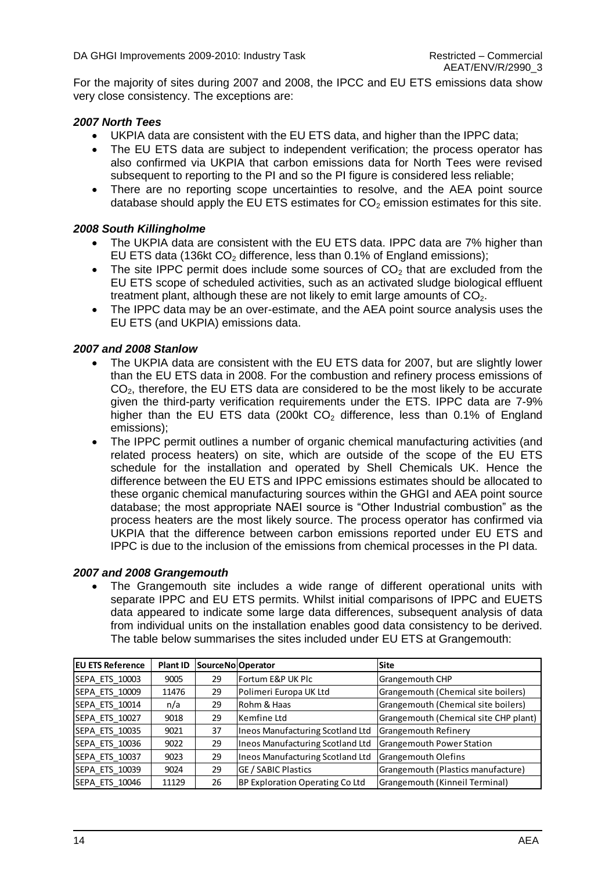For the majority of sites during 2007 and 2008, the IPCC and EU ETS emissions data show very close consistency. The exceptions are:

#### *2007 North Tees*

- UKPIA data are consistent with the EU ETS data, and higher than the IPPC data;
- The EU ETS data are subject to independent verification; the process operator has also confirmed via UKPIA that carbon emissions data for North Tees were revised subsequent to reporting to the PI and so the PI figure is considered less reliable;
- There are no reporting scope uncertainties to resolve, and the AEA point source database should apply the EU ETS estimates for  $CO<sub>2</sub>$  emission estimates for this site.

#### *2008 South Killingholme*

- The UKPIA data are consistent with the EU ETS data. IPPC data are 7% higher than EU ETS data (136kt  $CO<sub>2</sub>$  difference, less than 0.1% of England emissions);
- $\bullet$  The site IPPC permit does include some sources of CO<sub>2</sub> that are excluded from the EU ETS scope of scheduled activities, such as an activated sludge biological effluent treatment plant, although these are not likely to emit large amounts of  $CO<sub>2</sub>$ .
- The IPPC data may be an over-estimate, and the AEA point source analysis uses the EU ETS (and UKPIA) emissions data.

#### *2007 and 2008 Stanlow*

- The UKPIA data are consistent with the EU ETS data for 2007, but are slightly lower than the EU ETS data in 2008. For the combustion and refinery process emissions of  $CO<sub>2</sub>$ , therefore, the EU ETS data are considered to be the most likely to be accurate given the third-party verification requirements under the ETS. IPPC data are 7-9% higher than the EU ETS data (200kt  $CO<sub>2</sub>$  difference, less than 0.1% of England emissions);
- The IPPC permit outlines a number of organic chemical manufacturing activities (and related process heaters) on site, which are outside of the scope of the EU ETS schedule for the installation and operated by Shell Chemicals UK. Hence the difference between the EU ETS and IPPC emissions estimates should be allocated to these organic chemical manufacturing sources within the GHGI and AEA point source database; the most appropriate NAEI source is "Other Industrial combustion" as the process heaters are the most likely source. The process operator has confirmed via UKPIA that the difference between carbon emissions reported under EU ETS and IPPC is due to the inclusion of the emissions from chemical processes in the PI data.

#### *2007 and 2008 Grangemouth*

 The Grangemouth site includes a wide range of different operational units with separate IPPC and EU ETS permits. Whilst initial comparisons of IPPC and EUETS data appeared to indicate some large data differences, subsequent analysis of data from individual units on the installation enables good data consistency to be derived. The table below summarises the sites included under EU ETS at Grangemouth:

| <b>EU ETS Reference</b> | Plant ID | SourceNo Operator |                                         | Site                                  |
|-------------------------|----------|-------------------|-----------------------------------------|---------------------------------------|
| SEPA ETS 10003          | 9005     | 29                | Fortum E&P UK Plc                       | Grangemouth CHP                       |
| SEPA ETS 10009          | 11476    | 29                | Polimeri Europa UK Ltd                  | Grangemouth (Chemical site boilers)   |
| SEPA_ETS_10014          | n/a      | 29                | Rohm & Haas                             | Grangemouth (Chemical site boilers)   |
| SEPA ETS 10027          | 9018     | 29                | Kemfine Ltd                             | Grangemouth (Chemical site CHP plant) |
| <b>SEPA ETS 10035</b>   | 9021     | 37                | Ineos Manufacturing Scotland Ltd        | <b>Grangemouth Refinery</b>           |
| SEPA ETS 10036          | 9022     | 29                | <b>Ineos Manufacturing Scotland Ltd</b> | Grangemouth Power Station             |
| <b>SEPA ETS 10037</b>   | 9023     | 29                | <b>Ineos Manufacturing Scotland Ltd</b> | <b>Grangemouth Olefins</b>            |
| SEPA ETS 10039          | 9024     | 29                | <b>GE / SABIC Plastics</b>              | Grangemouth (Plastics manufacture)    |
| SEPA ETS 10046          | 11129    | 26                | BP Exploration Operating Co Ltd         | Grangemouth (Kinneil Terminal)        |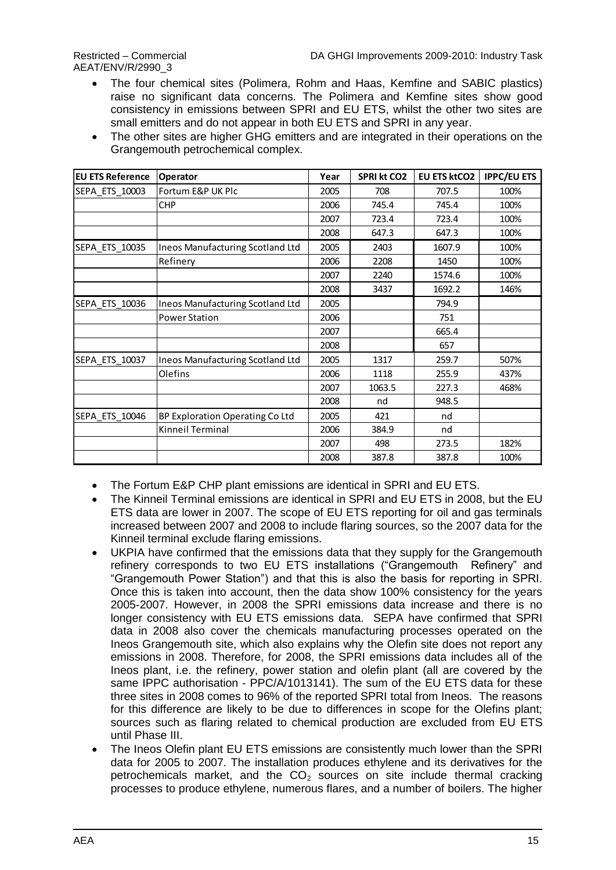AEAT/ENV/R/2990\_3

- The four chemical sites (Polimera, Rohm and Haas, Kemfine and SABIC plastics) raise no significant data concerns. The Polimera and Kemfine sites show good consistency in emissions between SPRI and EU ETS, whilst the other two sites are small emitters and do not appear in both EU ETS and SPRI in any year.
- The other sites are higher GHG emitters and are integrated in their operations on the Grangemouth petrochemical complex.

| <b>EU ETS Reference</b> | Operator                                | Year | <b>SPRI kt CO2</b> | <b>EU ETS ktCO2</b> | <b>IPPC/EU ETS</b> |
|-------------------------|-----------------------------------------|------|--------------------|---------------------|--------------------|
| SEPA ETS 10003          | Fortum E&P UK Plc                       | 2005 | 708                | 707.5               | 100%               |
|                         | <b>CHP</b>                              | 2006 | 745.4              | 745.4               | 100%               |
|                         |                                         | 2007 | 723.4              | 723.4               | 100%               |
|                         |                                         | 2008 | 647.3              | 647.3               | 100%               |
| SEPA_ETS_10035          | Ineos Manufacturing Scotland Ltd        | 2005 | 2403               | 1607.9              | 100%               |
|                         | Refinery                                | 2006 | 2208               | 1450                | 100%               |
|                         |                                         | 2007 | 2240               | 1574.6              | 100%               |
|                         |                                         | 2008 | 3437               | 1692.2              | 146%               |
| SEPA ETS 10036          | <b>Ineos Manufacturing Scotland Ltd</b> | 2005 |                    | 794.9               |                    |
|                         | <b>Power Station</b>                    | 2006 |                    | 751                 |                    |
|                         |                                         | 2007 |                    | 665.4               |                    |
|                         |                                         | 2008 |                    | 657                 |                    |
| SEPA ETS 10037          | <b>Ineos Manufacturing Scotland Ltd</b> | 2005 | 1317               | 259.7               | 507%               |
|                         | Olefins                                 | 2006 | 1118               | 255.9               | 437%               |
|                         |                                         | 2007 | 1063.5             | 227.3               | 468%               |
|                         |                                         | 2008 | nd                 | 948.5               |                    |
| SEPA ETS 10046          | BP Exploration Operating Co Ltd         | 2005 | 421                | nd                  |                    |
|                         | Kinneil Terminal                        | 2006 | 384.9              | nd                  |                    |
|                         |                                         | 2007 | 498                | 273.5               | 182%               |
|                         |                                         | 2008 | 387.8              | 387.8               | 100%               |

• The Fortum E&P CHP plant emissions are identical in SPRI and EU ETS.

- The Kinneil Terminal emissions are identical in SPRI and EU ETS in 2008, but the EU ETS data are lower in 2007. The scope of EU ETS reporting for oil and gas terminals increased between 2007 and 2008 to include flaring sources, so the 2007 data for the Kinneil terminal exclude flaring emissions.
- UKPIA have confirmed that the emissions data that they supply for the Grangemouth refinery corresponds to two EU ETS installations ("Grangemouth Refinery" and "Grangemouth Power Station") and that this is also the basis for reporting in SPRI. Once this is taken into account, then the data show 100% consistency for the years 2005-2007. However, in 2008 the SPRI emissions data increase and there is no longer consistency with EU ETS emissions data. SEPA have confirmed that SPRI data in 2008 also cover the chemicals manufacturing processes operated on the Ineos Grangemouth site, which also explains why the Olefin site does not report any emissions in 2008. Therefore, for 2008, the SPRI emissions data includes all of the Ineos plant, i.e. the refinery, power station and olefin plant (all are covered by the same IPPC authorisation - PPC/A/1013141). The sum of the EU ETS data for these three sites in 2008 comes to 96% of the reported SPRI total from Ineos. The reasons for this difference are likely to be due to differences in scope for the Olefins plant; sources such as flaring related to chemical production are excluded from EU ETS until Phase III.
- The Ineos Olefin plant EU ETS emissions are consistently much lower than the SPRI data for 2005 to 2007. The installation produces ethylene and its derivatives for the petrochemicals market, and the  $CO<sub>2</sub>$  sources on site include thermal cracking processes to produce ethylene, numerous flares, and a number of boilers. The higher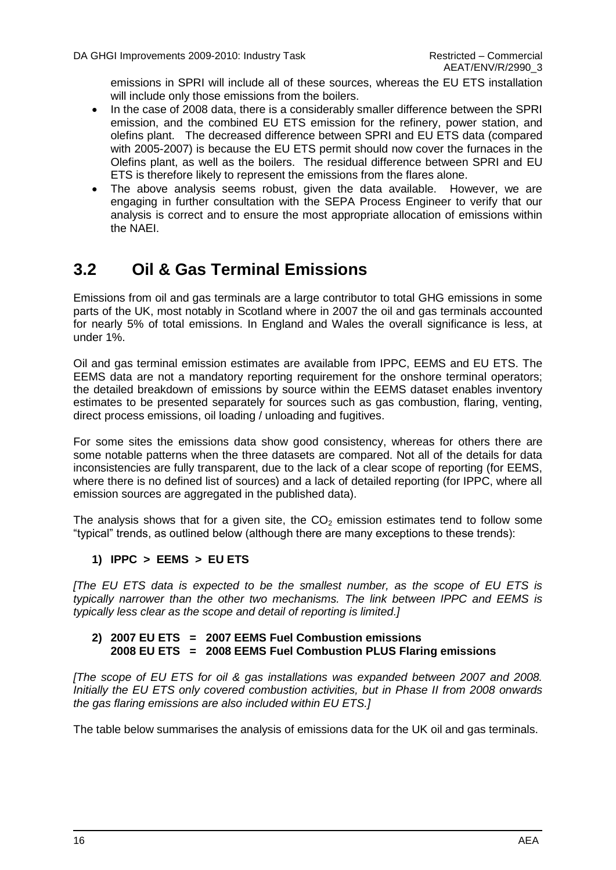emissions in SPRI will include all of these sources, whereas the EU ETS installation will include only those emissions from the boilers.

- In the case of 2008 data, there is a considerably smaller difference between the SPRI emission, and the combined EU ETS emission for the refinery, power station, and olefins plant. The decreased difference between SPRI and EU ETS data (compared with 2005-2007) is because the EU ETS permit should now cover the furnaces in the Olefins plant, as well as the boilers. The residual difference between SPRI and EU ETS is therefore likely to represent the emissions from the flares alone.
- The above analysis seems robust, given the data available. However, we are engaging in further consultation with the SEPA Process Engineer to verify that our analysis is correct and to ensure the most appropriate allocation of emissions within the NAEI.

### <span id="page-21-0"></span>**3.2 Oil & Gas Terminal Emissions**

Emissions from oil and gas terminals are a large contributor to total GHG emissions in some parts of the UK, most notably in Scotland where in 2007 the oil and gas terminals accounted for nearly 5% of total emissions. In England and Wales the overall significance is less, at under 1%.

Oil and gas terminal emission estimates are available from IPPC, EEMS and EU ETS. The EEMS data are not a mandatory reporting requirement for the onshore terminal operators; the detailed breakdown of emissions by source within the EEMS dataset enables inventory estimates to be presented separately for sources such as gas combustion, flaring, venting, direct process emissions, oil loading / unloading and fugitives.

For some sites the emissions data show good consistency, whereas for others there are some notable patterns when the three datasets are compared. Not all of the details for data inconsistencies are fully transparent, due to the lack of a clear scope of reporting (for EEMS, where there is no defined list of sources) and a lack of detailed reporting (for IPPC, where all emission sources are aggregated in the published data).

The analysis shows that for a given site, the  $CO<sub>2</sub>$  emission estimates tend to follow some "typical" trends, as outlined below (although there are many exceptions to these trends):

#### **1) IPPC > EEMS > EU ETS**

*[The EU ETS data is expected to be the smallest number, as the scope of EU ETS is typically narrower than the other two mechanisms. The link between IPPC and EEMS is typically less clear as the scope and detail of reporting is limited.]*

#### **2) 2007 EU ETS = 2007 EEMS Fuel Combustion emissions 2008 EU ETS = 2008 EEMS Fuel Combustion PLUS Flaring emissions**

*[The scope of EU ETS for oil & gas installations was expanded between 2007 and 2008. Initially the EU ETS only covered combustion activities, but in Phase II from 2008 onwards the gas flaring emissions are also included within EU ETS.]*

The table below summarises the analysis of emissions data for the UK oil and gas terminals.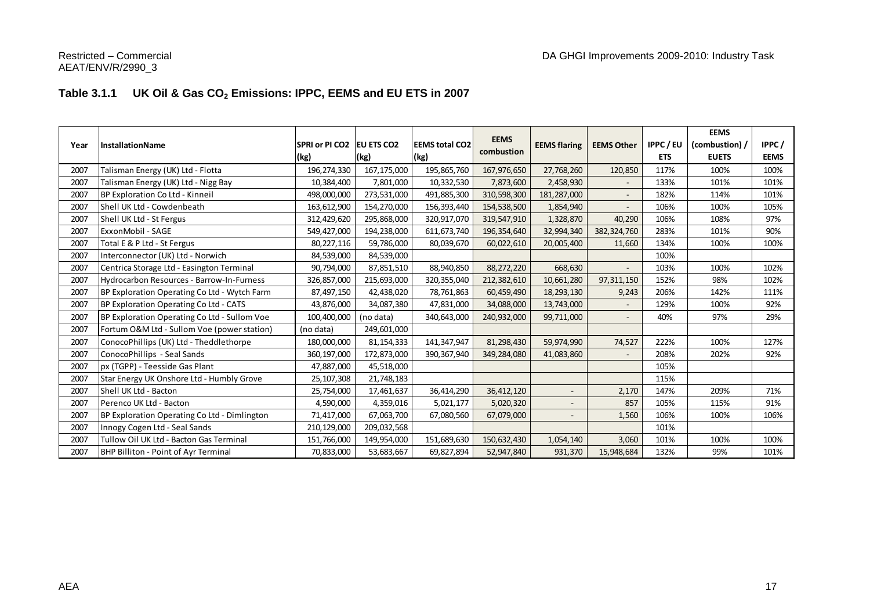#### **Table 3.1.1 UK Oil & Gas CO<sup>2</sup> Emissions: IPPC, EEMS and EU ETS in 2007**

| Year | <b>InstallationName</b>                      | SPRI or PI CO2<br>(kg) | <b>EU ETS CO2</b><br>(kg) | <b>EEMS total CO2</b><br>(kg) | <b>EEMS</b><br>combustion | <b>EEMS flaring</b>      | <b>EEMS Other</b>        | <b>IPPC/EU</b><br><b>ETS</b> | <b>EEMS</b><br>(combustion) /<br><b>EUETS</b> | IPPC/<br><b>EEMS</b> |
|------|----------------------------------------------|------------------------|---------------------------|-------------------------------|---------------------------|--------------------------|--------------------------|------------------------------|-----------------------------------------------|----------------------|
| 2007 | Talisman Energy (UK) Ltd - Flotta            | 196,274,330            | 167,175,000               | 195,865,760                   | 167,976,650               | 27,768,260               | 120,850                  | 117%                         | 100%                                          | 100%                 |
| 2007 | Talisman Energy (UK) Ltd - Nigg Bay          | 10,384,400             | 7,801,000                 | 10,332,530                    | 7,873,600                 | 2,458,930                |                          | 133%                         | 101%                                          | 101%                 |
| 2007 | BP Exploration Co Ltd - Kinneil              | 498,000,000            | 273,531,000               | 491,885,300                   | 310,598,300               | 181,287,000              | $\overline{a}$           | 182%                         | 114%                                          | 101%                 |
| 2007 | Shell UK Ltd - Cowdenbeath                   | 163,612,900            | 154,270,000               | 156,393,440                   | 154,538,500               | 1,854,940                | $\overline{\phantom{a}}$ | 106%                         | 100%                                          | 105%                 |
| 2007 | Shell UK Ltd - St Fergus                     | 312,429,620            | 295,868,000               | 320,917,070                   | 319,547,910               | 1,328,870                | 40,290                   | 106%                         | 108%                                          | 97%                  |
| 2007 | ExxonMobil - SAGE                            | 549,427,000            | 194,238,000               | 611, 673, 740                 | 196, 354, 640             | 32,994,340               | 382,324,760              | 283%                         | 101%                                          | 90%                  |
| 2007 | Total E & P Ltd - St Fergus                  | 80,227,116             | 59,786,000                | 80,039,670                    | 60,022,610                | 20,005,400               | 11,660                   | 134%                         | 100%                                          | 100%                 |
| 2007 | Interconnector (UK) Ltd - Norwich            | 84,539,000             | 84,539,000                |                               |                           |                          |                          | 100%                         |                                               |                      |
| 2007 | Centrica Storage Ltd - Easington Terminal    | 90,794,000             | 87,851,510                | 88,940,850                    | 88,272,220                | 668,630                  | $\overline{\phantom{0}}$ | 103%                         | 100%                                          | 102%                 |
| 2007 | Hydrocarbon Resources - Barrow-In-Furness    | 326,857,000            | 215,693,000               | 320, 355, 040                 | 212,382,610               | 10,661,280               | 97,311,150               | 152%                         | 98%                                           | 102%                 |
| 2007 | BP Exploration Operating Co Ltd - Wytch Farm | 87,497,150             | 42,438,020                | 78,761,863                    | 60,459,490                | 18,293,130               | 9,243                    | 206%                         | 142%                                          | 111%                 |
| 2007 | BP Exploration Operating Co Ltd - CATS       | 43,876,000             | 34,087,380                | 47,831,000                    | 34,088,000                | 13,743,000               |                          | 129%                         | 100%                                          | 92%                  |
| 2007 | BP Exploration Operating Co Ltd - Sullom Voe | 100,400,000            | (no data)                 | 340,643,000                   | 240,932,000               | 99,711,000               | $\overline{\phantom{m}}$ | 40%                          | 97%                                           | 29%                  |
| 2007 | Fortum O&M Ltd - Sullom Voe (power station)  | (no data)              | 249,601,000               |                               |                           |                          |                          |                              |                                               |                      |
| 2007 | ConocoPhillips (UK) Ltd - Theddlethorpe      | 180,000,000            | 81, 154, 333              | 141,347,947                   | 81,298,430                | 59,974,990               | 74,527                   | 222%                         | 100%                                          | 127%                 |
| 2007 | ConocoPhillips - Seal Sands                  | 360,197,000            | 172,873,000               | 390, 367, 940                 | 349,284,080               | 41,083,860               | $\overline{\phantom{a}}$ | 208%                         | 202%                                          | 92%                  |
| 2007 | px (TGPP) - Teesside Gas Plant               | 47,887,000             | 45,518,000                |                               |                           |                          |                          | 105%                         |                                               |                      |
| 2007 | Star Energy UK Onshore Ltd - Humbly Grove    | 25,107,308             | 21,748,183                |                               |                           |                          |                          | 115%                         |                                               |                      |
| 2007 | Shell UK Ltd - Bacton                        | 25,754,000             | 17,461,637                | 36,414,290                    | 36,412,120                | $\overline{\phantom{a}}$ | 2,170                    | 147%                         | 209%                                          | 71%                  |
| 2007 | Perenco UK Ltd - Bacton                      | 4,590,000              | 4,359,016                 | 5,021,177                     | 5,020,320                 | $\overline{\phantom{a}}$ | 857                      | 105%                         | 115%                                          | 91%                  |
| 2007 | BP Exploration Operating Co Ltd - Dimlington | 71,417,000             | 67,063,700                | 67,080,560                    | 67,079,000                |                          | 1,560                    | 106%                         | 100%                                          | 106%                 |
| 2007 | Innogy Cogen Ltd - Seal Sands                | 210,129,000            | 209,032,568               |                               |                           |                          |                          | 101%                         |                                               |                      |
| 2007 | Tullow Oil UK Ltd - Bacton Gas Terminal      | 151,766,000            | 149,954,000               | 151,689,630                   | 150,632,430               | 1,054,140                | 3,060                    | 101%                         | 100%                                          | 100%                 |
| 2007 | BHP Billiton - Point of Ayr Terminal         | 70,833,000             | 53,683,667                | 69,827,894                    | 52,947,840                | 931,370                  | 15,948,684               | 132%                         | 99%                                           | 101%                 |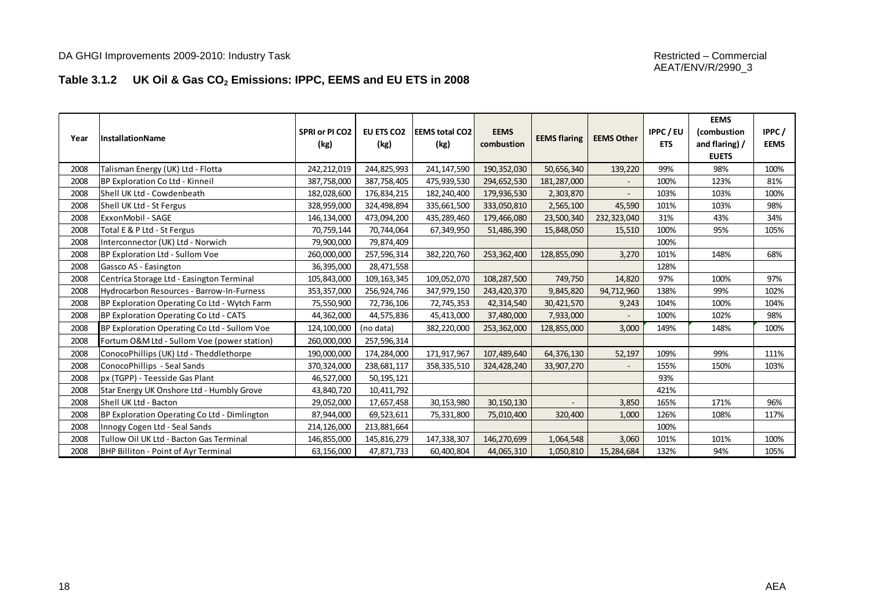#### **Table 3.1.2 UK Oil & Gas CO<sup>2</sup> Emissions: IPPC, EEMS and EU ETS in 2008**

| Year | <b>InstallationName</b>                      | SPRI or PI CO2<br>(kg) | EU ETS CO2<br>(kg) | <b>EEMS total CO2</b><br>(kg) | <b>EEMS</b><br>combustion | <b>EEMS flaring</b> | <b>EEMS Other</b> | <b>IPPC/EU</b><br><b>ETS</b> | <b>EEMS</b><br>(combustion<br>and flaring) /<br><b>EUETS</b> | IPPC/<br><b>EEMS</b> |
|------|----------------------------------------------|------------------------|--------------------|-------------------------------|---------------------------|---------------------|-------------------|------------------------------|--------------------------------------------------------------|----------------------|
| 2008 | Talisman Energy (UK) Ltd - Flotta            | 242,212,019            | 244,825,993        | 241, 147, 590                 | 190,352,030               | 50,656,340          | 139,220           | 99%                          | 98%                                                          | 100%                 |
| 2008 | BP Exploration Co Ltd - Kinneil              | 387,758,000            | 387,758,405        | 475,939,530                   | 294,652,530               | 181,287,000         |                   | 100%                         | 123%                                                         | 81%                  |
| 2008 | Shell UK Ltd - Cowdenbeath                   | 182,028,600            | 176,834,215        | 182,240,400                   | 179,936,530               | 2,303,870           | $\sim$            | 103%                         | 103%                                                         | 100%                 |
| 2008 | Shell UK Ltd - St Fergus                     | 328,959,000            | 324,498,894        | 335,661,500                   | 333,050,810               | 2,565,100           | 45,590            | 101%                         | 103%                                                         | 98%                  |
| 2008 | ExxonMobil - SAGE                            | 146,134,000            | 473,094,200        | 435,289,460                   | 179,466,080               | 23,500,340          | 232,323,040       | 31%                          | 43%                                                          | 34%                  |
| 2008 | Total E & P Ltd - St Fergus                  | 70,759,144             | 70,744,064         | 67,349,950                    | 51,486,390                | 15,848,050          | 15,510            | 100%                         | 95%                                                          | 105%                 |
| 2008 | Interconnector (UK) Ltd - Norwich            | 79,900,000             | 79,874,409         |                               |                           |                     |                   | 100%                         |                                                              |                      |
| 2008 | BP Exploration Ltd - Sullom Voe              | 260,000,000            | 257,596,314        | 382,220,760                   | 253,362,400               | 128,855,090         | 3,270             | 101%                         | 148%                                                         | 68%                  |
| 2008 | Gassco AS - Easington                        | 36,395,000             | 28,471,558         |                               |                           |                     |                   | 128%                         |                                                              |                      |
| 2008 | Centrica Storage Ltd - Easington Terminal    | 105,843,000            | 109, 163, 345      | 109,052,070                   | 108,287,500               | 749,750             | 14,820            | 97%                          | 100%                                                         | 97%                  |
| 2008 | Hydrocarbon Resources - Barrow-In-Furness    | 353,357,000            | 256,924,746        | 347,979,150                   | 243,420,370               | 9,845,820           | 94,712,960        | 138%                         | 99%                                                          | 102%                 |
| 2008 | BP Exploration Operating Co Ltd - Wytch Farm | 75,550,900             | 72,736,106         | 72,745,353                    | 42,314,540                | 30,421,570          | 9,243             | 104%                         | 100%                                                         | 104%                 |
| 2008 | BP Exploration Operating Co Ltd - CATS       | 44,362,000             | 44,575,836         | 45,413,000                    | 37,480,000                | 7,933,000           |                   | 100%                         | 102%                                                         | 98%                  |
| 2008 | BP Exploration Operating Co Ltd - Sullom Voe | 124,100,000            | (no data)          | 382,220,000                   | 253,362,000               | 128,855,000         | 3,000             | 149%                         | 148%                                                         | 100%                 |
| 2008 | Fortum O&M Ltd - Sullom Voe (power station)  | 260,000,000            | 257,596,314        |                               |                           |                     |                   |                              |                                                              |                      |
| 2008 | ConocoPhillips (UK) Ltd - Theddlethorpe      | 190,000,000            | 174,284,000        | 171,917,967                   | 107,489,640               | 64,376,130          | 52,197            | 109%                         | 99%                                                          | 111%                 |
| 2008 | ConocoPhillips - Seal Sands                  | 370,324,000            | 238,681,117        | 358, 335, 510                 | 324,428,240               | 33,907,270          |                   | 155%                         | 150%                                                         | 103%                 |
| 2008 | px (TGPP) - Teesside Gas Plant               | 46,527,000             | 50,195,121         |                               |                           |                     |                   | 93%                          |                                                              |                      |
| 2008 | Star Energy UK Onshore Ltd - Humbly Grove    | 43,840,720             | 10,411,792         |                               |                           |                     |                   | 421%                         |                                                              |                      |
| 2008 | Shell UK Ltd - Bacton                        | 29,052,000             | 17,657,458         | 30,153,980                    | 30, 150, 130              | $\blacksquare$      | 3,850             | 165%                         | 171%                                                         | 96%                  |
| 2008 | BP Exploration Operating Co Ltd - Dimlington | 87,944,000             | 69,523,611         | 75,331,800                    | 75,010,400                | 320,400             | 1,000             | 126%                         | 108%                                                         | 117%                 |
| 2008 | Innogy Cogen Ltd - Seal Sands                | 214,126,000            | 213,881,664        |                               |                           |                     |                   | 100%                         |                                                              |                      |
| 2008 | Tullow Oil UK Ltd - Bacton Gas Terminal      | 146,855,000            | 145,816,279        | 147,338,307                   | 146,270,699               | 1,064,548           | 3,060             | 101%                         | 101%                                                         | 100%                 |
| 2008 | <b>BHP Billiton - Point of Ayr Terminal</b>  | 63,156,000             | 47,871,733         | 60,400,804                    | 44,065,310                | 1,050,810           | 15,284,684        | 132%                         | 94%                                                          | 105%                 |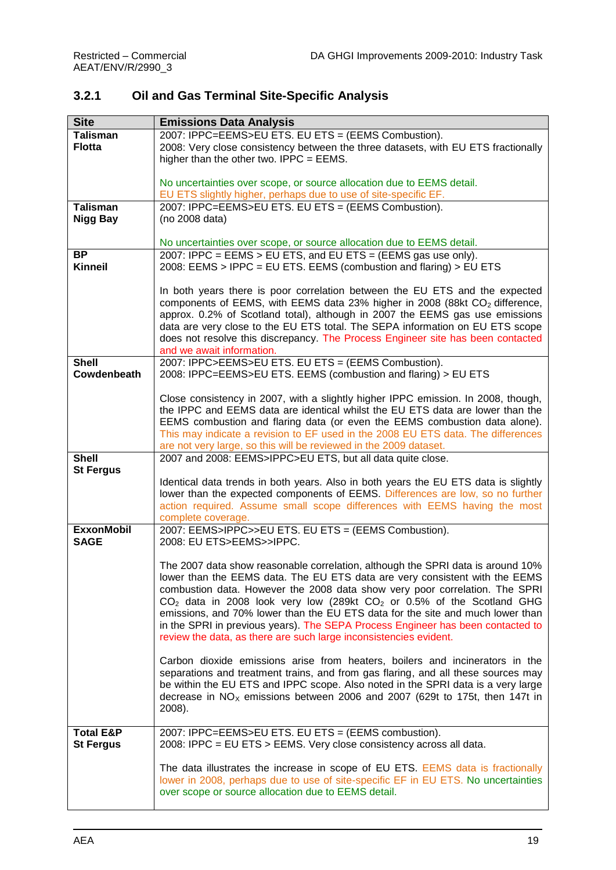### **3.2.1 Oil and Gas Terminal Site-Specific Analysis**

| <b>Site</b>                      | <b>Emissions Data Analysis</b>                                                          |
|----------------------------------|-----------------------------------------------------------------------------------------|
| <b>Talisman</b>                  | 2007: IPPC=EEMS>EU ETS. EU ETS = (EEMS Combustion).                                     |
| <b>Flotta</b>                    | 2008: Very close consistency between the three datasets, with EU ETS fractionally       |
|                                  | higher than the other two. IPPC = $EEMS$ .                                              |
|                                  |                                                                                         |
|                                  | No uncertainties over scope, or source allocation due to EEMS detail.                   |
|                                  | EU ETS slightly higher, perhaps due to use of site-specific EF.                         |
| <b>Talisman</b>                  | 2007: IPPC=EEMS>EU ETS. EU ETS = (EEMS Combustion).                                     |
| <b>Nigg Bay</b>                  | (no 2008 data)                                                                          |
|                                  |                                                                                         |
|                                  | No uncertainties over scope, or source allocation due to EEMS detail.                   |
| <b>BP</b>                        | 2007: IPPC = EEMS > EU ETS, and EU ETS = (EEMS gas use only).                           |
| <b>Kinneil</b>                   | 2008: EEMS > IPPC = EU ETS. EEMS (combustion and flaring) > EU ETS                      |
|                                  |                                                                                         |
|                                  | In both years there is poor correlation between the EU ETS and the expected             |
|                                  | components of EEMS, with EEMS data 23% higher in 2008 (88kt CO <sub>2</sub> difference, |
|                                  | approx. 0.2% of Scotland total), although in 2007 the EEMS gas use emissions            |
|                                  | data are very close to the EU ETS total. The SEPA information on EU ETS scope           |
|                                  | does not resolve this discrepancy. The Process Engineer site has been contacted         |
|                                  | and we await information.                                                               |
| <b>Shell</b>                     | 2007: IPPC>EEMS>EU ETS. EU ETS = (EEMS Combustion).                                     |
| Cowdenbeath                      | 2008: IPPC=EEMS>EU ETS. EEMS (combustion and flaring) > EU ETS                          |
|                                  |                                                                                         |
|                                  | Close consistency in 2007, with a slightly higher IPPC emission. In 2008, though,       |
|                                  | the IPPC and EEMS data are identical whilst the EU ETS data are lower than the          |
|                                  | EEMS combustion and flaring data (or even the EEMS combustion data alone).              |
|                                  | This may indicate a revision to EF used in the 2008 EU ETS data. The differences        |
|                                  | are not very large, so this will be reviewed in the 2009 dataset.                       |
| <b>Shell</b><br><b>St Fergus</b> | 2007 and 2008: EEMS>IPPC>EU ETS, but all data quite close.                              |
|                                  | Identical data trends in both years. Also in both years the EU ETS data is slightly     |
|                                  | lower than the expected components of EEMS. Differences are low, so no further          |
|                                  | action required. Assume small scope differences with EEMS having the most               |
|                                  | complete coverage.                                                                      |
| <b>ExxonMobil</b>                | 2007: EEMS>IPPC>>EU ETS. EU ETS = (EEMS Combustion).                                    |
| <b>SAGE</b>                      | 2008: EU ETS>EEMS>>IPPC.                                                                |
|                                  |                                                                                         |
|                                  | The 2007 data show reasonable correlation, although the SPRI data is around 10%         |
|                                  | lower than the EEMS data. The EU ETS data are very consistent with the EEMS             |
|                                  | combustion data. However the 2008 data show very poor correlation. The SPRI             |
|                                  | $CO2$ data in 2008 look very low (289kt $CO2$ or 0.5% of the Scotland GHG               |
|                                  | emissions, and 70% lower than the EU ETS data for the site and much lower than          |
|                                  | in the SPRI in previous years). The SEPA Process Engineer has been contacted to         |
|                                  | review the data, as there are such large inconsistencies evident.                       |
|                                  | Carbon dioxide emissions arise from heaters, boilers and incinerators in the            |
|                                  | separations and treatment trains, and from gas flaring, and all these sources may       |
|                                  | be within the EU ETS and IPPC scope. Also noted in the SPRI data is a very large        |
|                                  | decrease in $NO_x$ emissions between 2006 and 2007 (629t to 175t, then 147t in          |
|                                  | 2008).                                                                                  |
|                                  |                                                                                         |
| <b>Total E&amp;P</b>             | 2007: IPPC=EEMS>EU ETS. EU ETS = (EEMS combustion).                                     |
| <b>St Fergus</b>                 | 2008: IPPC = EU ETS > EEMS. Very close consistency across all data.                     |
|                                  |                                                                                         |
|                                  | The data illustrates the increase in scope of EU ETS. EEMS data is fractionally         |
|                                  | lower in 2008, perhaps due to use of site-specific EF in EU ETS. No uncertainties       |
|                                  | over scope or source allocation due to EEMS detail.                                     |
|                                  |                                                                                         |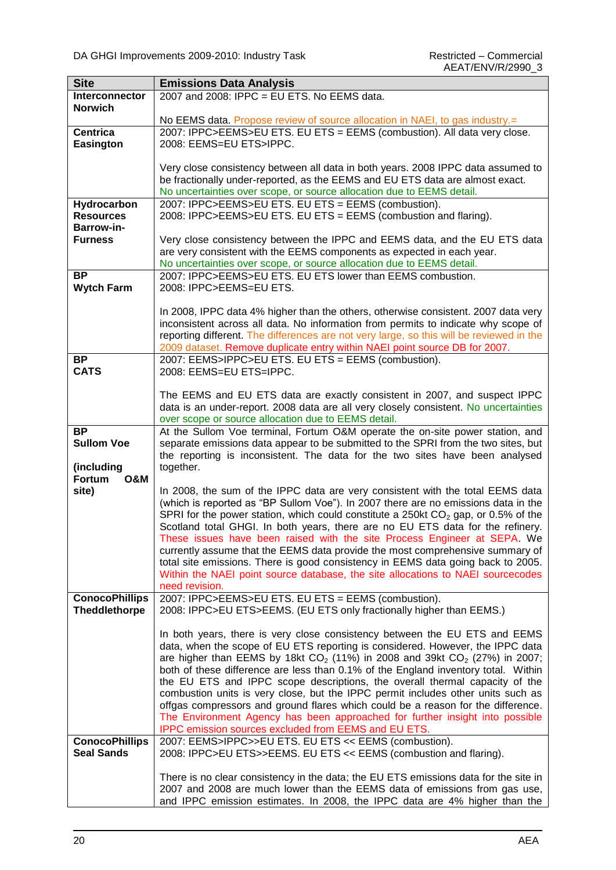| <b>Site</b>                         | <b>Emissions Data Analysis</b>                                                                                                                                           |
|-------------------------------------|--------------------------------------------------------------------------------------------------------------------------------------------------------------------------|
| Interconnector                      | 2007 and 2008: IPPC = EU ETS. No EEMS data.                                                                                                                              |
| <b>Norwich</b>                      |                                                                                                                                                                          |
|                                     | No EEMS data. Propose review of source allocation in NAEI, to gas industry.=                                                                                             |
| <b>Centrica</b><br><b>Easington</b> | 2007: IPPC>EEMS>EU ETS. EU ETS = EEMS (combustion). All data very close.<br>2008: EEMS=EU ETS>IPPC.                                                                      |
|                                     |                                                                                                                                                                          |
|                                     | Very close consistency between all data in both years. 2008 IPPC data assumed to                                                                                         |
|                                     | be fractionally under-reported, as the EEMS and EU ETS data are almost exact.                                                                                            |
|                                     | No uncertainties over scope, or source allocation due to EEMS detail.                                                                                                    |
| Hydrocarbon<br><b>Resources</b>     | 2007: IPPC>EEMS>EU ETS. EU ETS = EEMS (combustion).<br>2008: IPPC>EEMS>EU ETS. EU ETS = EEMS (combustion and flaring).                                                   |
| <b>Barrow-in-</b>                   |                                                                                                                                                                          |
| <b>Furness</b>                      | Very close consistency between the IPPC and EEMS data, and the EU ETS data                                                                                               |
|                                     | are very consistent with the EEMS components as expected in each year.<br>No uncertainties over scope, or source allocation due to EEMS detail.                          |
| <b>BP</b>                           | 2007: IPPC>EEMS>EU ETS. EU ETS lower than EEMS combustion.                                                                                                               |
| <b>Wytch Farm</b>                   | 2008: IPPC>EEMS=EU ETS.                                                                                                                                                  |
|                                     |                                                                                                                                                                          |
|                                     | In 2008, IPPC data 4% higher than the others, otherwise consistent. 2007 data very<br>inconsistent across all data. No information from permits to indicate why scope of |
|                                     | reporting different. The differences are not very large, so this will be reviewed in the                                                                                 |
|                                     | 2009 dataset. Remove duplicate entry within NAEI point source DB for 2007.                                                                                               |
| <b>BP</b>                           | 2007: EEMS>IPPC>EU ETS. EU ETS = EEMS (combustion).                                                                                                                      |
| <b>CATS</b>                         | 2008: EEMS=EU ETS=IPPC.                                                                                                                                                  |
|                                     | The EEMS and EU ETS data are exactly consistent in 2007, and suspect IPPC                                                                                                |
|                                     | data is an under-report. 2008 data are all very closely consistent. No uncertainties                                                                                     |
|                                     | over scope or source allocation due to EEMS detail.                                                                                                                      |
| <b>BP</b>                           | At the Sullom Voe terminal, Fortum O&M operate the on-site power station, and                                                                                            |
| <b>Sullom Voe</b>                   | separate emissions data appear to be submitted to the SPRI from the two sites, but                                                                                       |
|                                     | the reporting is inconsistent. The data for the two sites have been analysed                                                                                             |
| (including<br>Fortum                | together.                                                                                                                                                                |
| <b>O&amp;M</b><br>site)             | In 2008, the sum of the IPPC data are very consistent with the total EEMS data                                                                                           |
|                                     | (which is reported as "BP Sullom Voe"). In 2007 there are no emissions data in the                                                                                       |
|                                     | SPRI for the power station, which could constitute a 250kt $CO2$ gap, or 0.5% of the                                                                                     |
|                                     | Scotland total GHGI. In both years, there are no EU ETS data for the refinery.                                                                                           |
|                                     | These issues have been raised with the site Process Engineer at SEPA. We                                                                                                 |
|                                     | currently assume that the EEMS data provide the most comprehensive summary of                                                                                            |
|                                     | total site emissions. There is good consistency in EEMS data going back to 2005.                                                                                         |
|                                     | Within the NAEI point source database, the site allocations to NAEI sourcecodes<br>need revision.                                                                        |
| <b>ConocoPhillips</b>               | 2007: IPPC>EEMS>EU ETS. EU ETS = EEMS (combustion).                                                                                                                      |
| <b>Theddlethorpe</b>                | 2008: IPPC>EU ETS>EEMS. (EU ETS only fractionally higher than EEMS.)                                                                                                     |
|                                     |                                                                                                                                                                          |
|                                     | In both years, there is very close consistency between the EU ETS and EEMS                                                                                               |
|                                     | data, when the scope of EU ETS reporting is considered. However, the IPPC data<br>are higher than EEMS by 18kt $CO_2$ (11%) in 2008 and 39kt $CO_2$ (27%) in 2007;       |
|                                     | both of these difference are less than 0.1% of the England inventory total. Within                                                                                       |
|                                     | the EU ETS and IPPC scope descriptions, the overall thermal capacity of the                                                                                              |
|                                     | combustion units is very close, but the IPPC permit includes other units such as                                                                                         |
|                                     | offgas compressors and ground flares which could be a reason for the difference.                                                                                         |
|                                     | The Environment Agency has been approached for further insight into possible                                                                                             |
|                                     | IPPC emission sources excluded from EEMS and EU ETS.                                                                                                                     |
| <b>ConocoPhillips</b>               | 2007: EEMS>IPPC>>EU ETS. EU ETS << EEMS (combustion).                                                                                                                    |
| <b>Seal Sands</b>                   | 2008: IPPC>EU ETS>>EEMS. EU ETS << EEMS (combustion and flaring).                                                                                                        |
|                                     | There is no clear consistency in the data; the EU ETS emissions data for the site in                                                                                     |
|                                     | 2007 and 2008 are much lower than the EEMS data of emissions from gas use,                                                                                               |
|                                     | and IPPC emission estimates. In 2008, the IPPC data are 4% higher than the                                                                                               |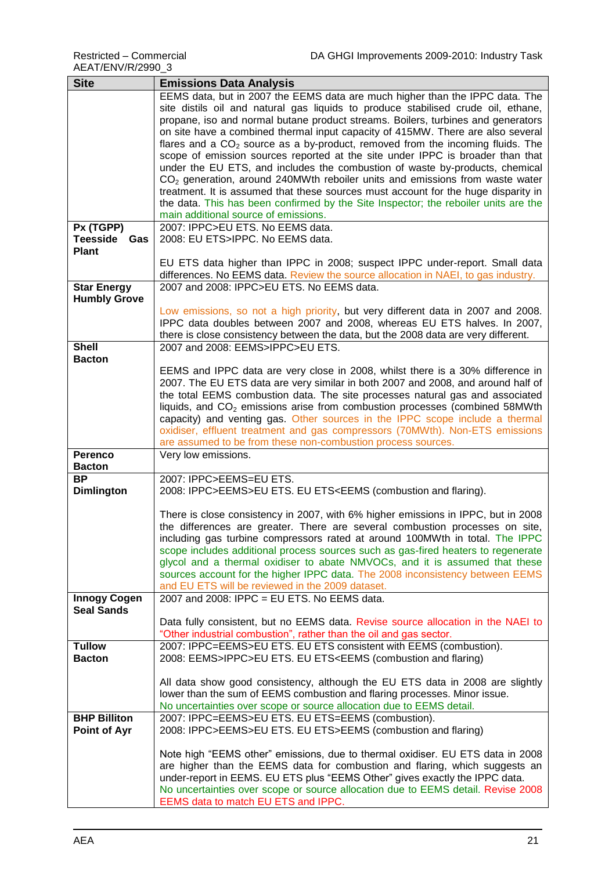| <b>Site</b>                   | <b>Emissions Data Analysis</b>                                                                                          |
|-------------------------------|-------------------------------------------------------------------------------------------------------------------------|
|                               | EEMS data, but in 2007 the EEMS data are much higher than the IPPC data. The                                            |
|                               | site distils oil and natural gas liquids to produce stabilised crude oil, ethane,                                       |
|                               | propane, iso and normal butane product streams. Boilers, turbines and generators                                        |
|                               | on site have a combined thermal input capacity of 415MW. There are also several                                         |
|                               | flares and a $CO2$ source as a by-product, removed from the incoming fluids. The                                        |
|                               | scope of emission sources reported at the site under IPPC is broader than that                                          |
|                               | under the EU ETS, and includes the combustion of waste by-products, chemical                                            |
|                               | $CO2$ generation, around 240MWth reboiler units and emissions from waste water                                          |
|                               | treatment. It is assumed that these sources must account for the huge disparity in                                      |
|                               | the data. This has been confirmed by the Site Inspector; the reboiler units are the                                     |
|                               | main additional source of emissions.                                                                                    |
| Px (TGPP)                     | 2007: IPPC>EU ETS. No EEMS data.                                                                                        |
| <b>Teesside</b><br><b>Gas</b> | 2008: EU ETS>IPPC. No EEMS data.                                                                                        |
| <b>Plant</b>                  |                                                                                                                         |
|                               | EU ETS data higher than IPPC in 2008; suspect IPPC under-report. Small data                                             |
|                               | differences. No EEMS data. Review the source allocation in NAEI, to gas industry.                                       |
| <b>Star Energy</b>            | 2007 and 2008: IPPC>EU ETS. No EEMS data.                                                                               |
| <b>Humbly Grove</b>           |                                                                                                                         |
|                               | Low emissions, so not a high priority, but very different data in 2007 and 2008.                                        |
|                               | IPPC data doubles between 2007 and 2008, whereas EU ETS halves. In 2007,                                                |
|                               | there is close consistency between the data, but the 2008 data are very different.                                      |
| <b>Shell</b>                  | 2007 and 2008: EEMS>IPPC>EU ETS.                                                                                        |
| <b>Bacton</b>                 |                                                                                                                         |
|                               | EEMS and IPPC data are very close in 2008, whilst there is a 30% difference in                                          |
|                               | 2007. The EU ETS data are very similar in both 2007 and 2008, and around half of                                        |
|                               | the total EEMS combustion data. The site processes natural gas and associated                                           |
|                               | liquids, and CO <sub>2</sub> emissions arise from combustion processes (combined 58MWth                                 |
|                               | capacity) and venting gas. Other sources in the IPPC scope include a thermal                                            |
|                               | oxidiser, effluent treatment and gas compressors (70MWth). Non-ETS emissions                                            |
|                               | are assumed to be from these non-combustion process sources.                                                            |
| <b>Perenco</b>                | Very low emissions.                                                                                                     |
| <b>Bacton</b>                 |                                                                                                                         |
| <b>BP</b>                     | 2007: IPPC>EEMS=EU ETS.                                                                                                 |
| <b>Dimlington</b>             | 2008: IPPC>EEMS>EU ETS. EU ETS <eems (combustion="" and="" flaring).<="" th=""></eems>                                  |
|                               |                                                                                                                         |
|                               | There is close consistency in 2007, with 6% higher emissions in IPPC, but in 2008                                       |
|                               | the differences are greater. There are several combustion processes on site,                                            |
|                               | including gas turbine compressors rated at around 100MWth in total. The IPPC                                            |
|                               | scope includes additional process sources such as gas-fired heaters to regenerate                                       |
|                               | glycol and a thermal oxidiser to abate NMVOCs, and it is assumed that these                                             |
|                               | sources account for the higher IPPC data. The 2008 inconsistency between EEMS                                           |
|                               | and EU ETS will be reviewed in the 2009 dataset.                                                                        |
| <b>Innogy Cogen</b>           | 2007 and 2008: IPPC = EU ETS. No EEMS data.                                                                             |
| <b>Seal Sands</b>             |                                                                                                                         |
|                               | Data fully consistent, but no EEMS data. Revise source allocation in the NAEI to                                        |
|                               | "Other industrial combustion", rather than the oil and gas sector.                                                      |
| <b>Tullow</b>                 | 2007: IPPC=EEMS>EU ETS. EU ETS consistent with EEMS (combustion).                                                       |
| <b>Bacton</b>                 | 2008: EEMS>IPPC>EU ETS. EU ETS <eems (combustion="" and="" flaring)<="" th=""></eems>                                   |
|                               |                                                                                                                         |
|                               | All data show good consistency, although the EU ETS data in 2008 are slightly                                           |
|                               | lower than the sum of EEMS combustion and flaring processes. Minor issue.                                               |
|                               | No uncertainties over scope or source allocation due to EEMS detail.                                                    |
| <b>BHP Billiton</b>           | 2007: IPPC=EEMS>EU ETS. EU ETS=EEMS (combustion).                                                                       |
| <b>Point of Ayr</b>           | 2008: IPPC>EEMS>EU ETS. EU ETS>EEMS (combustion and flaring)                                                            |
|                               |                                                                                                                         |
|                               | Note high "EEMS other" emissions, due to thermal oxidiser. EU ETS data in 2008                                          |
|                               | are higher than the EEMS data for combustion and flaring, which suggests an                                             |
|                               | under-report in EEMS. EU ETS plus "EEMS Other" gives exactly the IPPC data.                                             |
|                               | No uncertainties over scope or source allocation due to EEMS detail. Revise 2008<br>EEMS data to match EU ETS and IPPC. |
|                               |                                                                                                                         |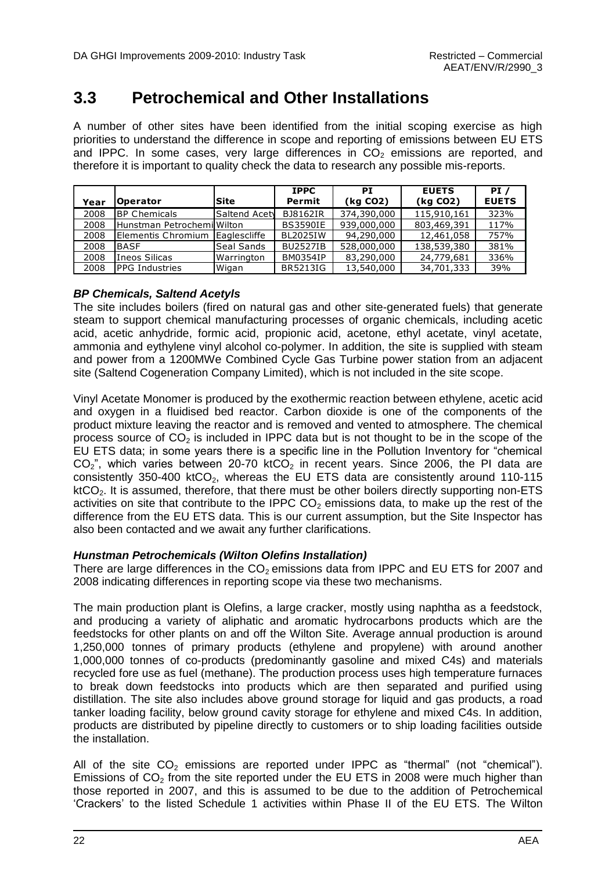### <span id="page-27-0"></span>**3.3 Petrochemical and Other Installations**

A number of other sites have been identified from the initial scoping exercise as high priorities to understand the difference in scope and reporting of emissions between EU ETS and IPPC. In some cases, very large differences in  $CO<sub>2</sub>$  emissions are reported, and therefore it is important to quality check the data to research any possible mis-reports.

| Year | <b>Operator</b>               | lSite               | <b>IPPC</b><br>Permit | РT<br>(kg CO2) | <b>EUETS</b><br>(kg CO2) | PI/<br><b>EUETS</b> |
|------|-------------------------------|---------------------|-----------------------|----------------|--------------------------|---------------------|
| 2008 | <b>BP Chemicals</b>           | Saltend Acety       | <b>BJ8162IR</b>       | 374,390,000    | 115,910,161              | 323%                |
| 2008 | l Hunstman Petrochemil Wilton |                     | <b>BS3590IE</b>       | 939,000,000    | 803,469,391              | 117%                |
| 2008 | Elementis Chromium            | <b>Eaglescliffe</b> | <b>BL2025IW</b>       | 94,290,000     | 12,461,058               | 757%                |
| 2008 | <b>IBASF</b>                  | <b>Seal Sands</b>   | <b>BU2527IB</b>       | 528,000,000    | 138,539,380              | 381%                |
| 2008 | Ineos Silicas                 | Warrington          | <b>BM0354IP</b>       | 83,290,000     | 24,779,681               | 336%                |
| 2008 | <b>IPPG Industries</b>        | <b>Wigan</b>        | <b>BR5213IG</b>       | 13,540,000     | 34,701,333               | 39%                 |

#### *BP Chemicals, Saltend Acetyls*

The site includes boilers (fired on natural gas and other site-generated fuels) that generate steam to support chemical manufacturing processes of organic chemicals, including acetic acid, acetic anhydride, formic acid, propionic acid, acetone, ethyl acetate, vinyl acetate, ammonia and eythylene vinyl alcohol co-polymer. In addition, the site is supplied with steam and power from a 1200MWe Combined Cycle Gas Turbine power station from an adjacent site (Saltend Cogeneration Company Limited), which is not included in the site scope.

Vinyl Acetate Monomer is produced by the exothermic reaction between ethylene, acetic acid and oxygen in a fluidised bed reactor. Carbon dioxide is one of the components of the product mixture leaving the reactor and is removed and vented to atmosphere. The chemical process source of  $CO<sub>2</sub>$  is included in IPPC data but is not thought to be in the scope of the EU ETS data; in some years there is a specific line in the Pollution Inventory for "chemical  $CO<sub>2</sub>$ ", which varies between 20-70 ktCO<sub>2</sub> in recent years. Since 2006, the PI data are consistently 350-400 ktCO<sub>2</sub>, whereas the EU ETS data are consistently around 110-115  $ktCO<sub>2</sub>$ . It is assumed, therefore, that there must be other boilers directly supporting non-ETS activities on site that contribute to the IPPC  $CO<sub>2</sub>$  emissions data, to make up the rest of the difference from the EU ETS data. This is our current assumption, but the Site Inspector has also been contacted and we await any further clarifications.

#### *Hunstman Petrochemicals (Wilton Olefins Installation)*

There are large differences in the  $CO<sub>2</sub>$  emissions data from IPPC and EU ETS for 2007 and 2008 indicating differences in reporting scope via these two mechanisms.

The main production plant is Olefins, a large cracker, mostly using naphtha as a feedstock, and producing a variety of aliphatic and aromatic hydrocarbons products which are the feedstocks for other plants on and off the Wilton Site. Average annual production is around 1,250,000 tonnes of primary products (ethylene and propylene) with around another 1,000,000 tonnes of co-products (predominantly gasoline and mixed C4s) and materials recycled fore use as fuel (methane). The production process uses high temperature furnaces to break down feedstocks into products which are then separated and purified using distillation. The site also includes above ground storage for liquid and gas products, a road tanker loading facility, below ground cavity storage for ethylene and mixed C4s. In addition, products are distributed by pipeline directly to customers or to ship loading facilities outside the installation.

All of the site  $CO<sub>2</sub>$  emissions are reported under IPPC as "thermal" (not "chemical"). Emissions of  $CO<sub>2</sub>$  from the site reported under the EU ETS in 2008 were much higher than those reported in 2007, and this is assumed to be due to the addition of Petrochemical "Crackers" to the listed Schedule 1 activities within Phase II of the EU ETS. The Wilton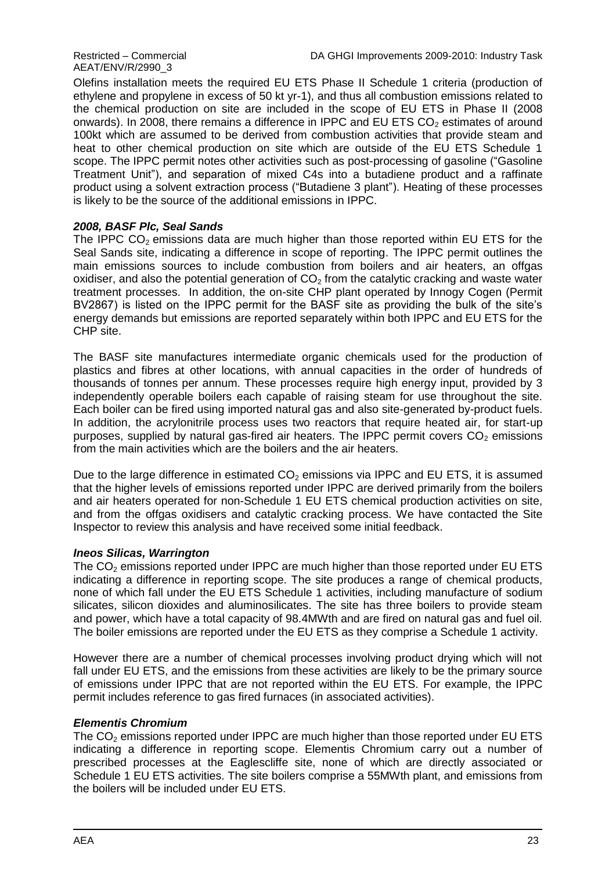## AEAT/ENV/R/2990\_3

Olefins installation meets the required EU ETS Phase II Schedule 1 criteria (production of ethylene and propylene in excess of 50 kt yr-1), and thus all combustion emissions related to the chemical production on site are included in the scope of EU ETS in Phase II (2008 onwards). In 2008, there remains a difference in IPPC and EU ETS  $CO<sub>2</sub>$  estimates of around 100kt which are assumed to be derived from combustion activities that provide steam and heat to other chemical production on site which are outside of the EU ETS Schedule 1 scope. The IPPC permit notes other activities such as post-processing of gasoline ("Gasoline Treatment Unit"), and separation of mixed C4s into a butadiene product and a raffinate product using a solvent extraction process ("Butadiene 3 plant"). Heating of these processes is likely to be the source of the additional emissions in IPPC.

#### *2008, BASF Plc, Seal Sands*

The IPPC  $CO<sub>2</sub>$  emissions data are much higher than those reported within EU ETS for the Seal Sands site, indicating a difference in scope of reporting. The IPPC permit outlines the main emissions sources to include combustion from boilers and air heaters, an offgas oxidiser, and also the potential generation of  $CO<sub>2</sub>$  from the catalytic cracking and waste water treatment processes. In addition, the on-site CHP plant operated by Innogy Cogen (Permit BV2867) is listed on the IPPC permit for the BASF site as providing the bulk of the site's energy demands but emissions are reported separately within both IPPC and EU ETS for the CHP site.

The BASF site manufactures intermediate organic chemicals used for the production of plastics and fibres at other locations, with annual capacities in the order of hundreds of thousands of tonnes per annum. These processes require high energy input, provided by 3 independently operable boilers each capable of raising steam for use throughout the site. Each boiler can be fired using imported natural gas and also site-generated by-product fuels. In addition, the acrylonitrile process uses two reactors that require heated air, for start-up purposes, supplied by natural gas-fired air heaters. The IPPC permit covers  $CO<sub>2</sub>$  emissions from the main activities which are the boilers and the air heaters.

Due to the large difference in estimated  $CO<sub>2</sub>$  emissions via IPPC and EU ETS, it is assumed that the higher levels of emissions reported under IPPC are derived primarily from the boilers and air heaters operated for non-Schedule 1 EU ETS chemical production activities on site, and from the offgas oxidisers and catalytic cracking process. We have contacted the Site Inspector to review this analysis and have received some initial feedback.

#### *Ineos Silicas, Warrington*

The  $CO<sub>2</sub>$  emissions reported under IPPC are much higher than those reported under EU ETS indicating a difference in reporting scope. The site produces a range of chemical products, none of which fall under the EU ETS Schedule 1 activities, including manufacture of sodium silicates, silicon dioxides and aluminosilicates. The site has three boilers to provide steam and power, which have a total capacity of 98.4MWth and are fired on natural gas and fuel oil. The boiler emissions are reported under the EU ETS as they comprise a Schedule 1 activity.

However there are a number of chemical processes involving product drying which will not fall under EU ETS, and the emissions from these activities are likely to be the primary source of emissions under IPPC that are not reported within the EU ETS. For example, the IPPC permit includes reference to gas fired furnaces (in associated activities).

#### *Elementis Chromium*

The  $CO<sub>2</sub>$  emissions reported under IPPC are much higher than those reported under EU ETS indicating a difference in reporting scope. Elementis Chromium carry out a number of prescribed processes at the Eaglescliffe site, none of which are directly associated or Schedule 1 EU ETS activities. The site boilers comprise a 55MWth plant, and emissions from the boilers will be included under EU ETS.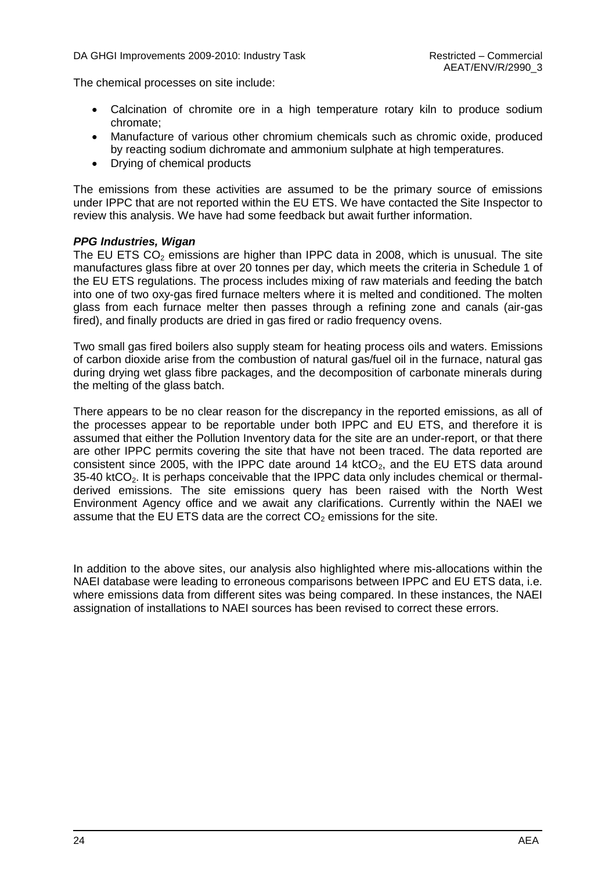The chemical processes on site include:

- Calcination of chromite ore in a high temperature rotary kiln to produce sodium chromate;
- Manufacture of various other chromium chemicals such as chromic oxide, produced by reacting sodium dichromate and ammonium sulphate at high temperatures.
- Drying of chemical products

The emissions from these activities are assumed to be the primary source of emissions under IPPC that are not reported within the EU ETS. We have contacted the Site Inspector to review this analysis. We have had some feedback but await further information.

#### *PPG Industries, Wigan*

The EU ETS  $CO<sub>2</sub>$  emissions are higher than IPPC data in 2008, which is unusual. The site manufactures glass fibre at over 20 tonnes per day, which meets the criteria in Schedule 1 of the EU ETS regulations. The process includes mixing of raw materials and feeding the batch into one of two oxy-gas fired furnace melters where it is melted and conditioned. The molten glass from each furnace melter then passes through a refining zone and canals (air-gas fired), and finally products are dried in gas fired or radio frequency ovens.

Two small gas fired boilers also supply steam for heating process oils and waters. Emissions of carbon dioxide arise from the combustion of natural gas/fuel oil in the furnace, natural gas during drying wet glass fibre packages, and the decomposition of carbonate minerals during the melting of the glass batch.

There appears to be no clear reason for the discrepancy in the reported emissions, as all of the processes appear to be reportable under both IPPC and EU ETS, and therefore it is assumed that either the Pollution Inventory data for the site are an under-report, or that there are other IPPC permits covering the site that have not been traced. The data reported are consistent since 2005, with the IPPC date around 14  $kCO<sub>2</sub>$ , and the EU ETS data around  $35-40$  ktCO<sub>2</sub>. It is perhaps conceivable that the IPPC data only includes chemical or thermalderived emissions. The site emissions query has been raised with the North West Environment Agency office and we await any clarifications. Currently within the NAEI we assume that the EU ETS data are the correct  $CO<sub>2</sub>$  emissions for the site.

In addition to the above sites, our analysis also highlighted where mis-allocations within the NAEI database were leading to erroneous comparisons between IPPC and EU ETS data, i.e. where emissions data from different sites was being compared. In these instances, the NAEI assignation of installations to NAEI sources has been revised to correct these errors.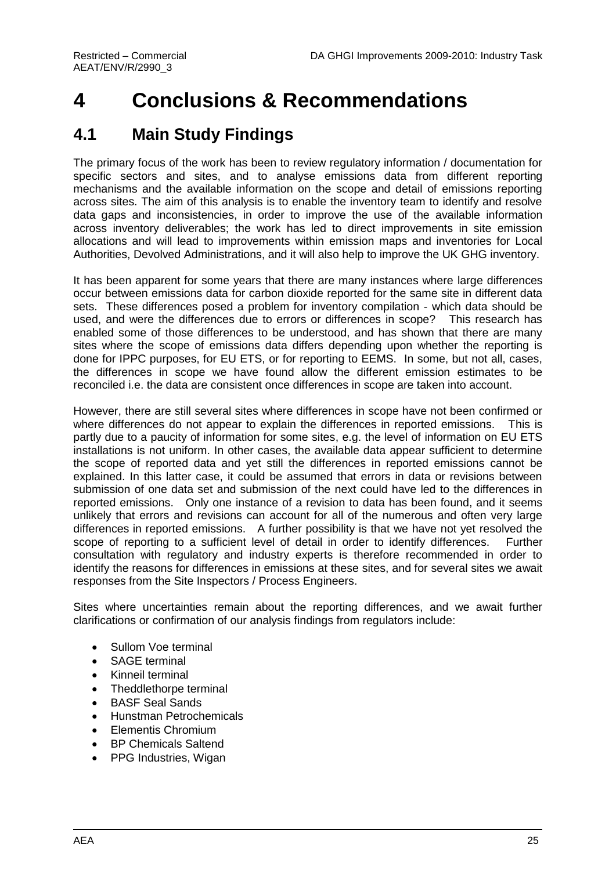## <span id="page-30-0"></span>**4 Conclusions & Recommendations**

### <span id="page-30-1"></span>**4.1 Main Study Findings**

The primary focus of the work has been to review regulatory information / documentation for specific sectors and sites, and to analyse emissions data from different reporting mechanisms and the available information on the scope and detail of emissions reporting across sites. The aim of this analysis is to enable the inventory team to identify and resolve data gaps and inconsistencies, in order to improve the use of the available information across inventory deliverables; the work has led to direct improvements in site emission allocations and will lead to improvements within emission maps and inventories for Local Authorities, Devolved Administrations, and it will also help to improve the UK GHG inventory.

It has been apparent for some years that there are many instances where large differences occur between emissions data for carbon dioxide reported for the same site in different data sets. These differences posed a problem for inventory compilation - which data should be used, and were the differences due to errors or differences in scope? This research has enabled some of those differences to be understood, and has shown that there are many sites where the scope of emissions data differs depending upon whether the reporting is done for IPPC purposes, for EU ETS, or for reporting to EEMS. In some, but not all, cases, the differences in scope we have found allow the different emission estimates to be reconciled i.e. the data are consistent once differences in scope are taken into account.

However, there are still several sites where differences in scope have not been confirmed or where differences do not appear to explain the differences in reported emissions. This is partly due to a paucity of information for some sites, e.g. the level of information on EU ETS installations is not uniform. In other cases, the available data appear sufficient to determine the scope of reported data and yet still the differences in reported emissions cannot be explained. In this latter case, it could be assumed that errors in data or revisions between submission of one data set and submission of the next could have led to the differences in reported emissions. Only one instance of a revision to data has been found, and it seems unlikely that errors and revisions can account for all of the numerous and often very large differences in reported emissions. A further possibility is that we have not yet resolved the scope of reporting to a sufficient level of detail in order to identify differences. Further consultation with regulatory and industry experts is therefore recommended in order to identify the reasons for differences in emissions at these sites, and for several sites we await responses from the Site Inspectors / Process Engineers.

Sites where uncertainties remain about the reporting differences, and we await further clarifications or confirmation of our analysis findings from regulators include:

- Sullom Voe terminal
- SAGE terminal
- Kinneil terminal
- Theddlethorpe terminal
- BASF Seal Sands
- Hunstman Petrochemicals
- Elementis Chromium
- BP Chemicals Saltend
- PPG Industries, Wigan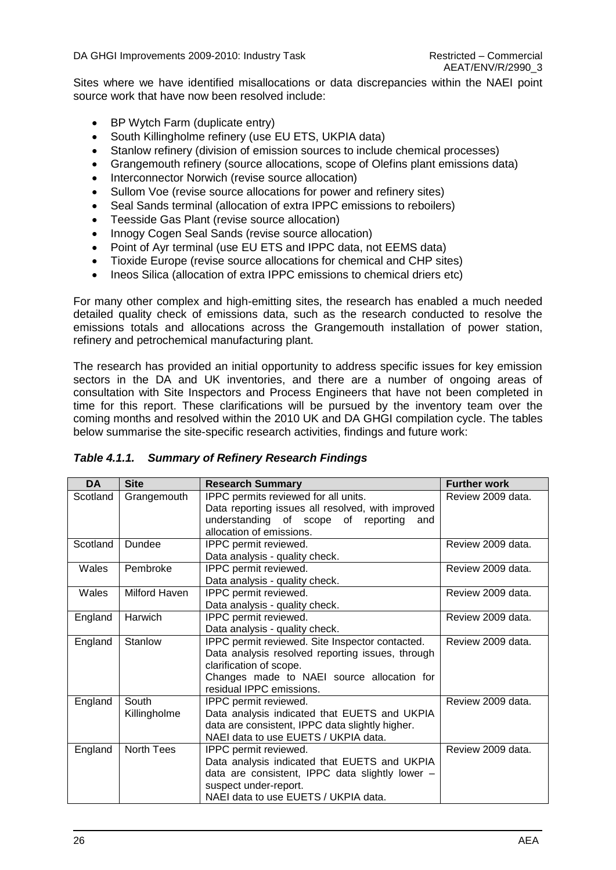DA GHGI Improvements 2009-2010: Industry Task Restricted – Commercial

Sites where we have identified misallocations or data discrepancies within the NAEI point source work that have now been resolved include:

- BP Wytch Farm (duplicate entry)
- South Killingholme refinery (use EU ETS, UKPIA data)
- Stanlow refinery (division of emission sources to include chemical processes)
- Grangemouth refinery (source allocations, scope of Olefins plant emissions data)
- Interconnector Norwich (revise source allocation)
- Sullom Voe (revise source allocations for power and refinery sites)
- Seal Sands terminal (allocation of extra IPPC emissions to reboilers)
- Teesside Gas Plant (revise source allocation)
- Innogy Cogen Seal Sands (revise source allocation)
- Point of Ayr terminal (use EU ETS and IPPC data, not EEMS data)
- Tioxide Europe (revise source allocations for chemical and CHP sites)
- Ineos Silica (allocation of extra IPPC emissions to chemical driers etc)

For many other complex and high-emitting sites, the research has enabled a much needed detailed quality check of emissions data, such as the research conducted to resolve the emissions totals and allocations across the Grangemouth installation of power station, refinery and petrochemical manufacturing plant.

The research has provided an initial opportunity to address specific issues for key emission sectors in the DA and UK inventories, and there are a number of ongoing areas of consultation with Site Inspectors and Process Engineers that have not been completed in time for this report. These clarifications will be pursued by the inventory team over the coming months and resolved within the 2010 UK and DA GHGI compilation cycle. The tables below summarise the site-specific research activities, findings and future work:

| <b>DA</b> | <b>Site</b>   | <b>Research Summary</b>                           | <b>Further work</b> |
|-----------|---------------|---------------------------------------------------|---------------------|
| Scotland  | Grangemouth   | IPPC permits reviewed for all units.              | Review 2009 data.   |
|           |               | Data reporting issues all resolved, with improved |                     |
|           |               | understanding of scope of reporting<br>and        |                     |
|           |               | allocation of emissions.                          |                     |
| Scotland  | Dundee        | IPPC permit reviewed.                             | Review 2009 data.   |
|           |               | Data analysis - quality check.                    |                     |
| Wales     | Pembroke      | IPPC permit reviewed.                             | Review 2009 data.   |
|           |               | Data analysis - quality check.                    |                     |
| Wales     | Milford Haven | IPPC permit reviewed.                             | Review 2009 data.   |
|           |               | Data analysis - quality check.                    |                     |
| England   | Harwich       | IPPC permit reviewed.                             | Review 2009 data.   |
|           |               | Data analysis - quality check.                    |                     |
| England   | Stanlow       | IPPC permit reviewed. Site Inspector contacted.   | Review 2009 data.   |
|           |               | Data analysis resolved reporting issues, through  |                     |
|           |               | clarification of scope.                           |                     |
|           |               | Changes made to NAEI source allocation for        |                     |
|           |               | residual IPPC emissions.                          |                     |
| England   | South         | IPPC permit reviewed.                             | Review 2009 data.   |
|           | Killingholme  | Data analysis indicated that EUETS and UKPIA      |                     |
|           |               | data are consistent, IPPC data slightly higher.   |                     |
|           |               | NAEI data to use EUETS / UKPIA data.              |                     |
| England   | North Tees    | IPPC permit reviewed.                             | Review 2009 data.   |
|           |               | Data analysis indicated that EUETS and UKPIA      |                     |
|           |               | data are consistent, IPPC data slightly lower -   |                     |
|           |               | suspect under-report.                             |                     |
|           |               | NAEI data to use EUETS / UKPIA data.              |                     |

#### *Table 4.1.1. Summary of Refinery Research Findings*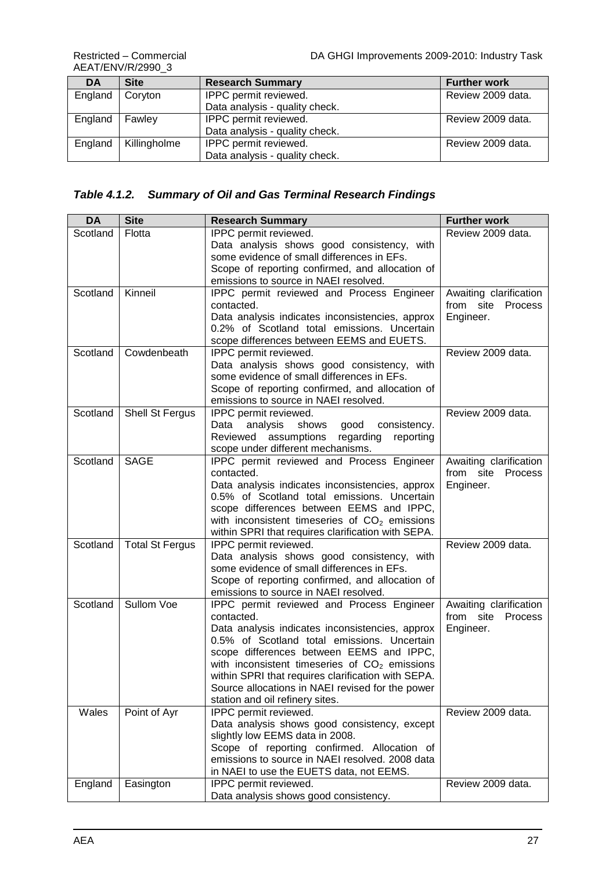AEAT/ENV/R/2990\_3

| DA      | <b>Site</b>  | <b>Research Summary</b>        | <b>Further work</b> |
|---------|--------------|--------------------------------|---------------------|
| England | Coryton      | IPPC permit reviewed.          | Review 2009 data.   |
|         |              | Data analysis - quality check. |                     |
| England | Fawley       | IPPC permit reviewed.          | Review 2009 data.   |
|         |              | Data analysis - quality check. |                     |
| England | Killingholme | IPPC permit reviewed.          | Review 2009 data.   |
|         |              | Data analysis - quality check. |                     |

#### *Table 4.1.2. Summary of Oil and Gas Terminal Research Findings*

| <b>Site</b><br><b>DA</b><br><b>Research Summary</b>                                       | <b>Further work</b>            |
|-------------------------------------------------------------------------------------------|--------------------------------|
| Scotland<br>IPPC permit reviewed.<br>Flotta                                               | Review 2009 data.              |
| Data analysis shows good consistency, with                                                |                                |
| some evidence of small differences in EFs.                                                |                                |
| Scope of reporting confirmed, and allocation of                                           |                                |
| emissions to source in NAEI resolved.                                                     |                                |
| Kinneil<br>Scotland<br><b>IPPC</b> permit reviewed and Process Engineer                   | Awaiting clarification         |
| contacted.                                                                                | from site<br>Process           |
| Data analysis indicates inconsistencies, approx                                           | Engineer.                      |
| 0.2% of Scotland total emissions. Uncertain                                               |                                |
| scope differences between EEMS and EUETS.                                                 |                                |
| Cowdenbeath<br>Scotland<br>IPPC permit reviewed.                                          | Review 2009 data.              |
| Data analysis shows good consistency, with                                                |                                |
| some evidence of small differences in EFs.                                                |                                |
| Scope of reporting confirmed, and allocation of                                           |                                |
| emissions to source in NAEI resolved.                                                     |                                |
| Scotland<br>Shell St Fergus<br>IPPC permit reviewed.                                      | Review 2009 data.              |
| analysis<br>shows<br>consistency.<br>Data<br>good                                         |                                |
| Reviewed assumptions<br>regarding<br>reporting                                            |                                |
| scope under different mechanisms.                                                         |                                |
| Scotland<br><b>SAGE</b><br>IPPC permit reviewed and Process Engineer                      | Awaiting clarification         |
| contacted.                                                                                | from<br>site<br><b>Process</b> |
| Data analysis indicates inconsistencies, approx                                           | Engineer.                      |
| 0.5% of Scotland total emissions. Uncertain                                               |                                |
| scope differences between EEMS and IPPC,                                                  |                                |
| with inconsistent timeseries of $CO2$ emissions                                           |                                |
| within SPRI that requires clarification with SEPA.                                        |                                |
| <b>Total St Fergus</b><br>IPPC permit reviewed.<br>Scotland                               |                                |
|                                                                                           | Review 2009 data.              |
| Data analysis shows good consistency, with                                                |                                |
| some evidence of small differences in EFs.                                                |                                |
| Scope of reporting confirmed, and allocation of                                           |                                |
| emissions to source in NAEI resolved.                                                     |                                |
| Sullom Voe<br>Scotland<br>IPPC permit reviewed and Process Engineer                       | Awaiting clarification         |
| contacted.                                                                                | from site<br><b>Process</b>    |
| Data analysis indicates inconsistencies, approx                                           | Engineer.                      |
| 0.5% of Scotland total emissions. Uncertain                                               |                                |
| scope differences between EEMS and IPPC,                                                  |                                |
| with inconsistent timeseries of $CO2$ emissions                                           |                                |
| within SPRI that requires clarification with SEPA.                                        |                                |
| Source allocations in NAEI revised for the power                                          |                                |
| station and oil refinery sites.                                                           |                                |
| Point of Ayr<br>IPPC permit reviewed.<br>Wales                                            | Review 2009 data.              |
| Data analysis shows good consistency, except                                              |                                |
| slightly low EEMS data in 2008.                                                           |                                |
| Scope of reporting confirmed. Allocation of                                               |                                |
| emissions to source in NAEI resolved. 2008 data                                           |                                |
| in NAEI to use the EUETS data, not EEMS.<br>England<br>Easington<br>IPPC permit reviewed. | Review 2009 data.              |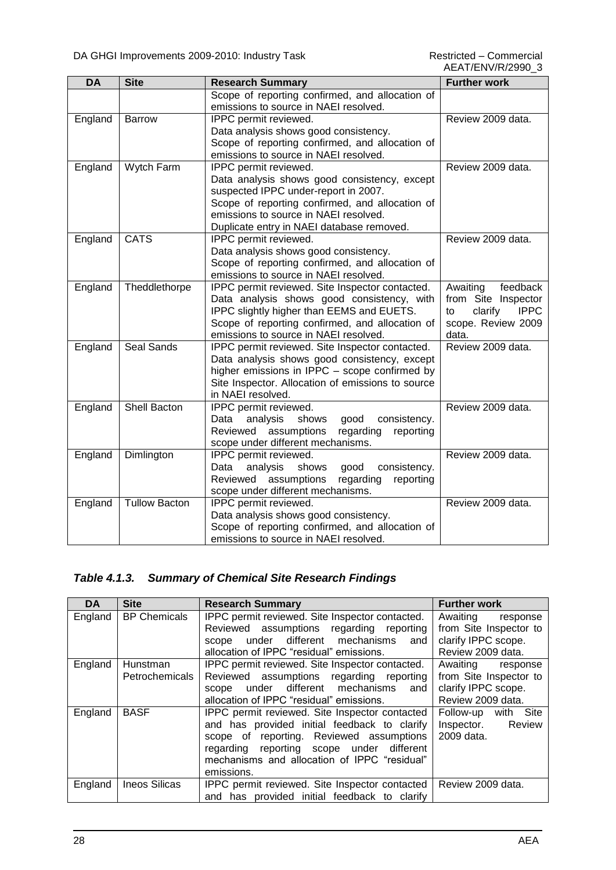| <b>DA</b> | <b>Site</b>          | <b>Research Summary</b>                                                                  | <b>Further work</b>          |
|-----------|----------------------|------------------------------------------------------------------------------------------|------------------------------|
|           |                      | Scope of reporting confirmed, and allocation of<br>emissions to source in NAEI resolved. |                              |
| England   | Barrow               | IPPC permit reviewed.                                                                    | Review 2009 data.            |
|           |                      | Data analysis shows good consistency.                                                    |                              |
|           |                      | Scope of reporting confirmed, and allocation of<br>emissions to source in NAEI resolved. |                              |
| England   | Wytch Farm           | IPPC permit reviewed.                                                                    | Review 2009 data.            |
|           |                      | Data analysis shows good consistency, except                                             |                              |
|           |                      | suspected IPPC under-report in 2007.                                                     |                              |
|           |                      | Scope of reporting confirmed, and allocation of                                          |                              |
|           |                      | emissions to source in NAEI resolved.                                                    |                              |
|           |                      | Duplicate entry in NAEI database removed.                                                |                              |
| England   | <b>CATS</b>          | IPPC permit reviewed.                                                                    | Review 2009 data.            |
|           |                      | Data analysis shows good consistency.                                                    |                              |
|           |                      | Scope of reporting confirmed, and allocation of<br>emissions to source in NAEI resolved. |                              |
| England   | Theddlethorpe        | IPPC permit reviewed. Site Inspector contacted.                                          | Awaiting<br>feedback         |
|           |                      | Data analysis shows good consistency, with                                               | from Site Inspector          |
|           |                      | IPPC slightly higher than EEMS and EUETS.                                                | clarify<br><b>IPPC</b><br>to |
|           |                      | Scope of reporting confirmed, and allocation of                                          | scope. Review 2009           |
|           |                      | emissions to source in NAEI resolved.                                                    | data.                        |
| England   | Seal Sands           | IPPC permit reviewed. Site Inspector contacted.                                          | Review 2009 data.            |
|           |                      | Data analysis shows good consistency, except                                             |                              |
|           |                      | higher emissions in IPPC - scope confirmed by                                            |                              |
|           |                      | Site Inspector. Allocation of emissions to source<br>in NAEI resolved.                   |                              |
| England   | <b>Shell Bacton</b>  | IPPC permit reviewed.                                                                    | Review 2009 data.            |
|           |                      | analysis<br>shows<br>consistency.<br>Data<br>good                                        |                              |
|           |                      | Reviewed<br>assumptions<br>regarding<br>reporting                                        |                              |
|           |                      | scope under different mechanisms.                                                        |                              |
| England   | Dimlington           | IPPC permit reviewed.<br>analysis<br>consistency.<br>Data<br>shows                       | Review 2009 data.            |
|           |                      | good<br>regarding<br>Reviewed assumptions<br>reporting                                   |                              |
|           |                      | scope under different mechanisms.                                                        |                              |
| England   | <b>Tullow Bacton</b> | IPPC permit reviewed.                                                                    | Review 2009 data.            |
|           |                      | Data analysis shows good consistency.                                                    |                              |
|           |                      | Scope of reporting confirmed, and allocation of                                          |                              |
|           |                      | emissions to source in NAEI resolved.                                                    |                              |

#### *Table 4.1.3. Summary of Chemical Site Research Findings*

| <b>DA</b> | <b>Site</b>                       | <b>Research Summary</b>                                                                                                                                                                                                                               | <b>Further work</b>                                                                        |
|-----------|-----------------------------------|-------------------------------------------------------------------------------------------------------------------------------------------------------------------------------------------------------------------------------------------------------|--------------------------------------------------------------------------------------------|
| England   | <b>BP Chemicals</b>               | IPPC permit reviewed. Site Inspector contacted.<br>Reviewed assumptions regarding reporting<br>under different mechanisms and<br>scope<br>allocation of IPPC "residual" emissions.                                                                    | Awaiting<br>response<br>from Site Inspector to<br>clarify IPPC scope.<br>Review 2009 data. |
| England   | Hunstman<br><b>Petrochemicals</b> | IPPC permit reviewed. Site Inspector contacted.<br>Reviewed assumptions regarding reporting<br>under different mechanisms and<br>scope<br>allocation of IPPC "residual" emissions.                                                                    | Awaiting response<br>from Site Inspector to<br>clarify IPPC scope.<br>Review 2009 data.    |
| England   | <b>BASF</b>                       | IPPC permit reviewed. Site Inspector contacted<br>and has provided initial feedback to clarify<br>scope of reporting. Reviewed assumptions<br>regarding reporting scope under different<br>mechanisms and allocation of IPPC "residual"<br>emissions. | Follow-up with Site<br>Inspector. Review<br>2009 data.                                     |
| England   | <b>Ineos Silicas</b>              | IPPC permit reviewed. Site Inspector contacted<br>and has provided initial feedback to clarify                                                                                                                                                        | Review 2009 data.                                                                          |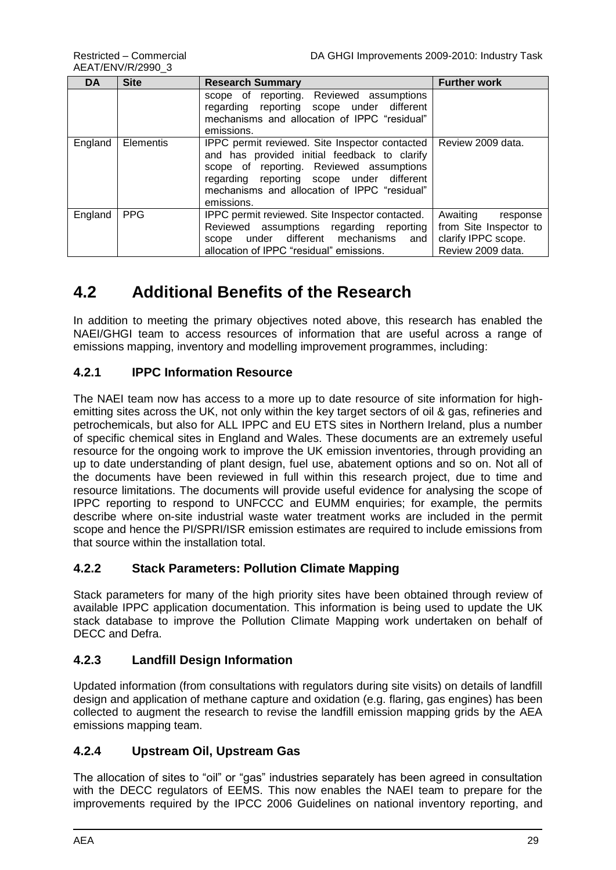AEAT/ENV/R/2990\_3

| <b>DA</b> | <b>Site</b> | <b>Research Summary</b>                                                                                                                                                                                                                               | <b>Further work</b>                                                                        |
|-----------|-------------|-------------------------------------------------------------------------------------------------------------------------------------------------------------------------------------------------------------------------------------------------------|--------------------------------------------------------------------------------------------|
|           |             | scope of reporting. Reviewed assumptions<br>regarding reporting scope under different<br>mechanisms and allocation of IPPC "residual"<br>emissions.                                                                                                   |                                                                                            |
| England   | Elementis   | IPPC permit reviewed. Site Inspector contacted<br>and has provided initial feedback to clarify<br>scope of reporting. Reviewed assumptions<br>regarding reporting scope under different<br>mechanisms and allocation of IPPC "residual"<br>emissions. | Review 2009 data.                                                                          |
| England   | <b>PPG</b>  | IPPC permit reviewed. Site Inspector contacted.<br>Reviewed assumptions regarding reporting<br>under different mechanisms and<br>scope<br>allocation of IPPC "residual" emissions.                                                                    | Awaiting<br>response<br>from Site Inspector to<br>clarify IPPC scope.<br>Review 2009 data. |

### <span id="page-34-0"></span>**4.2 Additional Benefits of the Research**

In addition to meeting the primary objectives noted above, this research has enabled the NAEI/GHGI team to access resources of information that are useful across a range of emissions mapping, inventory and modelling improvement programmes, including:

#### **4.2.1 IPPC Information Resource**

The NAEI team now has access to a more up to date resource of site information for highemitting sites across the UK, not only within the key target sectors of oil & gas, refineries and petrochemicals, but also for ALL IPPC and EU ETS sites in Northern Ireland, plus a number of specific chemical sites in England and Wales. These documents are an extremely useful resource for the ongoing work to improve the UK emission inventories, through providing an up to date understanding of plant design, fuel use, abatement options and so on. Not all of the documents have been reviewed in full within this research project, due to time and resource limitations. The documents will provide useful evidence for analysing the scope of IPPC reporting to respond to UNFCCC and EUMM enquiries; for example, the permits describe where on-site industrial waste water treatment works are included in the permit scope and hence the PI/SPRI/ISR emission estimates are required to include emissions from that source within the installation total.

#### **4.2.2 Stack Parameters: Pollution Climate Mapping**

Stack parameters for many of the high priority sites have been obtained through review of available IPPC application documentation. This information is being used to update the UK stack database to improve the Pollution Climate Mapping work undertaken on behalf of DECC and Defra.

#### **4.2.3 Landfill Design Information**

Updated information (from consultations with regulators during site visits) on details of landfill design and application of methane capture and oxidation (e.g. flaring, gas engines) has been collected to augment the research to revise the landfill emission mapping grids by the AEA emissions mapping team.

#### **4.2.4 Upstream Oil, Upstream Gas**

The allocation of sites to "oil" or "gas" industries separately has been agreed in consultation with the DECC regulators of EEMS. This now enables the NAEI team to prepare for the improvements required by the IPCC 2006 Guidelines on national inventory reporting, and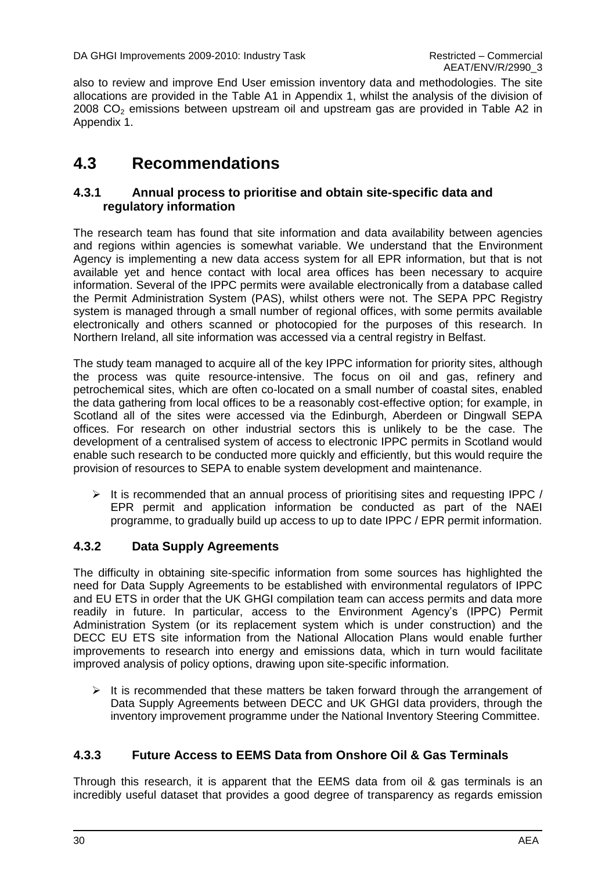also to review and improve End User emission inventory data and methodologies. The site allocations are provided in the Table A1 in Appendix 1, whilst the analysis of the division of  $2008$  CO<sub>2</sub> emissions between upstream oil and upstream gas are provided in Table A2 in Appendix 1.

### <span id="page-35-0"></span>**4.3 Recommendations**

#### **4.3.1 Annual process to prioritise and obtain site-specific data and regulatory information**

The research team has found that site information and data availability between agencies and regions within agencies is somewhat variable. We understand that the Environment Agency is implementing a new data access system for all EPR information, but that is not available yet and hence contact with local area offices has been necessary to acquire information. Several of the IPPC permits were available electronically from a database called the Permit Administration System (PAS), whilst others were not. The SEPA PPC Registry system is managed through a small number of regional offices, with some permits available electronically and others scanned or photocopied for the purposes of this research. In Northern Ireland, all site information was accessed via a central registry in Belfast.

The study team managed to acquire all of the key IPPC information for priority sites, although the process was quite resource-intensive. The focus on oil and gas, refinery and petrochemical sites, which are often co-located on a small number of coastal sites, enabled the data gathering from local offices to be a reasonably cost-effective option; for example, in Scotland all of the sites were accessed via the Edinburgh, Aberdeen or Dingwall SEPA offices. For research on other industrial sectors this is unlikely to be the case. The development of a centralised system of access to electronic IPPC permits in Scotland would enable such research to be conducted more quickly and efficiently, but this would require the provision of resources to SEPA to enable system development and maintenance.

 $\triangleright$  It is recommended that an annual process of prioritising sites and requesting IPPC / EPR permit and application information be conducted as part of the NAEI programme, to gradually build up access to up to date IPPC / EPR permit information.

#### **4.3.2 Data Supply Agreements**

The difficulty in obtaining site-specific information from some sources has highlighted the need for Data Supply Agreements to be established with environmental regulators of IPPC and EU ETS in order that the UK GHGI compilation team can access permits and data more readily in future. In particular, access to the Environment Agency"s (IPPC) Permit Administration System (or its replacement system which is under construction) and the DECC EU ETS site information from the National Allocation Plans would enable further improvements to research into energy and emissions data, which in turn would facilitate improved analysis of policy options, drawing upon site-specific information.

 $\triangleright$  It is recommended that these matters be taken forward through the arrangement of Data Supply Agreements between DECC and UK GHGI data providers, through the inventory improvement programme under the National Inventory Steering Committee.

#### **4.3.3 Future Access to EEMS Data from Onshore Oil & Gas Terminals**

Through this research, it is apparent that the EEMS data from oil & gas terminals is an incredibly useful dataset that provides a good degree of transparency as regards emission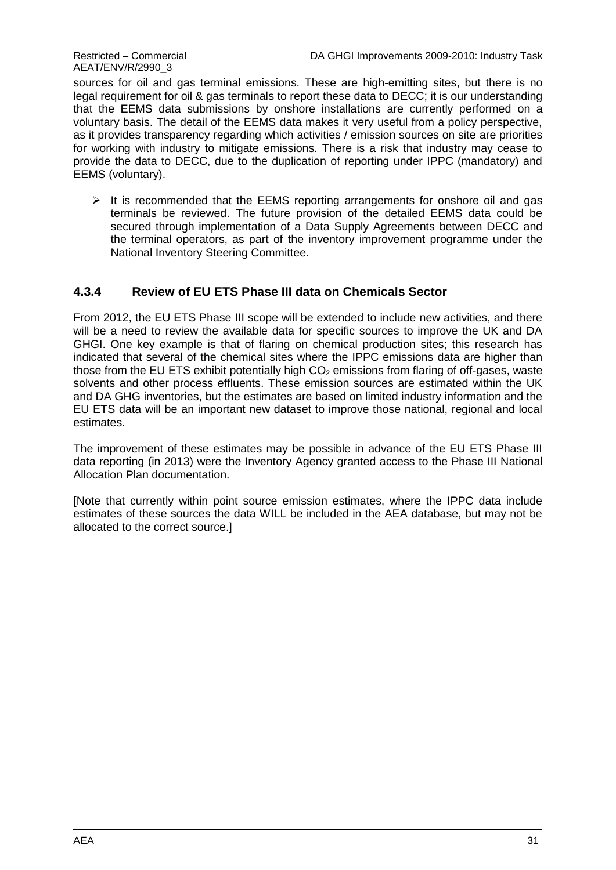sources for oil and gas terminal emissions. These are high-emitting sites, but there is no legal requirement for oil & gas terminals to report these data to DECC; it is our understanding that the EEMS data submissions by onshore installations are currently performed on a voluntary basis. The detail of the EEMS data makes it very useful from a policy perspective, as it provides transparency regarding which activities / emission sources on site are priorities for working with industry to mitigate emissions. There is a risk that industry may cease to provide the data to DECC, due to the duplication of reporting under IPPC (mandatory) and EEMS (voluntary).

 $\triangleright$  It is recommended that the EEMS reporting arrangements for onshore oil and gas terminals be reviewed. The future provision of the detailed EEMS data could be secured through implementation of a Data Supply Agreements between DECC and the terminal operators, as part of the inventory improvement programme under the National Inventory Steering Committee.

#### **4.3.4 Review of EU ETS Phase III data on Chemicals Sector**

From 2012, the EU ETS Phase III scope will be extended to include new activities, and there will be a need to review the available data for specific sources to improve the UK and DA GHGI. One key example is that of flaring on chemical production sites; this research has indicated that several of the chemical sites where the IPPC emissions data are higher than those from the EU ETS exhibit potentially high  $CO<sub>2</sub>$  emissions from flaring of off-gases, waste solvents and other process effluents. These emission sources are estimated within the UK and DA GHG inventories, but the estimates are based on limited industry information and the EU ETS data will be an important new dataset to improve those national, regional and local estimates.

The improvement of these estimates may be possible in advance of the EU ETS Phase III data reporting (in 2013) were the Inventory Agency granted access to the Phase III National Allocation Plan documentation.

[Note that currently within point source emission estimates, where the IPPC data include estimates of these sources the data WILL be included in the AEA database, but may not be allocated to the correct source.]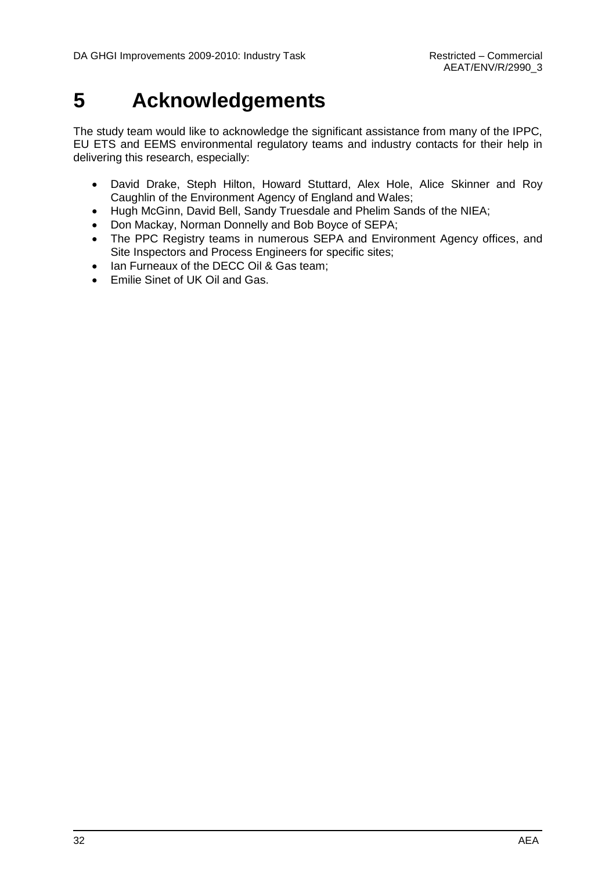## <span id="page-37-0"></span>**5 Acknowledgements**

The study team would like to acknowledge the significant assistance from many of the IPPC, EU ETS and EEMS environmental regulatory teams and industry contacts for their help in delivering this research, especially:

- David Drake, Steph Hilton, Howard Stuttard, Alex Hole, Alice Skinner and Roy Caughlin of the Environment Agency of England and Wales;
- Hugh McGinn, David Bell, Sandy Truesdale and Phelim Sands of the NIEA;
- Don Mackay, Norman Donnelly and Bob Boyce of SEPA;
- The PPC Registry teams in numerous SEPA and Environment Agency offices, and Site Inspectors and Process Engineers for specific sites;
- Ian Furneaux of the DECC Oil & Gas team;
- Emilie Sinet of UK Oil and Gas.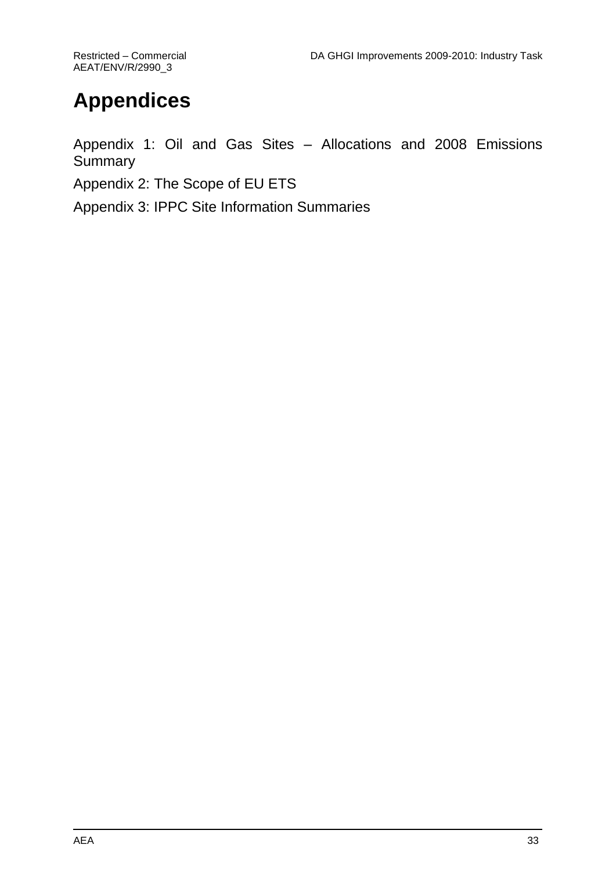## **Appendices**

Appendix 1: Oil and Gas Sites – Allocations and 2008 Emissions **Summary** 

Appendix 2: The Scope of EU ETS

Appendix 3: IPPC Site Information Summaries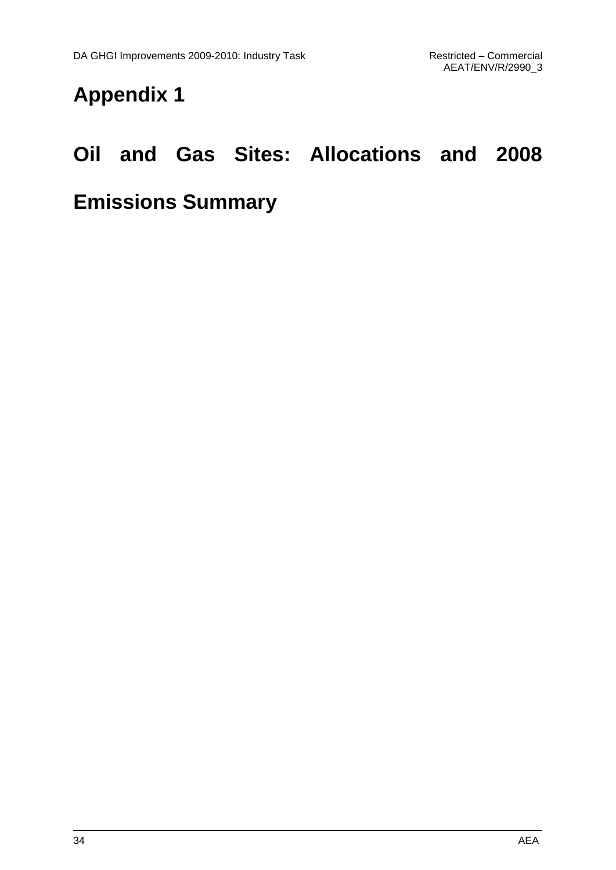## **Appendix 1**

## **Oil and Gas Sites: Allocations and 2008**

## **Emissions Summary**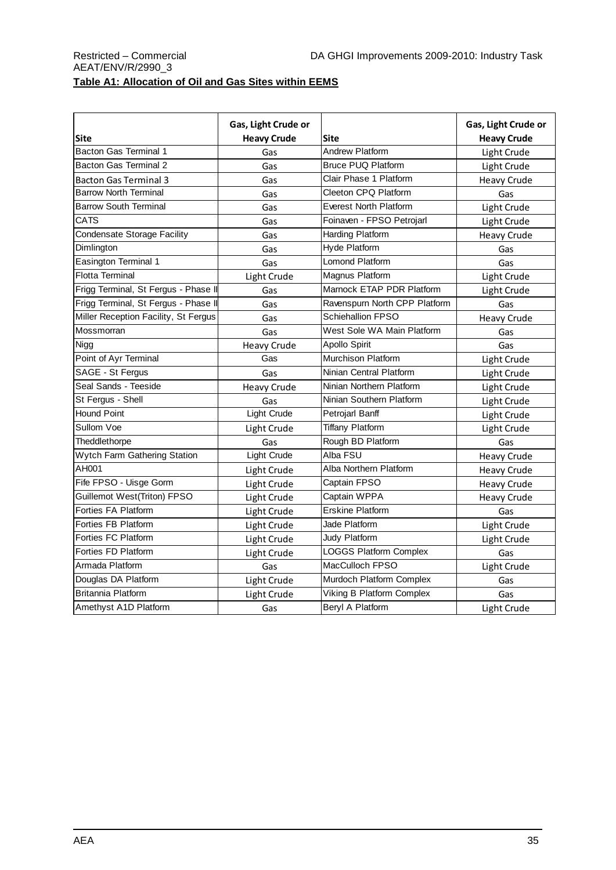#### Restricted – Commercial **DA GHGI Improvements 2009-2010: Industry Task** AEAT/ENV/R/2990\_3 **Table A1: Allocation of Oil and Gas Sites within EEMS**

|                                      | Gas, Light Crude or |                               | Gas, Light Crude or |
|--------------------------------------|---------------------|-------------------------------|---------------------|
| <b>Site</b>                          | <b>Heavy Crude</b>  | <b>Site</b>                   | <b>Heavy Crude</b>  |
| <b>Bacton Gas Terminal 1</b>         | Gas                 | <b>Andrew Platform</b>        | Light Crude         |
| <b>Bacton Gas Terminal 2</b>         | Gas                 | <b>Bruce PUQ Platform</b>     | Light Crude         |
| <b>Bacton Gas Terminal 3</b>         | Gas                 | Clair Phase 1 Platform        | <b>Heavy Crude</b>  |
| <b>Barrow North Terminal</b>         | Gas                 | Cleeton CPQ Platform          | Gas                 |
| <b>Barrow South Terminal</b>         | Gas                 | <b>Everest North Platform</b> | Light Crude         |
| <b>CATS</b>                          | Gas                 | Foinaven - FPSO Petrojarl     | Light Crude         |
| <b>Condensate Storage Facility</b>   | Gas                 | <b>Harding Platform</b>       | <b>Heavy Crude</b>  |
| Dimlington                           | Gas                 | <b>Hyde Platform</b>          | Gas                 |
| Easington Terminal 1                 | Gas                 | Lomond Platform               | Gas                 |
| <b>Flotta Terminal</b>               | Light Crude         | Magnus Platform               | Light Crude         |
| Frigg Terminal, St Fergus - Phase II | Gas                 | Marnock ETAP PDR Platform     | Light Crude         |
| Frigg Terminal, St Fergus - Phase II | Gas                 | Ravenspurn North CPP Platform | Gas                 |
| Miller Reception Facility, St Fergus | Gas                 | <b>Schiehallion FPSO</b>      | <b>Heavy Crude</b>  |
| Mossmorran                           | Gas                 | West Sole WA Main Platform    | Gas                 |
| Nigg                                 | <b>Heavy Crude</b>  | <b>Apollo Spirit</b>          | Gas                 |
| Point of Ayr Terminal                | Gas                 | Murchison Platform            | Light Crude         |
| SAGE - St Fergus                     | Gas                 | Ninian Central Platform       | Light Crude         |
| Seal Sands - Teeside                 | <b>Heavy Crude</b>  | Ninian Northern Platform      | Light Crude         |
| St Fergus - Shell                    | Gas                 | Ninian Southern Platform      | Light Crude         |
| <b>Hound Point</b>                   | Light Crude         | Petrojarl Banff               | Light Crude         |
| Sullom Voe                           | Light Crude         | <b>Tiffany Platform</b>       | Light Crude         |
| Theddlethorpe                        | Gas                 | Rough BD Platform             | Gas                 |
| Wytch Farm Gathering Station         | Light Crude         | Alba FSU                      | <b>Heavy Crude</b>  |
| AH001                                | Light Crude         | Alba Northern Platform        | <b>Heavy Crude</b>  |
| Fife FPSO - Uisge Gorm               | Light Crude         | Captain FPSO                  | <b>Heavy Crude</b>  |
| Guillemot West(Triton) FPSO          | Light Crude         | Captain WPPA                  | <b>Heavy Crude</b>  |
| Forties FA Platform                  | Light Crude         | <b>Erskine Platform</b>       | Gas                 |
| Forties FB Platform                  | Light Crude         | Jade Platform                 | Light Crude         |
| Forties FC Platform                  | Light Crude         | Judy Platform                 | Light Crude         |
| Forties FD Platform                  | Light Crude         | <b>LOGGS Platform Complex</b> | Gas                 |
| Armada Platform                      | Gas                 | MacCulloch FPSO               | Light Crude         |
| Douglas DA Platform                  | Light Crude         | Murdoch Platform Complex      | Gas                 |
| <b>Britannia Platform</b>            | Light Crude         | Viking B Platform Complex     | Gas                 |
| Amethyst A1D Platform                | Gas                 | Beryl A Platform              | Light Crude         |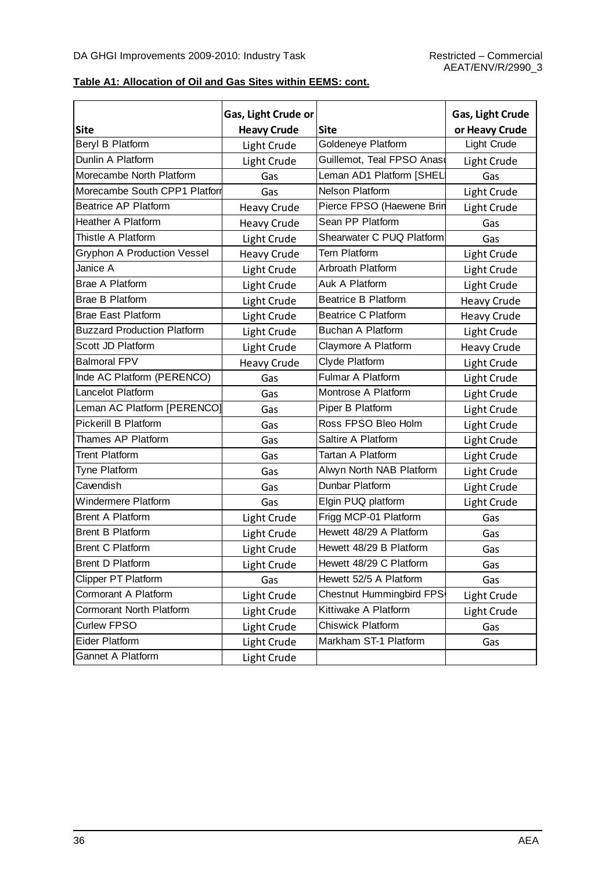#### **Table A1: Allocation of Oil and Gas Sites within EEMS: cont.**

|                                    | Gas, Light Crude or |                            | Gas, Light Crude   |
|------------------------------------|---------------------|----------------------------|--------------------|
| <b>Site</b>                        | <b>Heavy Crude</b>  | <b>Site</b>                | or Heavy Crude     |
| Beryl B Platform                   | Light Crude         | Goldeneye Platform         | Light Crude        |
| Dunlin A Platform                  | Light Crude         | Guillemot, Teal FPSO Anası | Light Crude        |
| Morecambe North Platform           | Gas                 | Leman AD1 Platform [SHEL   | Gas                |
| Morecambe South CPP1 Platform      | Gas                 | <b>Nelson Platform</b>     | Light Crude        |
| <b>Beatrice AP Platform</b>        | <b>Heavy Crude</b>  | Pierce FPSO (Haewene Brin  | Light Crude        |
| Heather A Platform                 | <b>Heavy Crude</b>  | Sean PP Platform           | Gas                |
| Thistle A Platform                 | Light Crude         | Shearwater C PUQ Platform  | Gas                |
| <b>Gryphon A Production Vessel</b> | <b>Heavy Crude</b>  | <b>Tern Platform</b>       | Light Crude        |
| Janice A                           | Light Crude         | Arbroath Platform          | Light Crude        |
| <b>Brae A Platform</b>             | Light Crude         | Auk A Platform             | Light Crude        |
| <b>Brae B Platform</b>             | Light Crude         | <b>Beatrice B Platform</b> | <b>Heavy Crude</b> |
| <b>Brae East Platform</b>          | Light Crude         | <b>Beatrice C Platform</b> | <b>Heavy Crude</b> |
| <b>Buzzard Production Platform</b> | Light Crude         | Buchan A Platform          | Light Crude        |
| Scott JD Platform                  | Light Crude         | Claymore A Platform        | <b>Heavy Crude</b> |
| <b>Balmoral FPV</b>                | <b>Heavy Crude</b>  | Clyde Platform             | Light Crude        |
| Inde AC Platform (PERENCO)         | Gas                 | Fulmar A Platform          | Light Crude        |
| Lancelot Platform                  | Gas                 | Montrose A Platform        | Light Crude        |
| Leman AC Platform [PERENCO]        | Gas                 | Piper B Platform           | Light Crude        |
| Pickerill B Platform               | Gas                 | Ross FPSO Bleo Holm        | Light Crude        |
| Thames AP Platform                 | Gas                 | Saltire A Platform         | Light Crude        |
| <b>Trent Platform</b>              | Gas                 | Tartan A Platform          | Light Crude        |
| Tyne Platform                      | Gas                 | Alwyn North NAB Platform   | Light Crude        |
| Cavendish                          | Gas                 | Dunbar Platform            | Light Crude        |
| Windermere Platform                | Gas                 | Elgin PUQ platform         | Light Crude        |
| <b>Brent A Platform</b>            | Light Crude         | Frigg MCP-01 Platform      | Gas                |
| <b>Brent B Platform</b>            | Light Crude         | Hewett 48/29 A Platform    | Gas                |
| Brent C Platform                   | Light Crude         | Hewett 48/29 B Platform    | Gas                |
| Brent D Platform                   | Light Crude         | Hewett 48/29 C Platform    | Gas                |
| <b>Clipper PT Platform</b>         | Gas                 | Hewett 52/5 A Platform     | Gas                |
| Cormorant A Platform               | Light Crude         | Chestnut Hummingbird FPS   | Light Crude        |
| Cormorant North Platform           | Light Crude         | Kittiwake A Platform       | Light Crude        |
| Curlew FPSO                        | Light Crude         | Chiswick Platform          | Gas                |
| <b>Eider Platform</b>              | Light Crude         | Markham ST-1 Platform      | Gas                |
| Gannet A Platform                  | Light Crude         |                            |                    |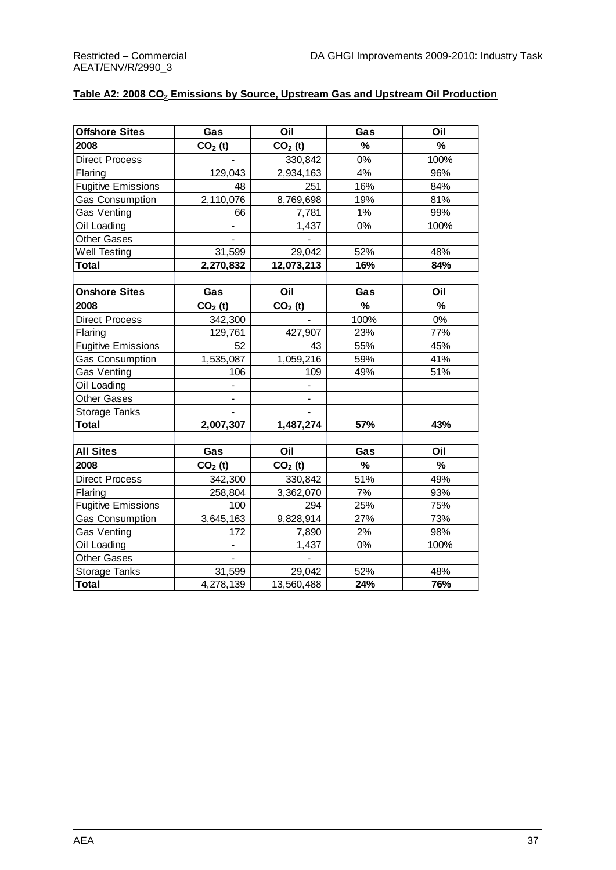#### **Table A2: 2008 CO<sup>2</sup> Emissions by Source, Upstream Gas and Upstream Oil Production**

| <b>Offshore Sites</b>     | Gas                          | Oil        | Gas           | Oil  |
|---------------------------|------------------------------|------------|---------------|------|
| 2008                      | $CO2$ (t)                    | $CO2$ (t)  | $\%$          | $\%$ |
| <b>Direct Process</b>     |                              | 330,842    | $0\%$         | 100% |
| Flaring                   | 129,043                      | 2,934,163  | 4%            | 96%  |
| <b>Fugitive Emissions</b> | 48                           | 251        | 16%           | 84%  |
| <b>Gas Consumption</b>    | 2,110,076                    | 8,769,698  | 19%           | 81%  |
| Gas Venting               | 66                           | 7,781      | 1%            | 99%  |
| Oil Loading               |                              | 1,437      | 0%            | 100% |
| <b>Other Gases</b>        |                              |            |               |      |
| Well Testing              | 31,599                       | 29,042     | 52%           | 48%  |
| Total                     | 2,270,832                    | 12,073,213 | 16%           | 84%  |
|                           |                              |            |               |      |
| <b>Onshore Sites</b>      | Gas                          | Oil        | Gas           | Oil  |
| 2008                      | $CO2$ (t)                    | $CO2$ (t)  | %             | $\%$ |
| <b>Direct Process</b>     | 342,300                      |            | 100%          | 0%   |
| Flaring                   | 129,761                      | 427,907    | 23%           | 77%  |
| <b>Fugitive Emissions</b> | 52                           | 43         | 55%           | 45%  |
| Gas Consumption           | 1,535,087                    | 1,059,216  | 59%           | 41%  |
| <b>Gas Venting</b>        | 106                          | 109        | 49%           | 51%  |
| Oil Loading               |                              |            |               |      |
| <b>Other Gases</b>        |                              |            |               |      |
| Storage Tanks             |                              |            |               |      |
| <b>Total</b>              | 2,007,307                    | 1,487,274  | 57%           | 43%  |
|                           |                              |            |               |      |
| <b>All Sites</b>          | Gas                          | Oil        | Gas           | Oil  |
| 2008                      | $CO2$ (t)                    | $CO2$ (t)  | $\frac{9}{6}$ | $\%$ |
| <b>Direct Process</b>     | 342,300                      | 330,842    | 51%           | 49%  |
| Flaring                   | 258,804                      | 3,362,070  | 7%            | 93%  |
| <b>Fugitive Emissions</b> | 100                          | 294        | 25%           | 75%  |
| Gas Consumption           | 3,645,163                    | 9,828,914  | 27%           | 73%  |
| Gas Venting               | 172                          | 7,890      | 2%            | 98%  |
| Oil Loading               | $\overline{\phantom{a}}$     | 1,437      | $0\%$         | 100% |
| <b>Other Gases</b>        | $\qquad \qquad \blacksquare$ |            |               |      |
| Storage Tanks             | 31,599                       | 29,042     | 52%           | 48%  |
| <b>Total</b>              | 4,278,139                    | 13,560,488 | 24%           | 76%  |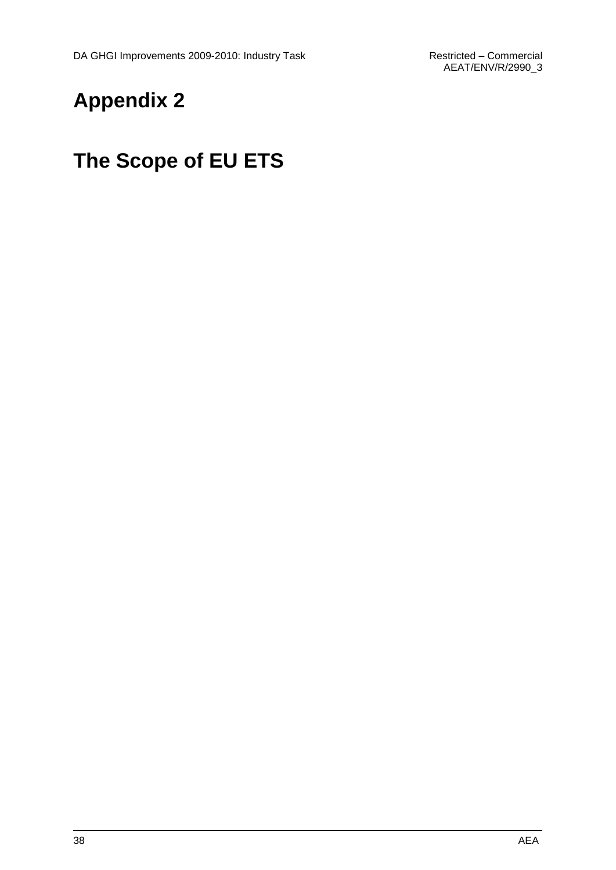## **Appendix 2**

## **The Scope of EU ETS**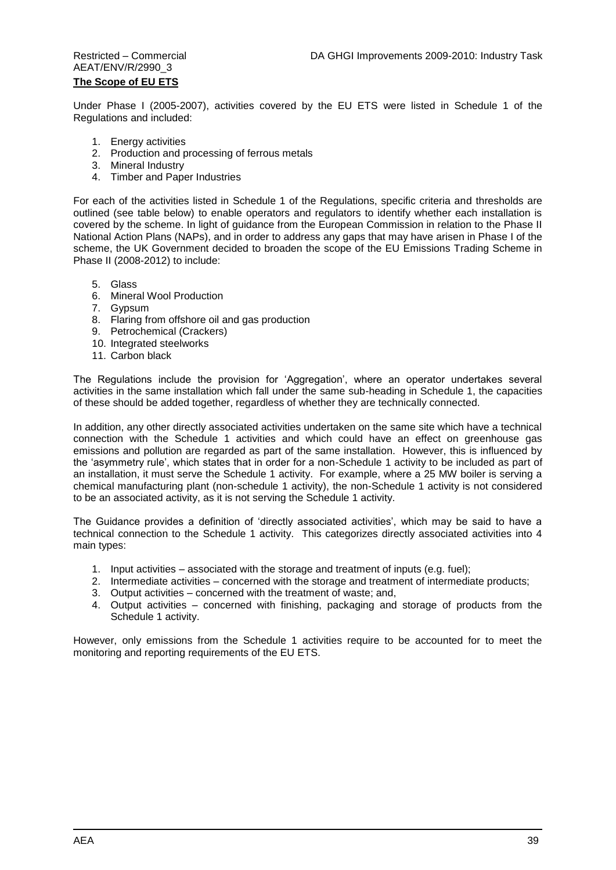### AEAT/ENV/R/2990\_3 **The Scope of EU ETS**

Under Phase I (2005-2007), activities covered by the EU ETS were listed in Schedule 1 of the Regulations and included:

- 1. Energy activities
- 2. Production and processing of ferrous metals
- 3. Mineral Industry
- 4. Timber and Paper Industries

For each of the activities listed in Schedule 1 of the Regulations, specific criteria and thresholds are outlined (see table below) to enable operators and regulators to identify whether each installation is covered by the scheme. In light of guidance from the European Commission in relation to the Phase II National Action Plans (NAPs), and in order to address any gaps that may have arisen in Phase I of the scheme, the UK Government decided to broaden the scope of the EU Emissions Trading Scheme in Phase II (2008-2012) to include:

- 5. Glass
- 6. Mineral Wool Production
- 7. Gypsum
- 8. Flaring from offshore oil and gas production
- 9. Petrochemical (Crackers)
- 10. Integrated steelworks
- 11. Carbon black

The Regulations include the provision for "Aggregation", where an operator undertakes several activities in the same installation which fall under the same sub-heading in Schedule 1, the capacities of these should be added together, regardless of whether they are technically connected.

In addition, any other directly associated activities undertaken on the same site which have a technical connection with the Schedule 1 activities and which could have an effect on greenhouse gas emissions and pollution are regarded as part of the same installation. However, this is influenced by the 'asymmetry rule', which states that in order for a non-Schedule 1 activity to be included as part of an installation, it must serve the Schedule 1 activity. For example, where a 25 MW boiler is serving a chemical manufacturing plant (non-schedule 1 activity), the non-Schedule 1 activity is not considered to be an associated activity, as it is not serving the Schedule 1 activity.

The Guidance provides a definition of 'directly associated activities', which may be said to have a technical connection to the Schedule 1 activity. This categorizes directly associated activities into 4 main types:

- 1. Input activities associated with the storage and treatment of inputs (e.g. fuel);
- 2. Intermediate activities concerned with the storage and treatment of intermediate products;
- 3. Output activities concerned with the treatment of waste; and,
- 4. Output activities concerned with finishing, packaging and storage of products from the Schedule 1 activity.

However, only emissions from the Schedule 1 activities require to be accounted for to meet the monitoring and reporting requirements of the EU ETS.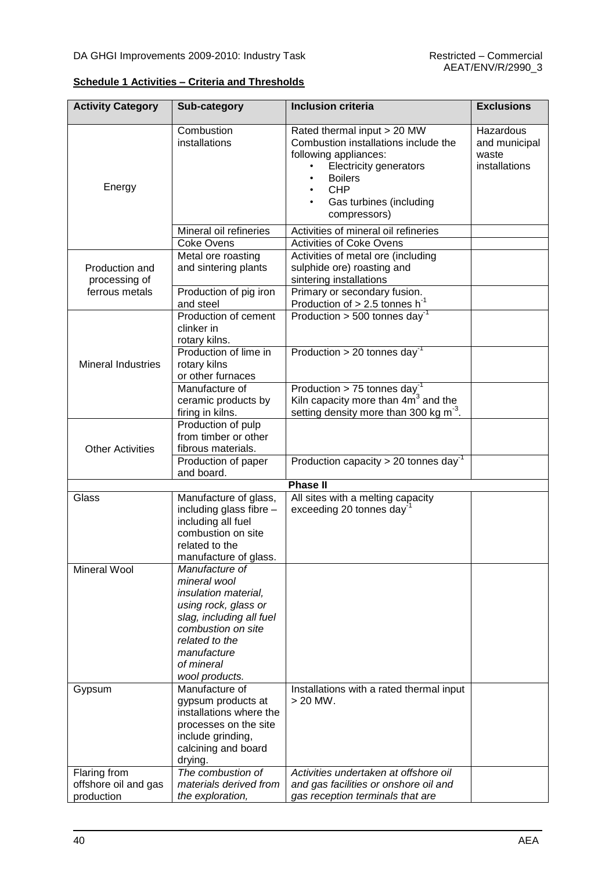|  | <b>Schedule 1 Activities – Criteria and Thresholds</b> |  |
|--|--------------------------------------------------------|--|
|  |                                                        |  |

| <b>Activity Category</b>                           | Sub-category                                                                                                                                                                                      | <b>Inclusion criteria</b>                                                                                                                                                                                | <b>Exclusions</b>                                    |
|----------------------------------------------------|---------------------------------------------------------------------------------------------------------------------------------------------------------------------------------------------------|----------------------------------------------------------------------------------------------------------------------------------------------------------------------------------------------------------|------------------------------------------------------|
| Energy                                             | Combustion<br>installations                                                                                                                                                                       | Rated thermal input > 20 MW<br>Combustion installations include the<br>following appliances:<br><b>Electricity generators</b><br><b>Boilers</b><br><b>CHP</b><br>Gas turbines (including<br>compressors) | Hazardous<br>and municipal<br>waste<br>installations |
|                                                    | Mineral oil refineries<br><b>Coke Ovens</b>                                                                                                                                                       | Activities of mineral oil refineries<br><b>Activities of Coke Ovens</b>                                                                                                                                  |                                                      |
| Production and<br>processing of                    | Metal ore roasting<br>and sintering plants                                                                                                                                                        | Activities of metal ore (including<br>sulphide ore) roasting and<br>sintering installations                                                                                                              |                                                      |
| ferrous metals                                     | Production of pig iron<br>and steel                                                                                                                                                               | Primary or secondary fusion.<br>Production of $> 2.5$ tonnes h <sup>-1</sup>                                                                                                                             |                                                      |
|                                                    | Production of cement<br>clinker in<br>rotary kilns.                                                                                                                                               | Production $>$ 500 tonnes day <sup>-1</sup>                                                                                                                                                              |                                                      |
| <b>Mineral Industries</b>                          | Production of lime in<br>rotary kilns<br>or other furnaces                                                                                                                                        | Production > 20 tonnes day <sup>-1</sup>                                                                                                                                                                 |                                                      |
|                                                    | Manufacture of<br>ceramic products by<br>firing in kilns.                                                                                                                                         | Production > 75 tonnes day <sup>-1</sup><br>Kiln capacity more than $4m^3$ and the<br>setting density more than 300 kg m <sup>-3</sup> .                                                                 |                                                      |
| <b>Other Activities</b>                            | Production of pulp<br>from timber or other<br>fibrous materials.                                                                                                                                  |                                                                                                                                                                                                          |                                                      |
|                                                    | Production of paper<br>and board.                                                                                                                                                                 | Production capacity > 20 tonnes day <sup>-1</sup>                                                                                                                                                        |                                                      |
|                                                    |                                                                                                                                                                                                   | <b>Phase II</b>                                                                                                                                                                                          |                                                      |
| Glass                                              | Manufacture of glass,<br>including glass fibre -<br>including all fuel<br>combustion on site<br>related to the<br>manufacture of glass.                                                           | All sites with a melting capacity<br>exceeding 20 tonnes day                                                                                                                                             |                                                      |
| Mineral Wool                                       | Manufacture of<br>mineral wool<br>insulation material,<br>using rock, glass or<br>slag, including all fuel<br>combustion on site<br>related to the<br>manufacture<br>of mineral<br>wool products. |                                                                                                                                                                                                          |                                                      |
| Gypsum                                             | Manufacture of<br>gypsum products at<br>installations where the<br>processes on the site<br>include grinding,<br>calcining and board<br>drying.                                                   | Installations with a rated thermal input<br>$>$ 20 MW.                                                                                                                                                   |                                                      |
| Flaring from<br>offshore oil and gas<br>production | The combustion of<br>materials derived from<br>the exploration,                                                                                                                                   | Activities undertaken at offshore oil<br>and gas facilities or onshore oil and<br>gas reception terminals that are                                                                                       |                                                      |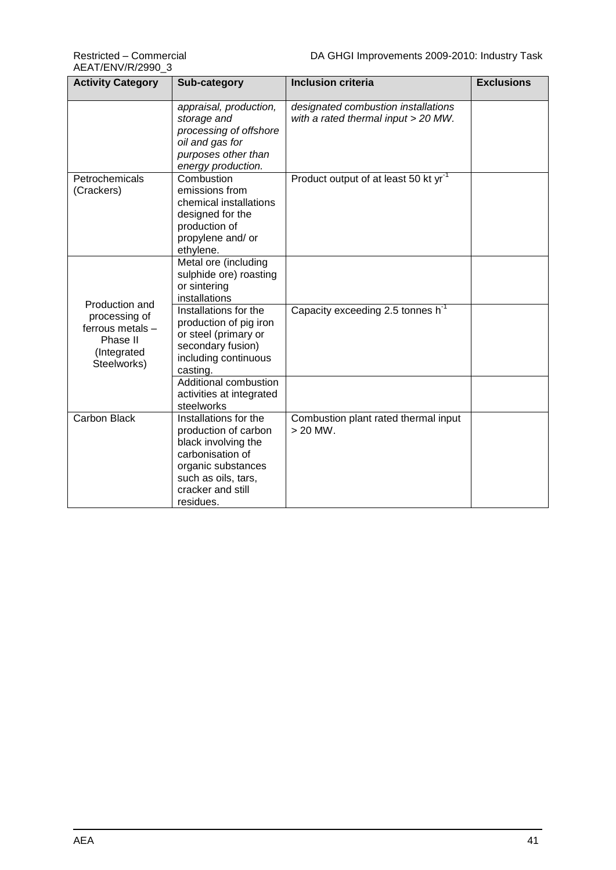| <b>Activity Category</b>                                                                      | Sub-category                                                                                                                                                            | <b>Inclusion criteria</b>                                                  | <b>Exclusions</b> |
|-----------------------------------------------------------------------------------------------|-------------------------------------------------------------------------------------------------------------------------------------------------------------------------|----------------------------------------------------------------------------|-------------------|
|                                                                                               | appraisal, production,<br>storage and<br>processing of offshore<br>oil and gas for<br>purposes other than<br>energy production.                                         | designated combustion installations<br>with a rated thermal input > 20 MW. |                   |
| Petrochemicals<br>(Crackers)                                                                  | Combustion<br>emissions from<br>chemical installations<br>designed for the<br>production of<br>propylene and/ or<br>ethylene.                                           | Product output of at least 50 kt yr <sup>-1</sup>                          |                   |
|                                                                                               | Metal ore (including<br>sulphide ore) roasting<br>or sintering<br>installations                                                                                         |                                                                            |                   |
| Production and<br>processing of<br>ferrous metals -<br>Phase II<br>(Integrated<br>Steelworks) | Installations for the<br>production of pig iron<br>or steel (primary or<br>secondary fusion)<br>including continuous<br>casting.                                        | Capacity exceeding 2.5 tonnes h <sup>-1</sup>                              |                   |
|                                                                                               | Additional combustion<br>activities at integrated<br>steelworks                                                                                                         |                                                                            |                   |
| <b>Carbon Black</b>                                                                           | Installations for the<br>production of carbon<br>black involving the<br>carbonisation of<br>organic substances<br>such as oils, tars,<br>cracker and still<br>residues. | Combustion plant rated thermal input<br>$>$ 20 MW.                         |                   |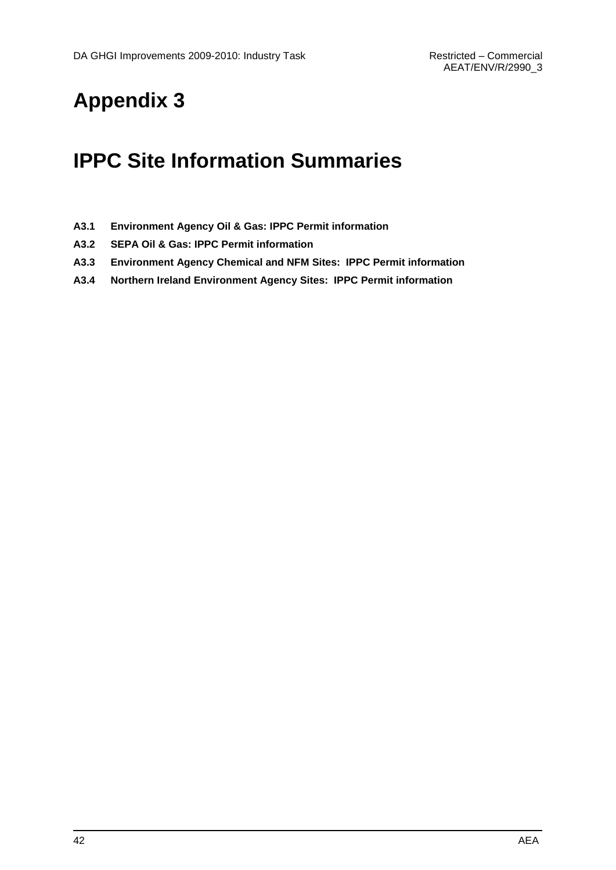## **Appendix 3**

## **IPPC Site Information Summaries**

- **A3.1 Environment Agency Oil & Gas: IPPC Permit information**
- **A3.2 SEPA Oil & Gas: IPPC Permit information**
- **A3.3 Environment Agency Chemical and NFM Sites: IPPC Permit information**
- **A3.4 Northern Ireland Environment Agency Sites: IPPC Permit information**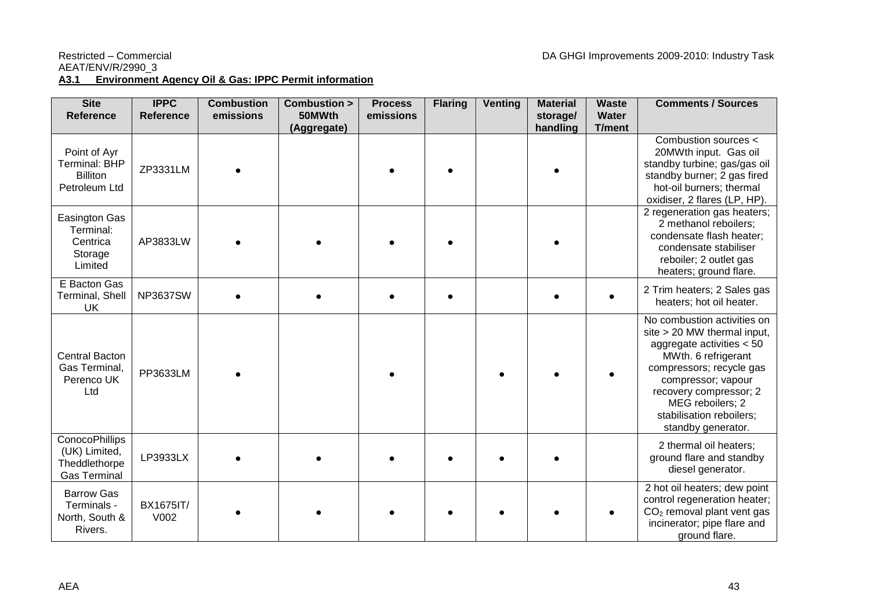#### Restricted – Commercial **DA GHGI Improvements 2009-2010: Industry Task** AEAT/ENV/R/2990\_3 **A3.1 Environment Agency Oil & Gas: IPPC Permit information**

| <b>Site</b><br><b>Reference</b>                                                | <b>IPPC</b><br><b>Reference</b> | <b>Combustion</b><br>emissions | Combustion ><br>50MWth | <b>Process</b><br>emissions | <b>Flaring</b> | <b>Venting</b> | <b>Material</b><br>storage/ | <b>Waste</b><br><b>Water</b> | <b>Comments / Sources</b>                                                                                                                                                                                                                                          |
|--------------------------------------------------------------------------------|---------------------------------|--------------------------------|------------------------|-----------------------------|----------------|----------------|-----------------------------|------------------------------|--------------------------------------------------------------------------------------------------------------------------------------------------------------------------------------------------------------------------------------------------------------------|
|                                                                                |                                 |                                | (Aggregate)            |                             |                |                | handling                    | T/ment                       |                                                                                                                                                                                                                                                                    |
| Point of Ayr<br><b>Terminal: BHP</b><br><b>Billiton</b><br>Petroleum Ltd       | ZP3331LM                        |                                |                        |                             |                |                |                             |                              | Combustion sources <<br>20MWth input. Gas oil<br>standby turbine; gas/gas oil<br>standby burner; 2 gas fired<br>hot-oil burners; thermal<br>oxidiser, 2 flares (LP, HP).                                                                                           |
| <b>Easington Gas</b><br>Terminal:<br>Centrica<br>Storage<br>Limited            | AP3833LW                        |                                |                        |                             |                |                |                             |                              | 2 regeneration gas heaters;<br>2 methanol reboilers;<br>condensate flash heater;<br>condensate stabiliser<br>reboiler; 2 outlet gas<br>heaters; ground flare.                                                                                                      |
| E Bacton Gas<br>Terminal, Shell<br>UK                                          | <b>NP3637SW</b>                 |                                |                        |                             |                |                |                             |                              | 2 Trim heaters; 2 Sales gas<br>heaters; hot oil heater.                                                                                                                                                                                                            |
| <b>Central Bacton</b><br>Gas Terminal,<br>Perenco UK<br>Ltd                    | PP3633LM                        |                                |                        |                             |                |                |                             |                              | No combustion activities on<br>site > 20 MW thermal input,<br>aggregate activities $< 50$<br>MWth. 6 refrigerant<br>compressors; recycle gas<br>compressor; vapour<br>recovery compressor; 2<br>MEG reboilers; 2<br>stabilisation reboilers;<br>standby generator. |
| <b>ConocoPhillips</b><br>(UK) Limited,<br>Theddlethorpe<br><b>Gas Terminal</b> | LP3933LX                        |                                |                        |                             |                |                |                             |                              | 2 thermal oil heaters;<br>ground flare and standby<br>diesel generator.                                                                                                                                                                                            |
| <b>Barrow Gas</b><br>Terminals -<br>North, South &<br>Rivers.                  | BX1675IT/<br>V002               |                                |                        |                             |                |                |                             |                              | 2 hot oil heaters; dew point<br>control regeneration heater;<br>$CO2$ removal plant vent gas<br>incinerator; pipe flare and<br>ground flare.                                                                                                                       |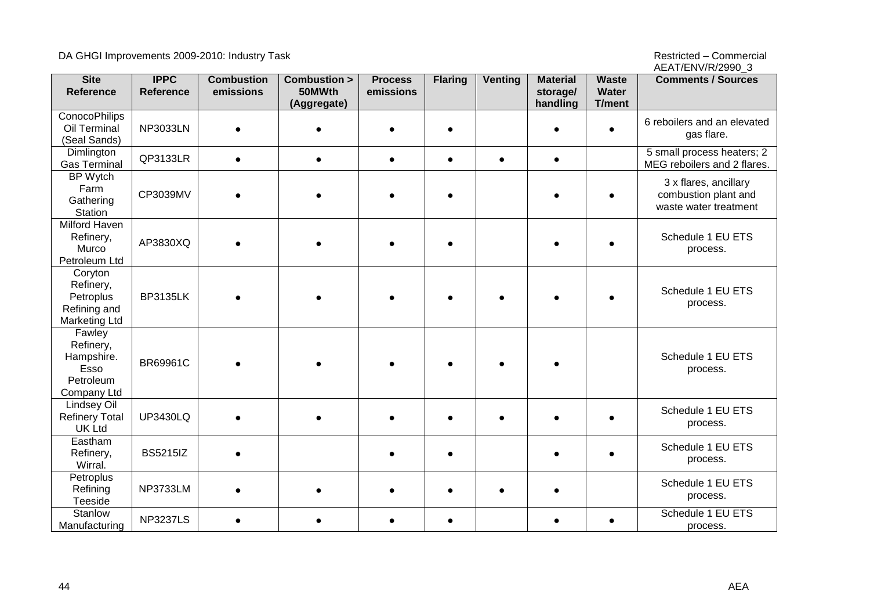DA GHGI Improvements 2009-2010: Industry Task and the state of the state of the state of the Restricted – Commercial

AEAT/ENV/R/2990\_3

| <b>Site</b><br><b>Reference</b>                                           | <b>IPPC</b><br>Reference | <b>Combustion</b><br>emissions | Combustion ><br>50MWth | <b>Process</b><br>emissions | <b>Flaring</b> | <b>Venting</b> | <b>Material</b><br>storage/ | <b>Waste</b><br>Water | <b>Comments / Sources</b>                                              |
|---------------------------------------------------------------------------|--------------------------|--------------------------------|------------------------|-----------------------------|----------------|----------------|-----------------------------|-----------------------|------------------------------------------------------------------------|
|                                                                           |                          |                                | (Aggregate)            |                             |                |                | handling                    | T/ment                |                                                                        |
| <b>ConocoPhilips</b><br>Oil Terminal<br>(Seal Sands)                      | <b>NP3033LN</b>          | $\bullet$                      |                        |                             |                |                |                             |                       | 6 reboilers and an elevated<br>gas flare.                              |
| Dimlington<br><b>Gas Terminal</b>                                         | QP3133LR                 | $\bullet$                      | $\bullet$              | $\bullet$                   | $\bullet$      | $\bullet$      | $\bullet$                   |                       | 5 small process heaters; 2<br>MEG reboilers and 2 flares.              |
| <b>BP</b> Wytch<br>Farm<br>Gathering<br>Station                           | CP3039MV                 |                                |                        |                             |                |                |                             |                       | 3 x flares, ancillary<br>combustion plant and<br>waste water treatment |
| <b>Milford Haven</b><br>Refinery,<br>Murco<br>Petroleum Ltd               | AP3830XQ                 |                                |                        |                             |                |                |                             |                       | Schedule 1 EU ETS<br>process.                                          |
| Coryton<br>Refinery,<br>Petroplus<br>Refining and<br><b>Marketing Ltd</b> | <b>BP3135LK</b>          |                                |                        |                             |                |                |                             |                       | Schedule 1 EU ETS<br>process.                                          |
| Fawley<br>Refinery,<br>Hampshire.<br>Esso<br>Petroleum<br>Company Ltd     | BR69961C                 |                                |                        |                             |                |                |                             |                       | Schedule 1 EU ETS<br>process.                                          |
| <b>Lindsey Oil</b><br><b>Refinery Total</b><br><b>UK Ltd</b>              | <b>UP3430LQ</b>          |                                |                        |                             |                |                |                             |                       | Schedule 1 EU ETS<br>process.                                          |
| Eastham<br>Refinery,<br>Wirral.                                           | <b>BS5215IZ</b>          |                                |                        |                             |                |                |                             |                       | Schedule 1 EU ETS<br>process.                                          |
| Petroplus<br>Refining<br>Teeside                                          | <b>NP3733LM</b>          |                                |                        |                             |                |                |                             |                       | Schedule 1 EU ETS<br>process.                                          |
| Stanlow<br>Manufacturing                                                  | <b>NP3237LS</b>          |                                | $\bullet$              | $\bullet$                   | $\bullet$      |                |                             | $\bullet$             | Schedule 1 EU ETS<br>process.                                          |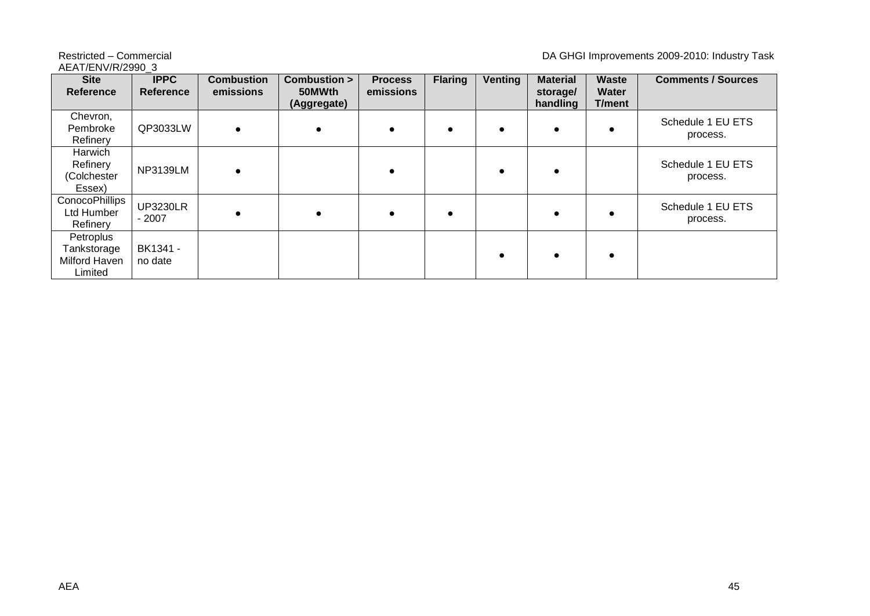### AEAT/ENV/R/2990\_3

#### Restricted – Commercial **DA GHGI Improvements 2009-2010: Industry Task**

| <b>Site</b><br><b>Reference</b>                      | <b>IPPC</b><br><b>Reference</b> | <b>Combustion</b><br>emissions | Combustion ><br>50MWth<br>(Aggregate) | <b>Process</b><br>emissions | <b>Flaring</b> | <b>Venting</b> | <b>Material</b><br>storage/<br>handling | Waste<br><b>Water</b><br><b>T/ment</b> | <b>Comments / Sources</b>     |
|------------------------------------------------------|---------------------------------|--------------------------------|---------------------------------------|-----------------------------|----------------|----------------|-----------------------------------------|----------------------------------------|-------------------------------|
| Chevron,<br>Pembroke<br>Refinery                     | QP3033LW                        |                                | $\epsilon$                            |                             |                |                |                                         |                                        | Schedule 1 EU ETS<br>process. |
| Harwich<br>Refinery<br>(Colchester<br>Essex)         | <b>NP3139LM</b>                 |                                |                                       |                             |                | $\bullet$      |                                         |                                        | Schedule 1 EU ETS<br>process. |
| <b>ConocoPhillips</b><br>Ltd Humber<br>Refinery      | <b>UP3230LR</b><br>$-2007$      |                                | $\bullet$                             |                             |                |                |                                         |                                        | Schedule 1 EU ETS<br>process. |
| Petroplus<br>Tankstorage<br>Milford Haven<br>Limited | BK1341 -<br>no date             |                                |                                       |                             |                | $\bullet$      |                                         |                                        |                               |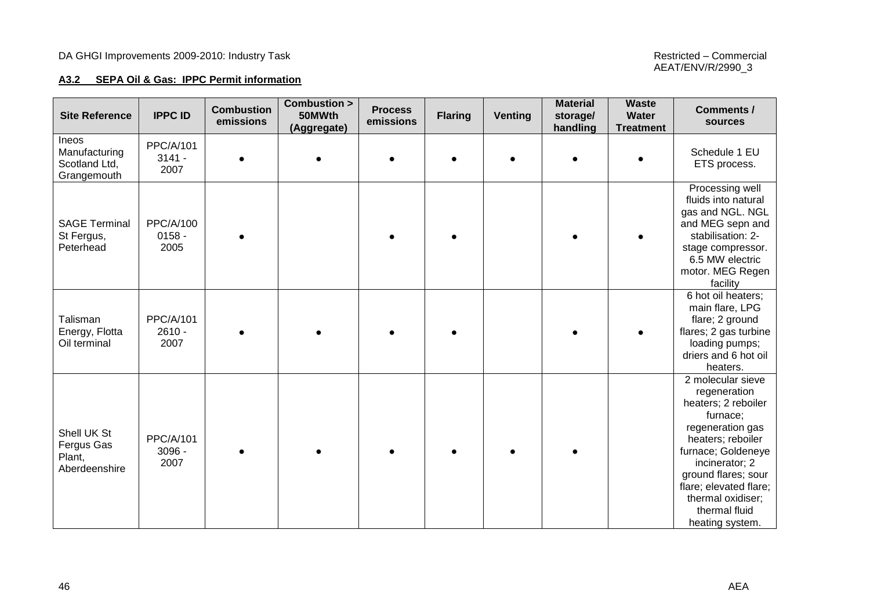#### **A3.2 SEPA Oil & Gas: IPPC Permit information**

| <b>Site Reference</b>                                         | <b>IPPC ID</b>                       | <b>Combustion</b><br>emissions | <b>Combustion &gt;</b><br>50MWth<br>(Aggregate) | <b>Process</b><br>emissions | <b>Flaring</b> | <b>Venting</b> | <b>Material</b><br>storage/<br>handling | <b>Waste</b><br>Water<br><b>Treatment</b> | <b>Comments /</b><br>sources                                                                                                                                                                                                                                    |
|---------------------------------------------------------------|--------------------------------------|--------------------------------|-------------------------------------------------|-----------------------------|----------------|----------------|-----------------------------------------|-------------------------------------------|-----------------------------------------------------------------------------------------------------------------------------------------------------------------------------------------------------------------------------------------------------------------|
| <b>Ineos</b><br>Manufacturing<br>Scotland Ltd,<br>Grangemouth | <b>PPC/A/101</b><br>$3141 -$<br>2007 |                                |                                                 |                             |                | $\bullet$      |                                         |                                           | Schedule 1 EU<br>ETS process.                                                                                                                                                                                                                                   |
| <b>SAGE Terminal</b><br>St Fergus,<br>Peterhead               | <b>PPC/A/100</b><br>$0158 -$<br>2005 |                                |                                                 |                             |                |                |                                         |                                           | Processing well<br>fluids into natural<br>gas and NGL. NGL<br>and MEG sepn and<br>stabilisation: 2-<br>stage compressor.<br>6.5 MW electric<br>motor. MEG Regen<br>facility                                                                                     |
| Talisman<br>Energy, Flotta<br>Oil terminal                    | <b>PPC/A/101</b><br>$2610 -$<br>2007 |                                |                                                 |                             |                |                |                                         |                                           | 6 hot oil heaters;<br>main flare, LPG<br>flare; 2 ground<br>flares; 2 gas turbine<br>loading pumps;<br>driers and 6 hot oil<br>heaters.                                                                                                                         |
| Shell UK St<br>Fergus Gas<br>Plant,<br>Aberdeenshire          | PPC/A/101<br>3096 -<br>2007          |                                |                                                 |                             |                |                |                                         |                                           | 2 molecular sieve<br>regeneration<br>heaters; 2 reboiler<br>furnace;<br>regeneration gas<br>heaters; reboiler<br>furnace; Goldeneye<br>incinerator; 2<br>ground flares; sour<br>flare; elevated flare;<br>thermal oxidiser;<br>thermal fluid<br>heating system. |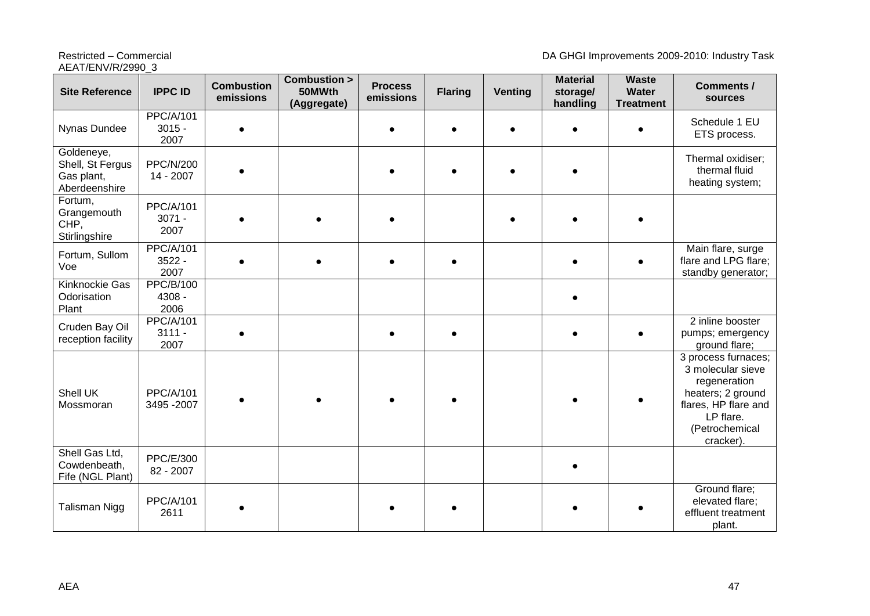**Site Reference IPPC ID Combustion emissions Combustion > 50MWth (Aggregate) Process emissions Flaring Venting Material storage/ handling Waste Water Treatment Comments / sources** Nynas Dundee PPC/A/101 3015 - 2007 Schedule 1 EU ETS process. Goldeneye, Shell, St Fergus Gas plant, Aberdeenshire PPC/N/200 14 - <sup>2007</sup> Thermal oxidiser; thermal fluid heating system; Fortum, **Grangemouth** CHP, **Stirlingshire** PPC/A/101 3071 - 2007 Fortum, Sullom Voe PPC/A/101 3522 - 2007 Main flare, surge flare and LPG flare; standby generator; Kinknockie Gas **Odorisation** Plant PPC/B/100 4308 - 2006  $\bullet$ Cruden Bay Oil reception facility PPC/A/101 3111 - 2007 2 inline booster pumps; emergency ground flare; Shell UK Mossmoran PPC/A/101 3495 -2007 3 process furnaces; 3 molecular sieve regeneration heaters; 2 ground flares, HP flare and LP flare. (Petrochemical cracker). Shell Gas Ltd, Cowdenbeath, Fife (NGL Plant) PPC/E/300 82 - <sup>2007</sup> Talisman Nigg | PPC/A/101 C/2V101 | ● | ● | ● | ● | ● | ● | ● | ●<br>2611 | ● | ● | ● | ● | ● | ● | ● | ● Ground flare; elevated flare; effluent treatment plant.

### AEAT/ENV/R/2990\_3

Restricted – Commercial **DA GHGI Improvements 2009-2010: Industry Task**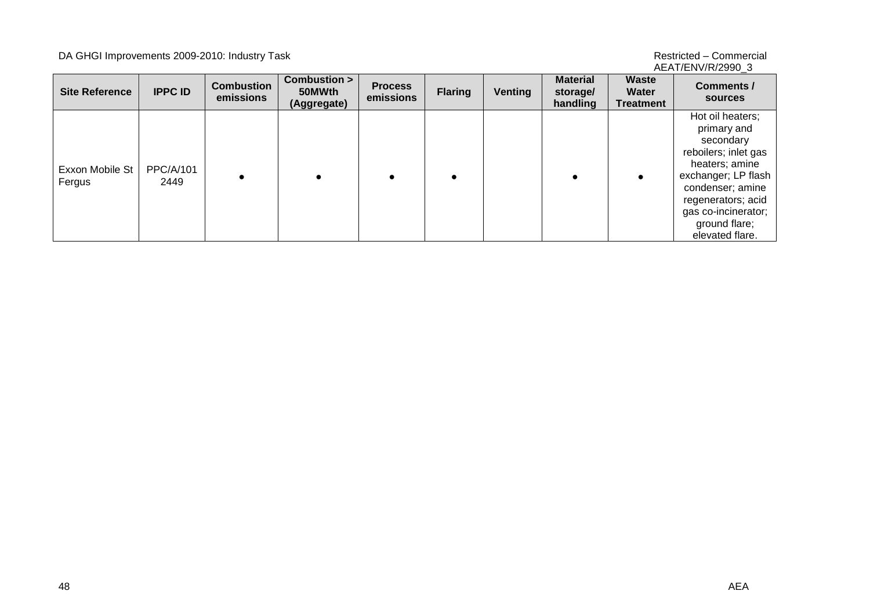#### DA GHGI Improvements 2009-2010: Industry Task and the state of the state of the state of the Restricted – Commercial

AEAT/ENV/R/2990\_3

| <b>Site Reference</b>     | <b>IPPC ID</b>           | <b>Combustion</b><br>emissions | Combustion ><br>50MWth<br>(Aggregate) | <b>Process</b><br>emissions | <b>Flaring</b> | Venting | <b>Material</b><br>storage/<br>handling | <b>Waste</b><br>Water<br><b>Treatment</b> | Comments /<br>sources                                                                                                                                                                                              |
|---------------------------|--------------------------|--------------------------------|---------------------------------------|-----------------------------|----------------|---------|-----------------------------------------|-------------------------------------------|--------------------------------------------------------------------------------------------------------------------------------------------------------------------------------------------------------------------|
| Exxon Mobile St<br>Fergus | <b>PPC/A/101</b><br>2449 |                                |                                       |                             |                |         |                                         |                                           | Hot oil heaters;<br>primary and<br>secondary<br>reboilers; inlet gas<br>heaters; amine<br>exchanger; LP flash<br>condenser; amine<br>regenerators; acid<br>gas co-incinerator;<br>ground flare;<br>elevated flare. |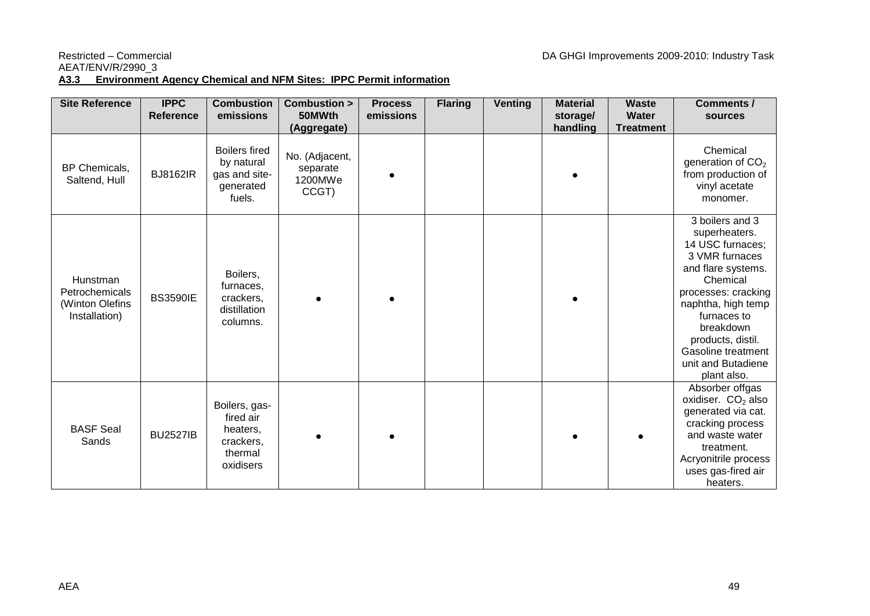#### Restricted – Commercial **DA GHGI Improvements 2009-2010: Industry Task**

## AEAT/ENV/R/2990\_3

#### **A3.3 Environment Agency Chemical and NFM Sites: IPPC Permit information**

| <b>Site Reference</b>                                          | <b>IPPC</b><br><b>Reference</b> | <b>Combustion</b><br>emissions                                              | Combustion ><br>50MWth                                        | <b>Process</b><br>emissions | <b>Flaring</b> | <b>Venting</b> | <b>Material</b><br>storage/ | <b>Waste</b><br><b>Water</b> | <b>Comments /</b><br>sources                                                                                                                                                                                                                                      |
|----------------------------------------------------------------|---------------------------------|-----------------------------------------------------------------------------|---------------------------------------------------------------|-----------------------------|----------------|----------------|-----------------------------|------------------------------|-------------------------------------------------------------------------------------------------------------------------------------------------------------------------------------------------------------------------------------------------------------------|
| BP Chemicals,<br>Saltend, Hull                                 | <b>BJ8162IR</b>                 | <b>Boilers fired</b><br>by natural<br>gas and site-<br>generated<br>fuels.  | (Aggregate)<br>No. (Adjacent,<br>separate<br>1200MWe<br>CCGT) |                             |                |                | handling                    | <b>Treatment</b>             | Chemical<br>generation of $CO2$<br>from production of<br>vinyl acetate<br>monomer.                                                                                                                                                                                |
| Hunstman<br>Petrochemicals<br>(Winton Olefins<br>Installation) | <b>BS3590IE</b>                 | Boilers,<br>furnaces,<br>crackers,<br>distillation<br>columns.              |                                                               |                             |                |                |                             |                              | 3 boilers and 3<br>superheaters.<br>14 USC furnaces;<br>3 VMR furnaces<br>and flare systems.<br>Chemical<br>processes: cracking<br>naphtha, high temp<br>furnaces to<br>breakdown<br>products, distil.<br>Gasoline treatment<br>unit and Butadiene<br>plant also. |
| <b>BASF Seal</b><br>Sands                                      | <b>BU2527IB</b>                 | Boilers, gas-<br>fired air<br>heaters,<br>crackers,<br>thermal<br>oxidisers |                                                               |                             |                |                |                             |                              | Absorber offgas<br>oxidiser. $CO2$ also<br>generated via cat.<br>cracking process<br>and waste water<br>treatment.<br>Acryonitrile process<br>uses gas-fired air<br>heaters.                                                                                      |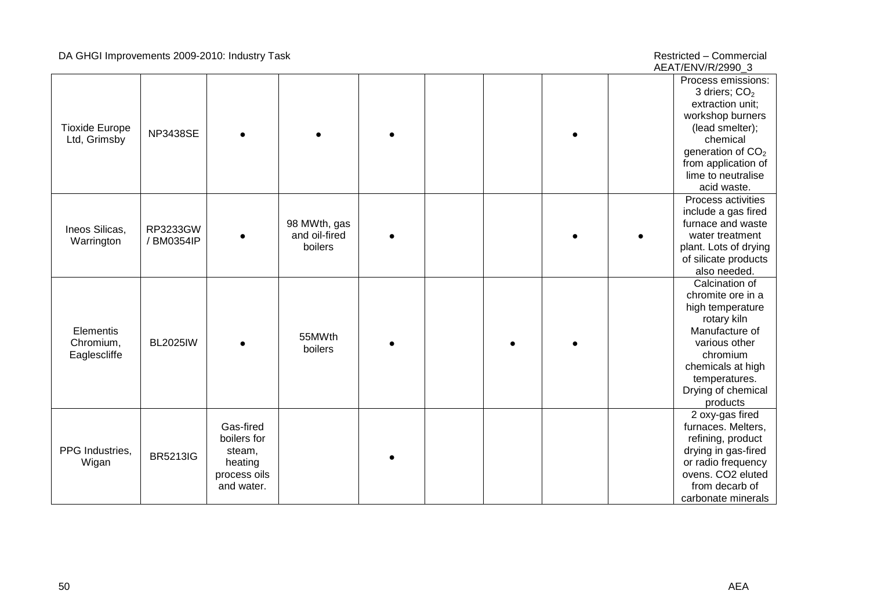#### DA GHGI Improvements 2009 -2010: Industry Task Restricted

– Commercial AEAT/ENV/R/2990\_3

| <b>Tioxide Europe</b><br>Ltd, Grimsby  | <b>NP3438SE</b>        |                                                                             |                                          |  |  | Process emissions:<br>3 driers; $CO2$<br>extraction unit;<br>workshop burners<br>(lead smelter);<br>chemical<br>generation of $CO2$<br>from application of<br>lime to neutralise<br>acid waste. |
|----------------------------------------|------------------------|-----------------------------------------------------------------------------|------------------------------------------|--|--|-------------------------------------------------------------------------------------------------------------------------------------------------------------------------------------------------|
| Ineos Silicas,<br>Warrington           | RP3233GW<br>/ BM0354IP |                                                                             | 98 MWth, gas<br>and oil-fired<br>boilers |  |  | Process activities<br>include a gas fired<br>furnace and waste<br>water treatment<br>plant. Lots of drying<br>of silicate products<br>also needed.                                              |
| Elementis<br>Chromium,<br>Eaglescliffe | <b>BL2025IW</b>        |                                                                             | 55MWth<br>boilers                        |  |  | Calcination of<br>chromite ore in a<br>high temperature<br>rotary kiln<br>Manufacture of<br>various other<br>chromium<br>chemicals at high<br>temperatures.<br>Drying of chemical<br>products   |
| PPG Industries,<br>Wigan               | <b>BR5213IG</b>        | Gas-fired<br>boilers for<br>steam,<br>heating<br>process oils<br>and water. |                                          |  |  | 2 oxy-gas fired<br>furnaces. Melters,<br>refining, product<br>drying in gas-fired<br>or radio frequency<br>ovens. CO2 eluted<br>from decarb of<br>carbonate minerals                            |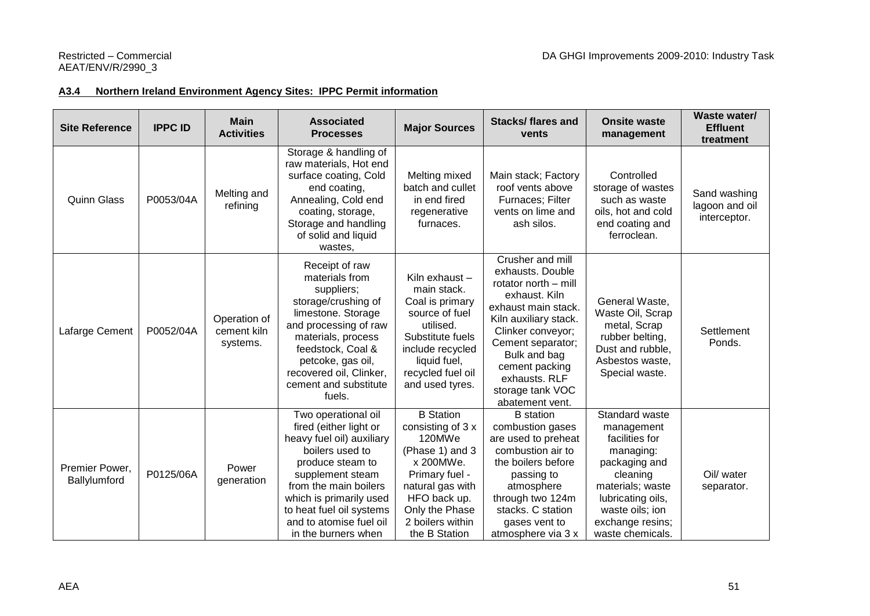#### **A3.4 Northern Ireland Environment Agency Sites: IPPC Permit information**

| <b>Site Reference</b>          | <b>IPPC ID</b> | <b>Main</b><br><b>Activities</b>        | <b>Associated</b><br><b>Processes</b>                                                                                                                                                                                                                                   | <b>Major Sources</b>                                                                                                                                                                         | <b>Stacks/flares and</b><br>vents                                                                                                                                                                                                                                 | <b>Onsite waste</b><br>management                                                                                                                                                            | Waste water/<br><b>Effluent</b><br>treatment   |
|--------------------------------|----------------|-----------------------------------------|-------------------------------------------------------------------------------------------------------------------------------------------------------------------------------------------------------------------------------------------------------------------------|----------------------------------------------------------------------------------------------------------------------------------------------------------------------------------------------|-------------------------------------------------------------------------------------------------------------------------------------------------------------------------------------------------------------------------------------------------------------------|----------------------------------------------------------------------------------------------------------------------------------------------------------------------------------------------|------------------------------------------------|
| <b>Quinn Glass</b>             | P0053/04A      | Melting and<br>refining                 | Storage & handling of<br>raw materials, Hot end<br>surface coating, Cold<br>end coating,<br>Annealing, Cold end<br>coating, storage,<br>Storage and handling<br>of solid and liquid<br>wastes.                                                                          | Melting mixed<br>batch and cullet<br>in end fired<br>regenerative<br>furnaces.                                                                                                               | Main stack; Factory<br>roof vents above<br>Furnaces; Filter<br>vents on lime and<br>ash silos.                                                                                                                                                                    | Controlled<br>storage of wastes<br>such as waste<br>oils, hot and cold<br>end coating and<br>ferroclean.                                                                                     | Sand washing<br>lagoon and oil<br>interceptor. |
| Lafarge Cement                 | P0052/04A      | Operation of<br>cement kiln<br>systems. | Receipt of raw<br>materials from<br>suppliers;<br>storage/crushing of<br>limestone. Storage<br>and processing of raw<br>materials, process<br>feedstock, Coal &<br>petcoke, gas oil,<br>recovered oil, Clinker,<br>cement and substitute<br>fuels.                      | Kiln exhaust -<br>main stack.<br>Coal is primary<br>source of fuel<br>utilised.<br>Substitute fuels<br>include recycled<br>liquid fuel,<br>recycled fuel oil<br>and used tyres.              | Crusher and mill<br>exhausts. Double<br>rotator north - mill<br>exhaust. Kiln<br>exhaust main stack.<br>Kiln auxiliary stack.<br>Clinker conveyor;<br>Cement separator;<br>Bulk and bag<br>cement packing<br>exhausts. RLF<br>storage tank VOC<br>abatement vent. | General Waste,<br>Waste Oil, Scrap<br>metal, Scrap<br>rubber belting,<br>Dust and rubble,<br>Asbestos waste,<br>Special waste.                                                               | Settlement<br>Ponds.                           |
| Premier Power,<br>Ballylumford | P0125/06A      | Power<br>generation                     | Two operational oil<br>fired (either light or<br>heavy fuel oil) auxiliary<br>boilers used to<br>produce steam to<br>supplement steam<br>from the main boilers<br>which is primarily used<br>to heat fuel oil systems<br>and to atomise fuel oil<br>in the burners when | <b>B</b> Station<br>consisting of 3 x<br>120MWe<br>(Phase 1) and 3<br>x 200MWe.<br>Primary fuel -<br>natural gas with<br>HFO back up.<br>Only the Phase<br>2 boilers within<br>the B Station | <b>B</b> station<br>combustion gases<br>are used to preheat<br>combustion air to<br>the boilers before<br>passing to<br>atmosphere<br>through two 124m<br>stacks. C station<br>gases vent to<br>atmosphere via 3 x                                                | Standard waste<br>management<br>facilities for<br>managing:<br>packaging and<br>cleaning<br>materials; waste<br>lubricating oils,<br>waste oils; ion<br>exchange resins;<br>waste chemicals. | Oil/ water<br>separator.                       |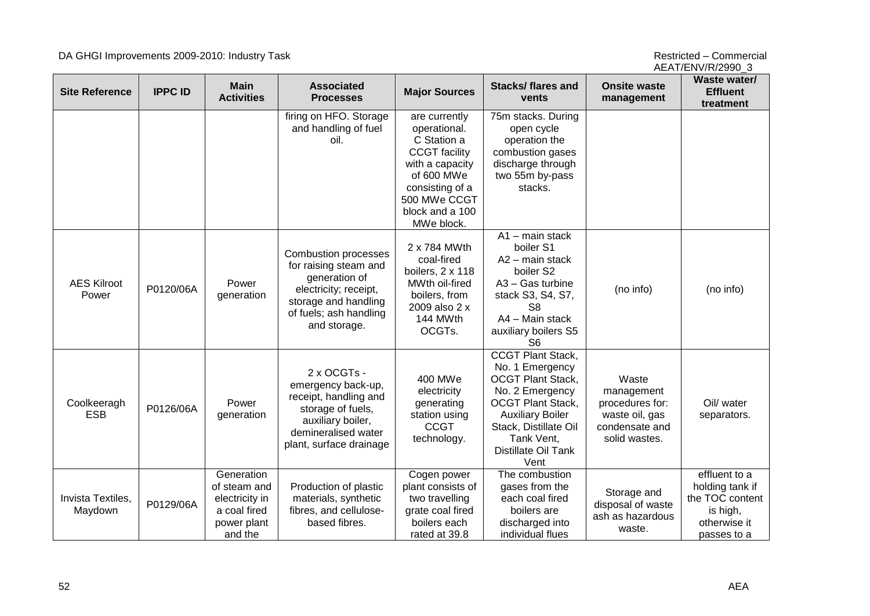#### DA GHGI Improvements 2009-2010: Industry Task and the state of the state of the state of the Restricted – Commercial

AEAT/ENV/R/2990\_3

| <b>Site Reference</b>        | <b>IPPC ID</b> | <b>Main</b><br><b>Activities</b>                                                       | <b>Associated</b><br><b>Processes</b>                                                                                                                            | <b>Major Sources</b>                                                                                                                                                      | <b>Stacks/flares and</b><br>vents                                                                                                                                                                                       | <b>Onsite waste</b><br>management                                                           | Waste water/<br><b>Effluent</b><br>treatment                                                   |
|------------------------------|----------------|----------------------------------------------------------------------------------------|------------------------------------------------------------------------------------------------------------------------------------------------------------------|---------------------------------------------------------------------------------------------------------------------------------------------------------------------------|-------------------------------------------------------------------------------------------------------------------------------------------------------------------------------------------------------------------------|---------------------------------------------------------------------------------------------|------------------------------------------------------------------------------------------------|
|                              |                |                                                                                        | firing on HFO. Storage<br>and handling of fuel<br>oil.                                                                                                           | are currently<br>operational.<br>C Station a<br><b>CCGT</b> facility<br>with a capacity<br>of 600 MWe<br>consisting of a<br>500 MWe CCGT<br>block and a 100<br>MWe block. | 75m stacks. During<br>open cycle<br>operation the<br>combustion gases<br>discharge through<br>two 55m by-pass<br>stacks.                                                                                                |                                                                                             |                                                                                                |
| <b>AES Kilroot</b><br>Power  | P0120/06A      | Power<br>generation                                                                    | <b>Combustion processes</b><br>for raising steam and<br>generation of<br>electricity; receipt,<br>storage and handling<br>of fuels; ash handling<br>and storage. | 2 x 784 MWth<br>coal-fired<br>boilers, 2 x 118<br>MWth oil-fired<br>boilers, from<br>2009 also 2 x<br>144 MWth<br>OCGTs.                                                  | $A1 - \text{main stack}$<br>boiler S1<br>A2 - main stack<br>boiler S2<br>A3 - Gas turbine<br>stack S3, S4, S7,<br>S <sub>8</sub><br>A4 - Main stack<br>auxiliary boilers S5<br>S <sub>6</sub>                           | (no info)                                                                                   | (no info)                                                                                      |
| Coolkeeragh<br><b>ESB</b>    | P0126/06A      | Power<br>generation                                                                    | 2 x OCGTs -<br>emergency back-up,<br>receipt, handling and<br>storage of fuels,<br>auxiliary boiler,<br>demineralised water<br>plant, surface drainage           | 400 MWe<br>electricity<br>generating<br>station using<br><b>CCGT</b><br>technology.                                                                                       | <b>CCGT Plant Stack,</b><br>No. 1 Emergency<br><b>OCGT Plant Stack,</b><br>No. 2 Emergency<br><b>OCGT Plant Stack,</b><br><b>Auxiliary Boiler</b><br>Stack, Distillate Oil<br>Tank Vent,<br>Distillate Oil Tank<br>Vent | Waste<br>management<br>procedures for:<br>waste oil, gas<br>condensate and<br>solid wastes. | Oil/ water<br>separators.                                                                      |
| Invista Textiles,<br>Maydown | P0129/06A      | Generation<br>of steam and<br>electricity in<br>a coal fired<br>power plant<br>and the | Production of plastic<br>materials, synthetic<br>fibres, and cellulose-<br>based fibres.                                                                         | Cogen power<br>plant consists of<br>two travelling<br>grate coal fired<br>boilers each<br>rated at 39.8                                                                   | The combustion<br>gases from the<br>each coal fired<br>boilers are<br>discharged into<br>individual flues                                                                                                               | Storage and<br>disposal of waste<br>ash as hazardous<br>waste.                              | effluent to a<br>holding tank if<br>the TOC content<br>is high,<br>otherwise it<br>passes to a |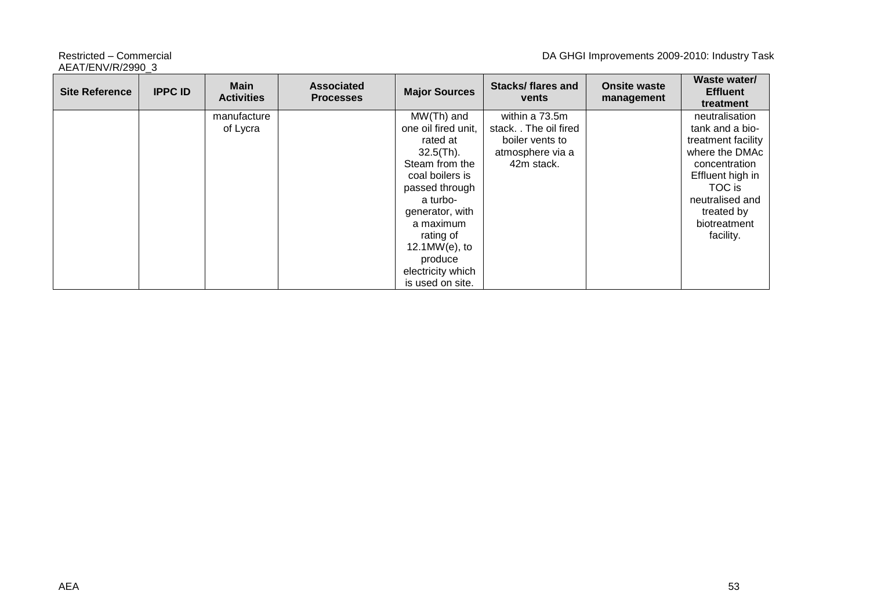AEAT/ENV/R/2990\_3

Restricted – Commercial **DA GHGI Improvements 2009-2010: Industry Task** 

| <b>Site Reference</b> | <b>IPPC ID</b> | Main<br><b>Activities</b> | <b>Associated</b><br><b>Processes</b> | <b>Major Sources</b> | <b>Stacks/flares and</b><br>vents | <b>Onsite waste</b><br>management | Waste water/<br><b>Effluent</b><br>treatment |
|-----------------------|----------------|---------------------------|---------------------------------------|----------------------|-----------------------------------|-----------------------------------|----------------------------------------------|
|                       |                | manufacture               |                                       | $MW(Th)$ and         | within a 73.5m                    |                                   | neutralisation                               |
|                       |                | of Lycra                  |                                       | one oil fired unit,  | stack. The oil fired              |                                   | tank and a bio-                              |
|                       |                |                           |                                       | rated at             | boiler vents to                   |                                   | treatment facility                           |
|                       |                |                           |                                       | $32.5$ (Th).         | atmosphere via a                  |                                   | where the DMAc                               |
|                       |                |                           |                                       | Steam from the       | 42m stack.                        |                                   | concentration                                |
|                       |                |                           |                                       | coal boilers is      |                                   |                                   | Effluent high in                             |
|                       |                |                           |                                       | passed through       |                                   |                                   | TOC is                                       |
|                       |                |                           |                                       | a turbo-             |                                   |                                   | neutralised and                              |
|                       |                |                           |                                       | generator, with      |                                   |                                   | treated by                                   |
|                       |                |                           |                                       | a maximum            |                                   |                                   | biotreatment                                 |
|                       |                |                           |                                       | rating of            |                                   |                                   | facility.                                    |
|                       |                |                           |                                       | $12.1MW(e)$ , to     |                                   |                                   |                                              |
|                       |                |                           |                                       | produce              |                                   |                                   |                                              |
|                       |                |                           |                                       | electricity which    |                                   |                                   |                                              |
|                       |                |                           |                                       | is used on site.     |                                   |                                   |                                              |